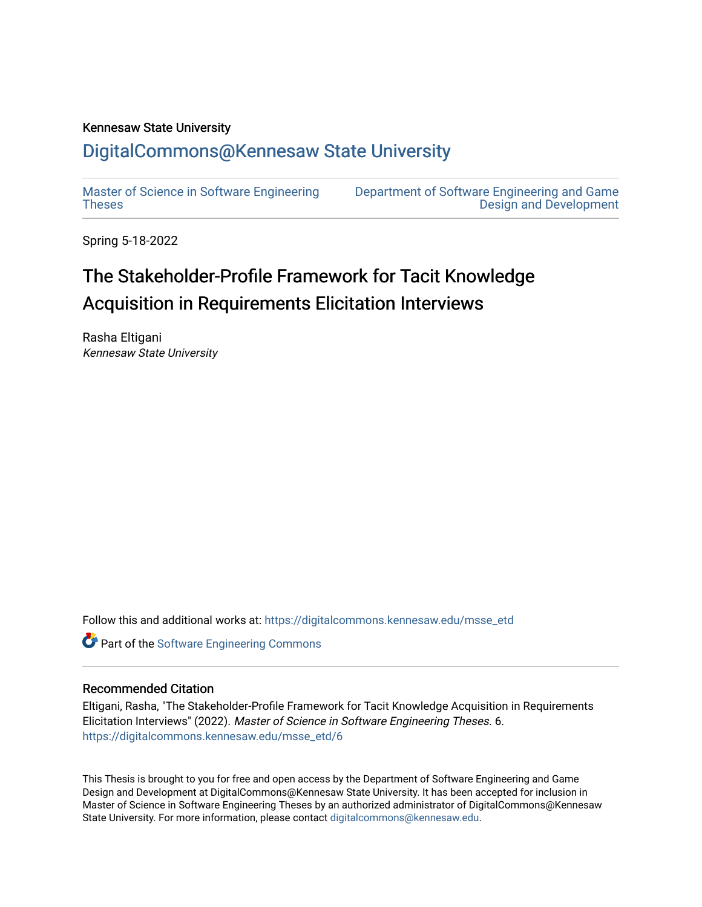#### Kennesaw State University

## [DigitalCommons@Kennesaw State University](https://digitalcommons.kennesaw.edu/)

[Master of Science in Software Engineering](https://digitalcommons.kennesaw.edu/msse_etd)  [Theses](https://digitalcommons.kennesaw.edu/msse_etd) 

[Department of Software Engineering and Game](https://digitalcommons.kennesaw.edu/swegd)  [Design and Development](https://digitalcommons.kennesaw.edu/swegd) 

Spring 5-18-2022

# The Stakeholder-Profile Framework for Tacit Knowledge Acquisition in Requirements Elicitation Interviews

Rasha Eltigani Kennesaw State University

Follow this and additional works at: [https://digitalcommons.kennesaw.edu/msse\\_etd](https://digitalcommons.kennesaw.edu/msse_etd?utm_source=digitalcommons.kennesaw.edu%2Fmsse_etd%2F6&utm_medium=PDF&utm_campaign=PDFCoverPages)

Part of the [Software Engineering Commons](https://network.bepress.com/hgg/discipline/150?utm_source=digitalcommons.kennesaw.edu%2Fmsse_etd%2F6&utm_medium=PDF&utm_campaign=PDFCoverPages) 

#### Recommended Citation

Eltigani, Rasha, "The Stakeholder-Profile Framework for Tacit Knowledge Acquisition in Requirements Elicitation Interviews" (2022). Master of Science in Software Engineering Theses. 6. [https://digitalcommons.kennesaw.edu/msse\\_etd/6](https://digitalcommons.kennesaw.edu/msse_etd/6?utm_source=digitalcommons.kennesaw.edu%2Fmsse_etd%2F6&utm_medium=PDF&utm_campaign=PDFCoverPages)

This Thesis is brought to you for free and open access by the Department of Software Engineering and Game Design and Development at DigitalCommons@Kennesaw State University. It has been accepted for inclusion in Master of Science in Software Engineering Theses by an authorized administrator of DigitalCommons@Kennesaw State University. For more information, please contact [digitalcommons@kennesaw.edu.](mailto:digitalcommons@kennesaw.edu)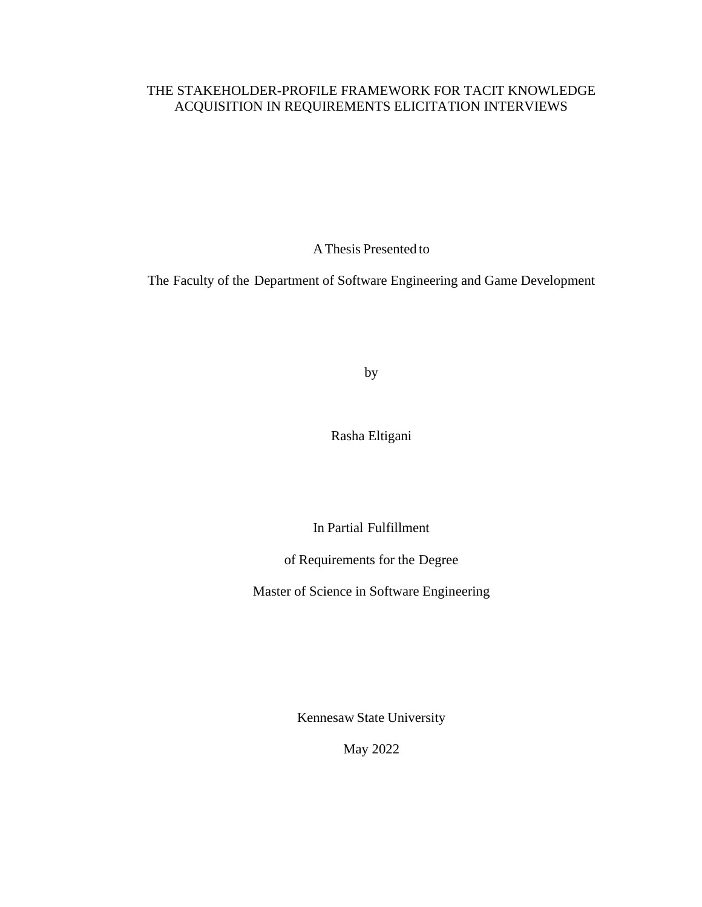## THE STAKEHOLDER-PROFILE FRAMEWORK FOR TACIT KNOWLEDGE ACQUISITION IN REQUIREMENTS ELICITATION INTERVIEWS

AThesis Presented to

The Faculty of the Department of Software Engineering and Game Development

by

Rasha Eltigani

In Partial Fulfillment

of Requirements for the Degree

Master of Science in Software Engineering

Kennesaw State University

May 2022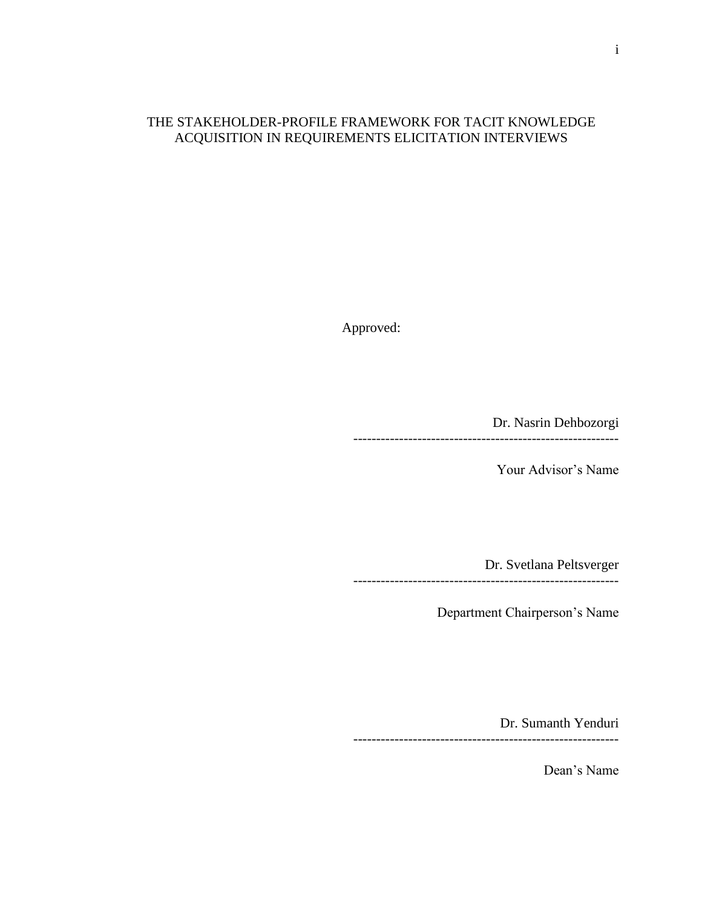## THE STAKEHOLDER-PROFILE FRAMEWORK FOR TACIT KNOWLEDGE ACQUISITION IN REQUIREMENTS ELICITATION INTERVIEWS

Approved:

Dr. Nasrin Dehbozorgi ----------------------------------------------------------

Your Advisor's Name

Dr. Svetlana Peltsverger

Department Chairperson's Name

----------------------------------------------------------

Dr. Sumanth Yenduri ----------------------------------------------------------

Dean's Name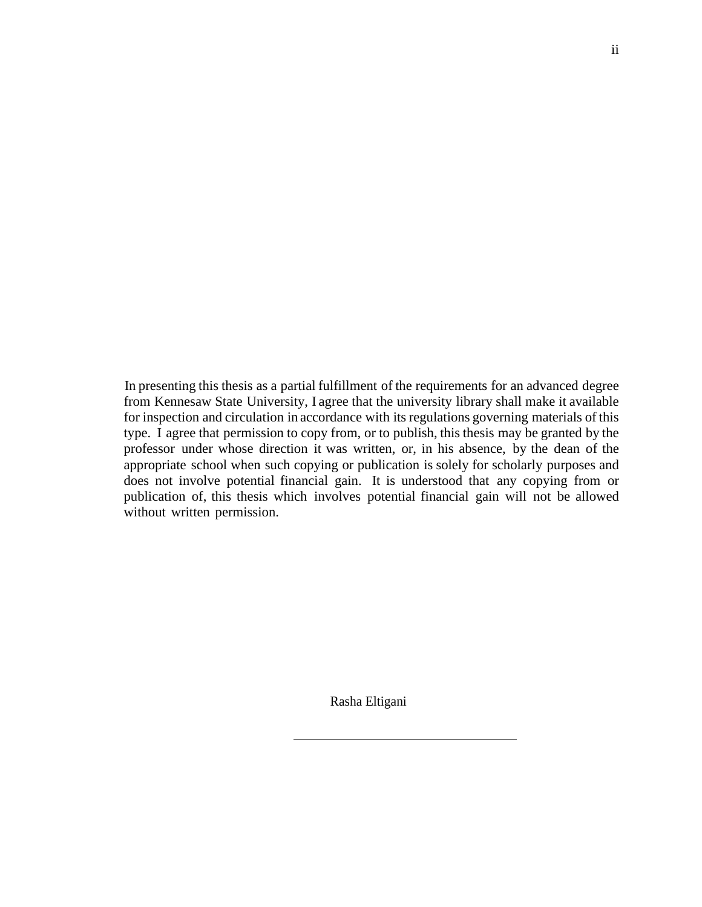In presenting this thesis as a partial fulfillment of the requirements for an advanced degree from Kennesaw State University, I agree that the university library shall make it available for inspection and circulation in accordance with its regulations governing materials of this type. I agree that permission to copy from, or to publish, this thesis may be granted by the professor under whose direction it was written, or, in his absence, by the dean of the appropriate school when such copying or publication is solely for scholarly purposes and does not involve potential financial gain. It is understood that any copying from or publication of, this thesis which involves potential financial gain will not be allowed without written permission.

Rasha Eltigani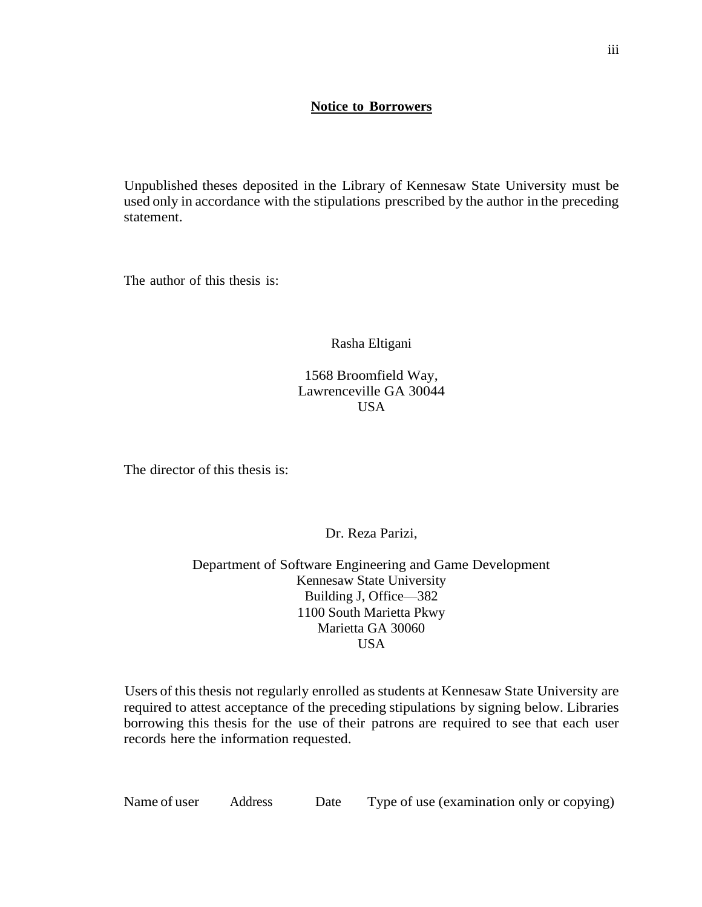#### **Notice to Borrowers**

Unpublished theses deposited in the Library of Kennesaw State University must be used only in accordance with the stipulations prescribed by the author in the preceding statement.

The author of this thesis is:

Rasha Eltigani

1568 Broomfield Way, Lawrenceville GA 30044 USA

The director of this thesis is:

Dr. Reza Parizi,

Department of Software Engineering and Game Development Kennesaw State University Building J, Office—382 1100 South Marietta Pkwy Marietta GA 30060 USA

Users of this thesis not regularly enrolled as students at Kennesaw State University are required to attest acceptance of the preceding stipulations by signing below. Libraries borrowing this thesis for the use of their patrons are required to see that each user records here the information requested.

Name of user Address Date Type of use (examination only or copying)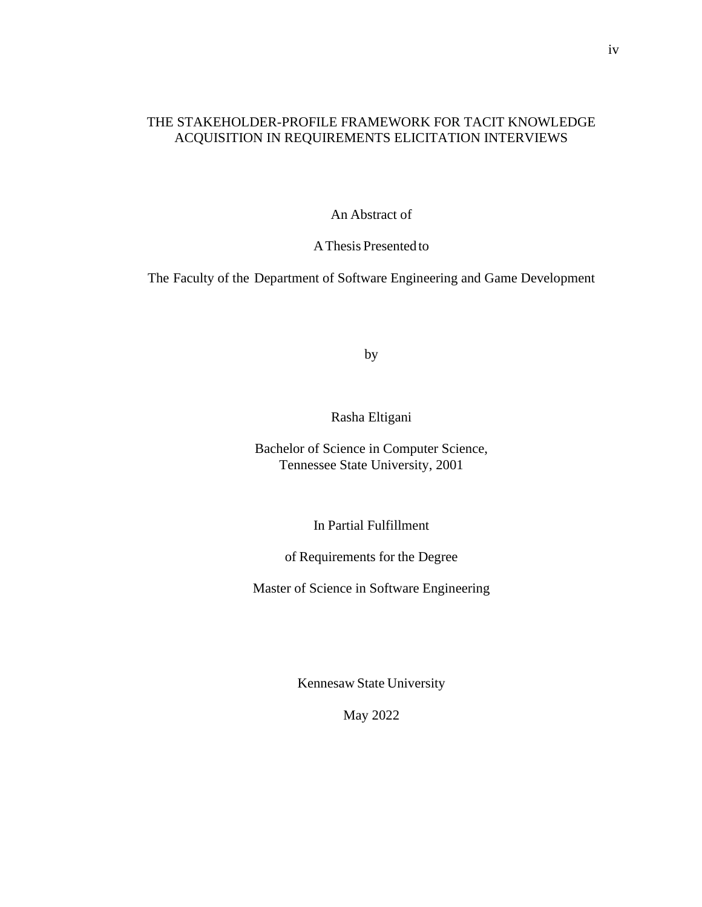## THE STAKEHOLDER-PROFILE FRAMEWORK FOR TACIT KNOWLEDGE ACQUISITION IN REQUIREMENTS ELICITATION INTERVIEWS

An Abstract of

AThesis Presentedto

The Faculty of the Department of Software Engineering and Game Development

by

Rasha Eltigani

Bachelor of Science in Computer Science, Tennessee State University, 2001

In Partial Fulfillment

of Requirements for the Degree

Master of Science in Software Engineering

Kennesaw State University

May 2022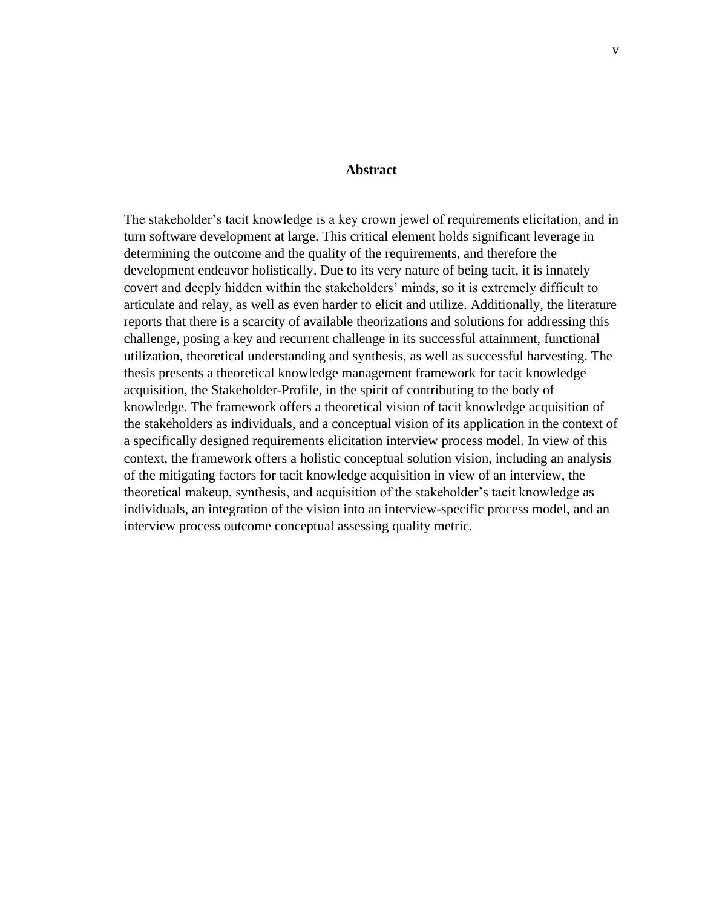#### **Abstract**

The stakeholder's tacit knowledge is a key crown jewel of requirements elicitation, and in turn software development at large. This critical element holds significant leverage in determining the outcome and the quality of the requirements, and therefore the development endeavor holistically. Due to its very nature of being tacit, it is innately covert and deeply hidden within the stakeholders' minds, so it is extremely difficult to articulate and relay, as well as even harder to elicit and utilize. Additionally, the literature reports that there is a scarcity of available theorizations and solutions for addressing this challenge, posing a key and recurrent challenge in its successful attainment, functional utilization, theoretical understanding and synthesis, as well as successful harvesting. The thesis presents a theoretical knowledge management framework for tacit knowledge acquisition, the Stakeholder-Profile, in the spirit of contributing to the body of knowledge. The framework offers a theoretical vision of tacit knowledge acquisition of the stakeholders as individuals, and a conceptual vision of its application in the context of a specifically designed requirements elicitation interview process model. In view of this context, the framework offers a holistic conceptual solution vision, including an analysis of the mitigating factors for tacit knowledge acquisition in view of an interview, the theoretical makeup, synthesis, and acquisition of the stakeholder's tacit knowledge as individuals, an integration of the vision into an interview-specific process model, and an interview process outcome conceptual assessing quality metric.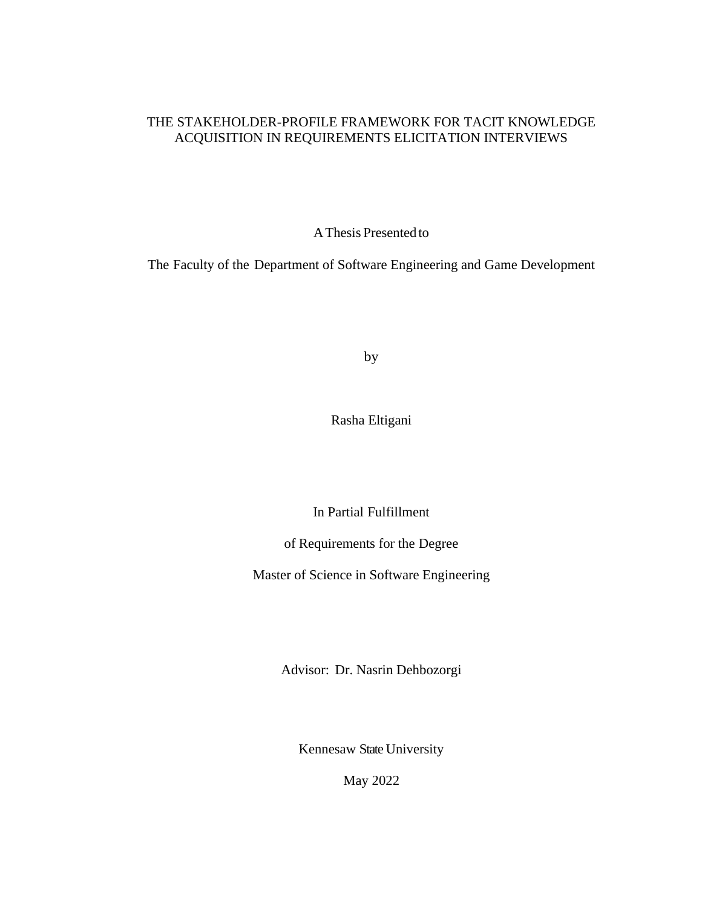## THE STAKEHOLDER-PROFILE FRAMEWORK FOR TACIT KNOWLEDGE ACQUISITION IN REQUIREMENTS ELICITATION INTERVIEWS

AThesis Presentedto

The Faculty of the Department of Software Engineering and Game Development

by

Rasha Eltigani

In Partial Fulfillment

of Requirements for the Degree

Master of Science in Software Engineering

Advisor: Dr. Nasrin Dehbozorgi

Kennesaw State University

May 2022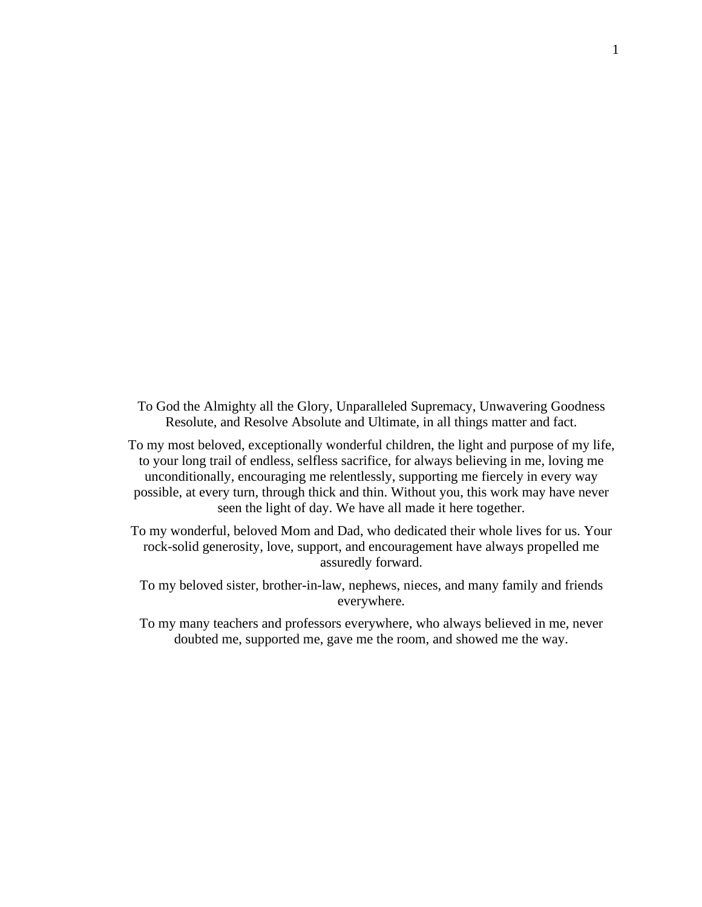- To God the Almighty all the Glory, Unparalleled Supremacy, Unwavering Goodness Resolute, and Resolve Absolute and Ultimate, in all things matter and fact.
- To my most beloved, exceptionally wonderful children, the light and purpose of my life, to your long trail of endless, selfless sacrifice, for always believing in me, loving me unconditionally, encouraging me relentlessly, supporting me fiercely in every way possible, at every turn, through thick and thin. Without you, this work may have never seen the light of day. We have all made it here together.
- To my wonderful, beloved Mom and Dad, who dedicated their whole lives for us. Your rock-solid generosity, love, support, and encouragement have always propelled me assuredly forward.
	- To my beloved sister, brother-in-law, nephews, nieces, and many family and friends everywhere.
	- To my many teachers and professors everywhere, who always believed in me, never doubted me, supported me, gave me the room, and showed me the way.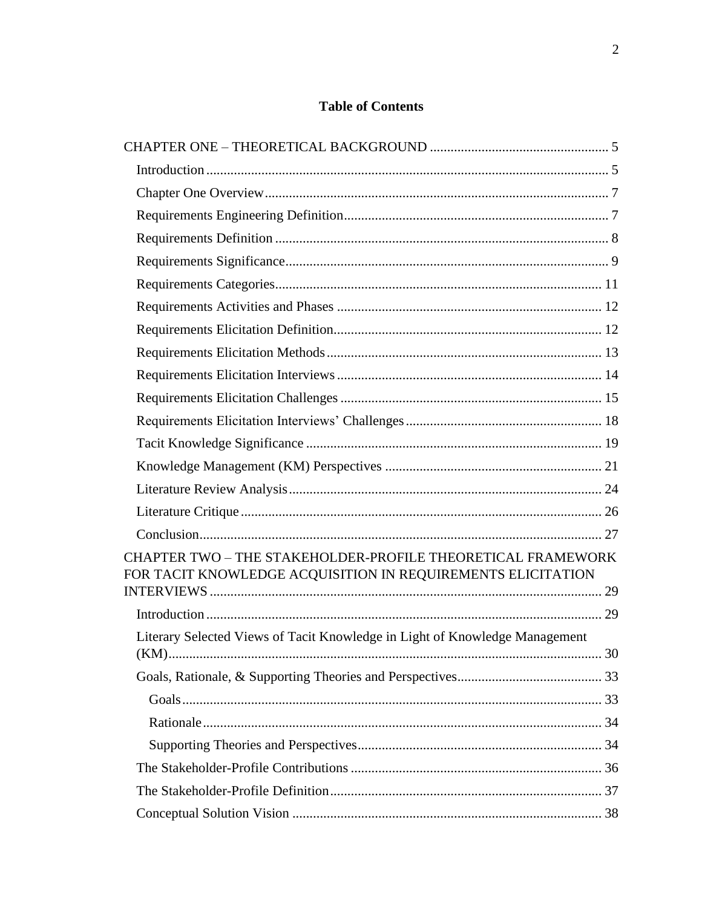## **Table of Contents**

| CHAPTER TWO - THE STAKEHOLDER-PROFILE THEORETICAL FRAMEWORK<br>FOR TACIT KNOWLEDGE ACQUISITION IN REQUIREMENTS ELICITATION |  |
|----------------------------------------------------------------------------------------------------------------------------|--|
|                                                                                                                            |  |
|                                                                                                                            |  |
| Literary Selected Views of Tacit Knowledge in Light of Knowledge Management                                                |  |
|                                                                                                                            |  |
|                                                                                                                            |  |
|                                                                                                                            |  |
|                                                                                                                            |  |
|                                                                                                                            |  |
|                                                                                                                            |  |
|                                                                                                                            |  |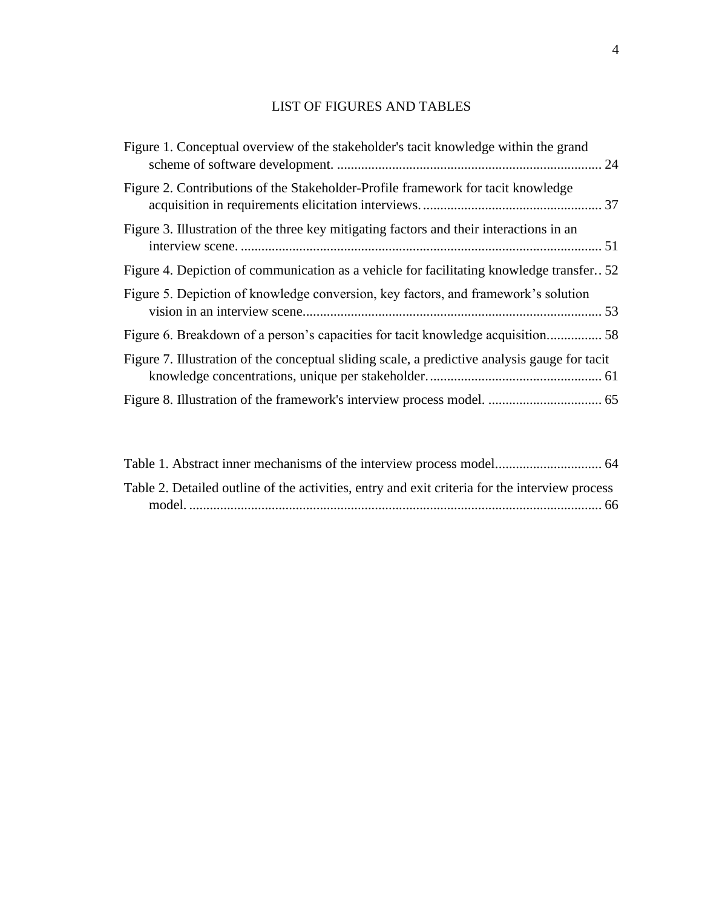## LIST OF FIGURES AND TABLES

| Figure 1. Conceptual overview of the stakeholder's tacit knowledge within the grand           |  |
|-----------------------------------------------------------------------------------------------|--|
| Figure 2. Contributions of the Stakeholder-Profile framework for tacit knowledge              |  |
| Figure 3. Illustration of the three key mitigating factors and their interactions in an       |  |
| Figure 4. Depiction of communication as a vehicle for facilitating knowledge transfer. 52     |  |
| Figure 5. Depiction of knowledge conversion, key factors, and framework's solution            |  |
| Figure 6. Breakdown of a person's capacities for tacit knowledge acquisition 58               |  |
| Figure 7. Illustration of the conceptual sliding scale, a predictive analysis gauge for tacit |  |
|                                                                                               |  |
|                                                                                               |  |

| Table 2. Detailed outline of the activities, entry and exit criteria for the interview process |  |
|------------------------------------------------------------------------------------------------|--|
|                                                                                                |  |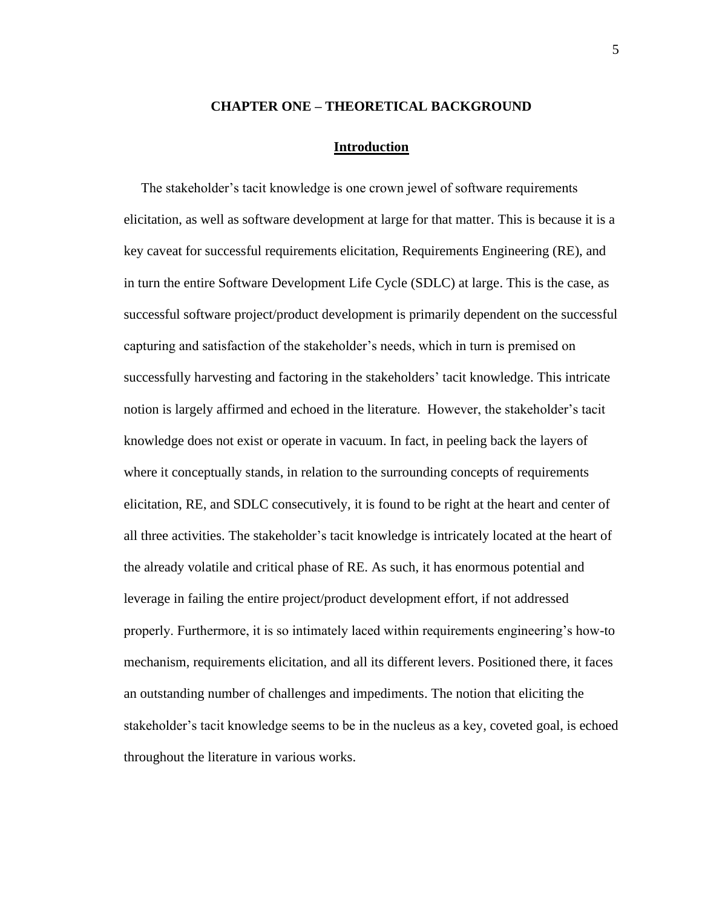#### **CHAPTER ONE – THEORETICAL BACKGROUND**

#### **Introduction**

<span id="page-12-1"></span><span id="page-12-0"></span> The stakeholder's tacit knowledge is one crown jewel of software requirements elicitation, as well as software development at large for that matter. This is because it is a key caveat for successful requirements elicitation, Requirements Engineering (RE), and in turn the entire Software Development Life Cycle (SDLC) at large. This is the case, as successful software project/product development is primarily dependent on the successful capturing and satisfaction of the stakeholder's needs, which in turn is premised on successfully harvesting and factoring in the stakeholders' tacit knowledge. This intricate notion is largely affirmed and echoed in the literature. However, the stakeholder's tacit knowledge does not exist or operate in vacuum. In fact, in peeling back the layers of where it conceptually stands, in relation to the surrounding concepts of requirements elicitation, RE, and SDLC consecutively, it is found to be right at the heart and center of all three activities. The stakeholder's tacit knowledge is intricately located at the heart of the already volatile and critical phase of RE. As such, it has enormous potential and leverage in failing the entire project/product development effort, if not addressed properly. Furthermore, it is so intimately laced within requirements engineering's how-to mechanism, requirements elicitation, and all its different levers. Positioned there, it faces an outstanding number of challenges and impediments. The notion that eliciting the stakeholder's tacit knowledge seems to be in the nucleus as a key, coveted goal, is echoed throughout the literature in various works.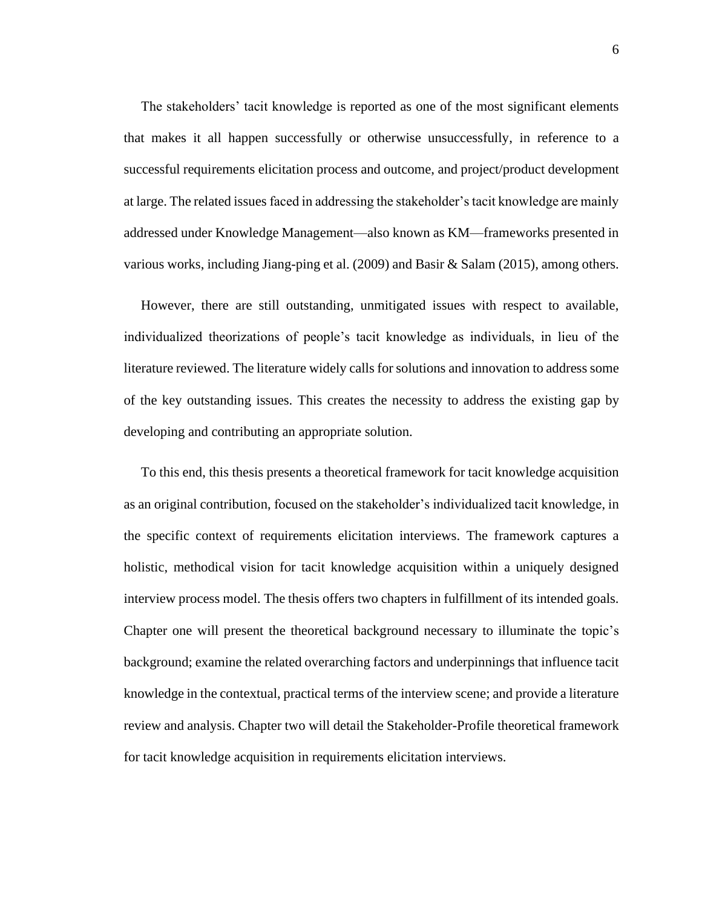The stakeholders' tacit knowledge is reported as one of the most significant elements that makes it all happen successfully or otherwise unsuccessfully, in reference to a successful requirements elicitation process and outcome, and project/product development at large. The related issues faced in addressing the stakeholder's tacit knowledge are mainly addressed under Knowledge Management—also known as KM—frameworks presented in various works, including Jiang-ping et al. (2009) and Basir & Salam (2015), among others.

 However, there are still outstanding, unmitigated issues with respect to available, individualized theorizations of people's tacit knowledge as individuals, in lieu of the literature reviewed. The literature widely calls for solutions and innovation to address some of the key outstanding issues. This creates the necessity to address the existing gap by developing and contributing an appropriate solution.

 To this end, this thesis presents a theoretical framework for tacit knowledge acquisition as an original contribution, focused on the stakeholder's individualized tacit knowledge, in the specific context of requirements elicitation interviews. The framework captures a holistic, methodical vision for tacit knowledge acquisition within a uniquely designed interview process model. The thesis offers two chapters in fulfillment of its intended goals. Chapter one will present the theoretical background necessary to illuminate the topic's background; examine the related overarching factors and underpinnings that influence tacit knowledge in the contextual, practical terms of the interview scene; and provide a literature review and analysis. Chapter two will detail the Stakeholder-Profile theoretical framework for tacit knowledge acquisition in requirements elicitation interviews.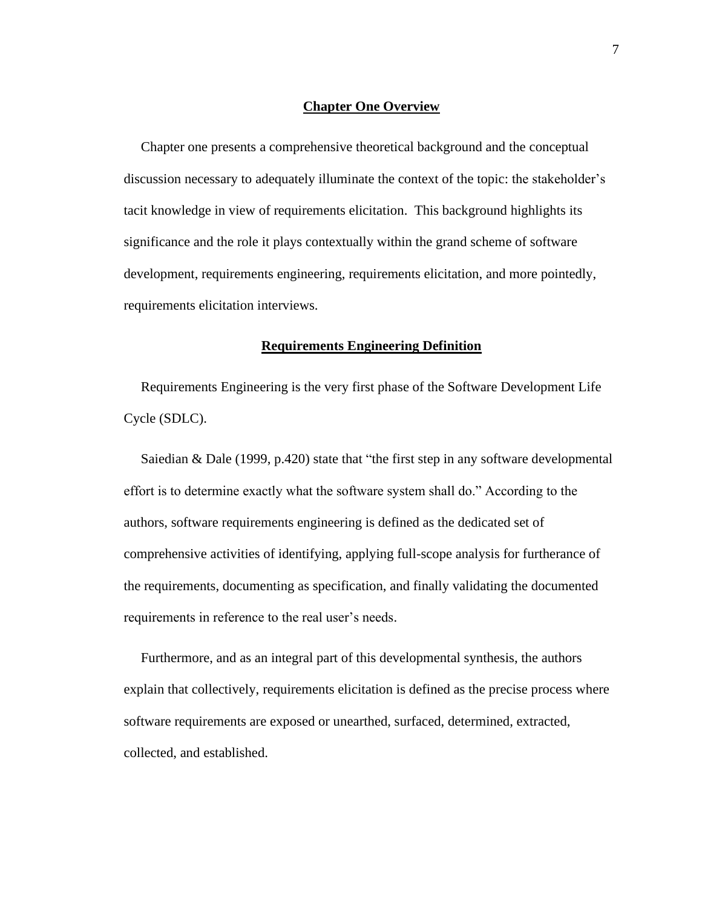#### **Chapter One Overview**

<span id="page-14-0"></span> Chapter one presents a comprehensive theoretical background and the conceptual discussion necessary to adequately illuminate the context of the topic: the stakeholder's tacit knowledge in view of requirements elicitation. This background highlights its significance and the role it plays contextually within the grand scheme of software development, requirements engineering, requirements elicitation, and more pointedly, requirements elicitation interviews.

#### **Requirements Engineering Definition**

<span id="page-14-1"></span> Requirements Engineering is the very first phase of the Software Development Life Cycle (SDLC).

 Saiedian & Dale (1999, p.420) state that "the first step in any software developmental effort is to determine exactly what the software system shall do." According to the authors, software requirements engineering is defined as the dedicated set of comprehensive activities of identifying, applying full-scope analysis for furtherance of the requirements, documenting as specification, and finally validating the documented requirements in reference to the real user's needs.

 Furthermore, and as an integral part of this developmental synthesis, the authors explain that collectively, requirements elicitation is defined as the precise process where software requirements are exposed or unearthed, surfaced, determined, extracted, collected, and established.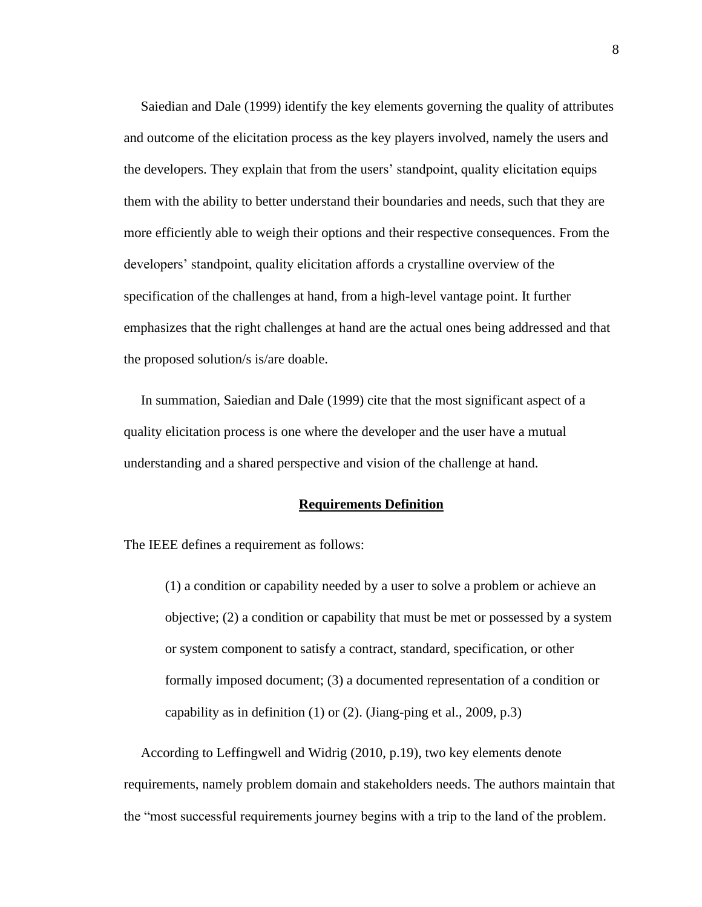Saiedian and Dale (1999) identify the key elements governing the quality of attributes and outcome of the elicitation process as the key players involved, namely the users and the developers. They explain that from the users' standpoint, quality elicitation equips them with the ability to better understand their boundaries and needs, such that they are more efficiently able to weigh their options and their respective consequences. From the developers' standpoint, quality elicitation affords a crystalline overview of the specification of the challenges at hand, from a high-level vantage point. It further emphasizes that the right challenges at hand are the actual ones being addressed and that the proposed solution/s is/are doable.

 In summation, Saiedian and Dale (1999) cite that the most significant aspect of a quality elicitation process is one where the developer and the user have a mutual understanding and a shared perspective and vision of the challenge at hand.

#### **Requirements Definition**

<span id="page-15-0"></span>The IEEE defines a requirement as follows:

(1) a condition or capability needed by a user to solve a problem or achieve an objective; (2) a condition or capability that must be met or possessed by a system or system component to satisfy a contract, standard, specification, or other formally imposed document; (3) a documented representation of a condition or capability as in definition  $(1)$  or  $(2)$ . (Jiang-ping et al., 2009, p.3)

 According to Leffingwell and Widrig (2010, p.19), two key elements denote requirements, namely problem domain and stakeholders needs. The authors maintain that the "most successful requirements journey begins with a trip to the land of the problem.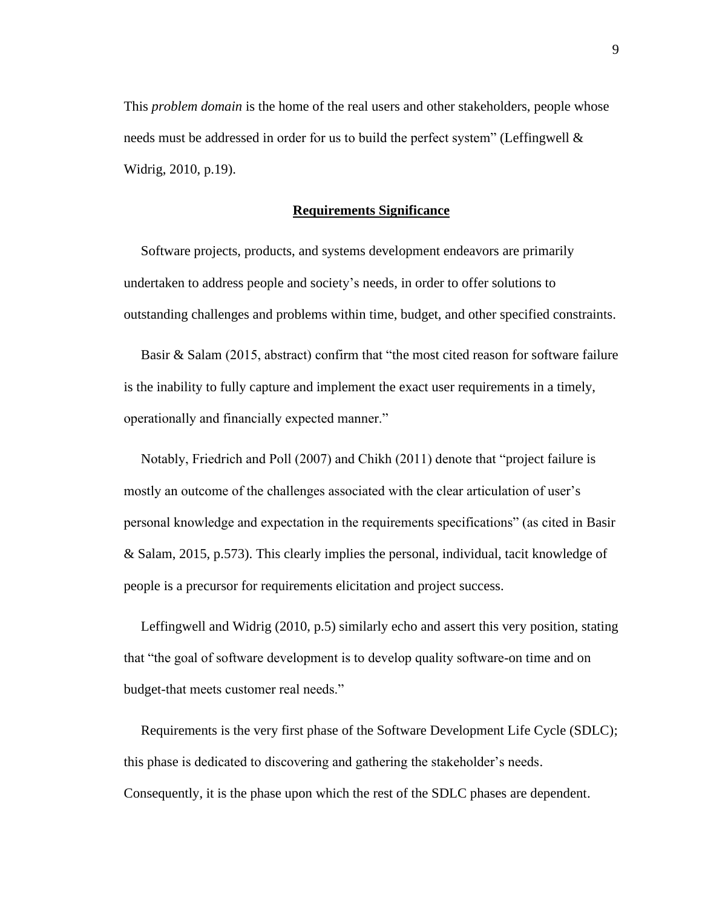This *problem domain* is the home of the real users and other stakeholders, people whose needs must be addressed in order for us to build the perfect system" (Leffingwell & Widrig, 2010, p.19).

#### **Requirements Significance**

<span id="page-16-0"></span> Software projects, products, and systems development endeavors are primarily undertaken to address people and society's needs, in order to offer solutions to outstanding challenges and problems within time, budget, and other specified constraints.

 Basir & Salam (2015, abstract) confirm that "the most cited reason for software failure is the inability to fully capture and implement the exact user requirements in a timely, operationally and financially expected manner."

 Notably, Friedrich and Poll (2007) and Chikh (2011) denote that "project failure is mostly an outcome of the challenges associated with the clear articulation of user's personal knowledge and expectation in the requirements specifications" (as cited in Basir & Salam, 2015, p.573). This clearly implies the personal, individual, tacit knowledge of people is a precursor for requirements elicitation and project success.

 Leffingwell and Widrig (2010, p.5) similarly echo and assert this very position, stating that "the goal of software development is to develop quality software-on time and on budget-that meets customer real needs."

 Requirements is the very first phase of the Software Development Life Cycle (SDLC); this phase is dedicated to discovering and gathering the stakeholder's needs. Consequently, it is the phase upon which the rest of the SDLC phases are dependent.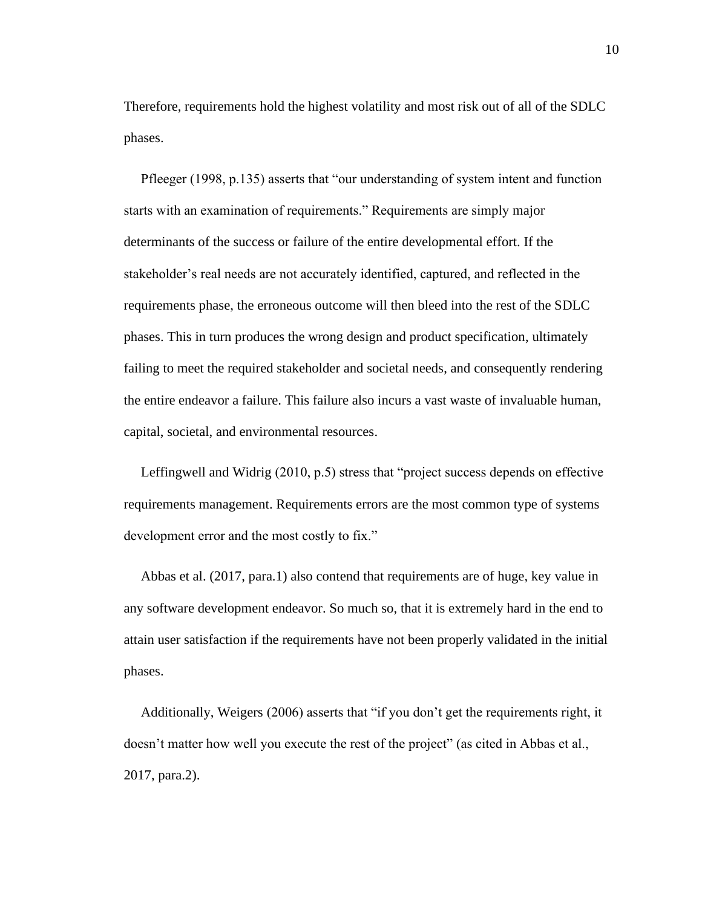Therefore, requirements hold the highest volatility and most risk out of all of the SDLC phases.

 Pfleeger (1998, p.135) asserts that "our understanding of system intent and function starts with an examination of requirements." Requirements are simply major determinants of the success or failure of the entire developmental effort. If the stakeholder's real needs are not accurately identified, captured, and reflected in the requirements phase, the erroneous outcome will then bleed into the rest of the SDLC phases. This in turn produces the wrong design and product specification, ultimately failing to meet the required stakeholder and societal needs, and consequently rendering the entire endeavor a failure. This failure also incurs a vast waste of invaluable human, capital, societal, and environmental resources.

 Leffingwell and Widrig (2010, p.5) stress that "project success depends on effective requirements management. Requirements errors are the most common type of systems development error and the most costly to fix."

 Abbas et al. (2017, para.1) also contend that requirements are of huge, key value in any software development endeavor. So much so, that it is extremely hard in the end to attain user satisfaction if the requirements have not been properly validated in the initial phases.

 Additionally, Weigers (2006) asserts that "if you don't get the requirements right, it doesn't matter how well you execute the rest of the project" (as cited in Abbas et al., 2017, para.2).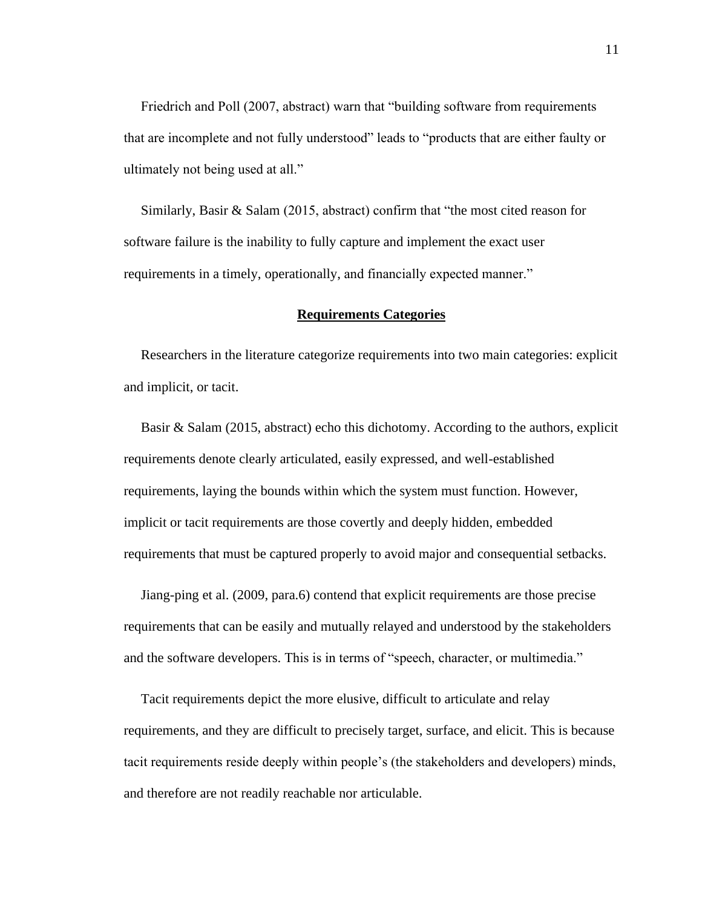Friedrich and Poll (2007, abstract) warn that "building software from requirements that are incomplete and not fully understood" leads to "products that are either faulty or ultimately not being used at all."

 Similarly, Basir & Salam (2015, abstract) confirm that "the most cited reason for software failure is the inability to fully capture and implement the exact user requirements in a timely, operationally, and financially expected manner."

#### **Requirements Categories**

<span id="page-18-0"></span> Researchers in the literature categorize requirements into two main categories: explicit and implicit, or tacit.

 Basir & Salam (2015, abstract) echo this dichotomy. According to the authors, explicit requirements denote clearly articulated, easily expressed, and well-established requirements, laying the bounds within which the system must function. However, implicit or tacit requirements are those covertly and deeply hidden, embedded requirements that must be captured properly to avoid major and consequential setbacks.

 Jiang-ping et al. (2009, para.6) contend that explicit requirements are those precise requirements that can be easily and mutually relayed and understood by the stakeholders and the software developers. This is in terms of "speech, character, or multimedia."

 Tacit requirements depict the more elusive, difficult to articulate and relay requirements, and they are difficult to precisely target, surface, and elicit. This is because tacit requirements reside deeply within people's (the stakeholders and developers) minds, and therefore are not readily reachable nor articulable.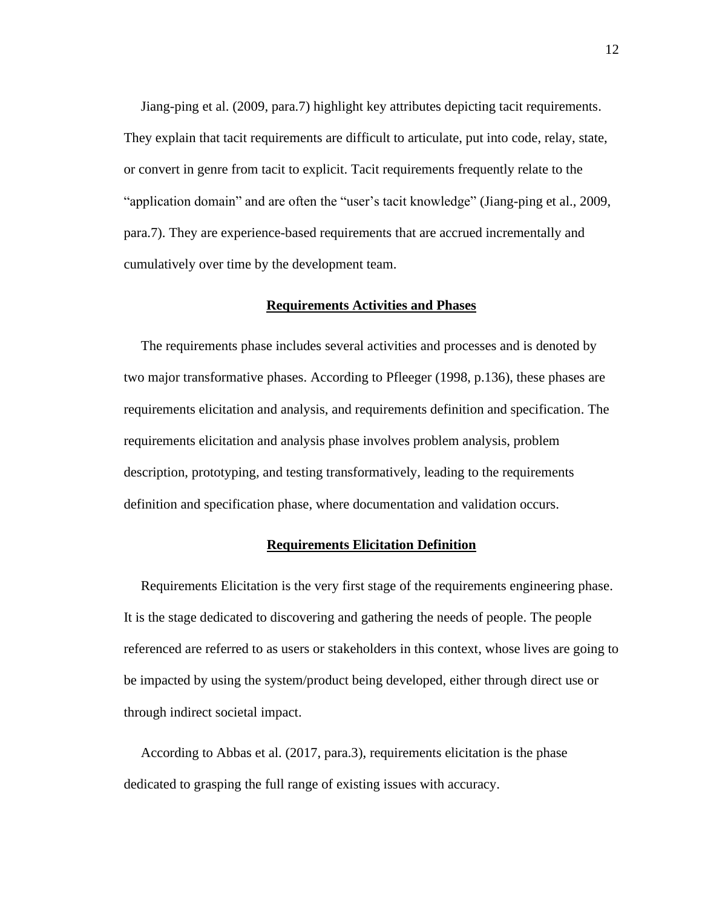Jiang-ping et al. (2009, para.7) highlight key attributes depicting tacit requirements. They explain that tacit requirements are difficult to articulate, put into code, relay, state, or convert in genre from tacit to explicit. Tacit requirements frequently relate to the "application domain" and are often the "user's tacit knowledge" (Jiang-ping et al., 2009, para.7). They are experience-based requirements that are accrued incrementally and cumulatively over time by the development team.

#### **Requirements Activities and Phases**

<span id="page-19-0"></span> The requirements phase includes several activities and processes and is denoted by two major transformative phases. According to Pfleeger (1998, p.136), these phases are requirements elicitation and analysis, and requirements definition and specification. The requirements elicitation and analysis phase involves problem analysis, problem description, prototyping, and testing transformatively, leading to the requirements definition and specification phase, where documentation and validation occurs.

#### **Requirements Elicitation Definition**

<span id="page-19-1"></span> Requirements Elicitation is the very first stage of the requirements engineering phase. It is the stage dedicated to discovering and gathering the needs of people. The people referenced are referred to as users or stakeholders in this context, whose lives are going to be impacted by using the system/product being developed, either through direct use or through indirect societal impact.

 According to Abbas et al. (2017, para.3), requirements elicitation is the phase dedicated to grasping the full range of existing issues with accuracy.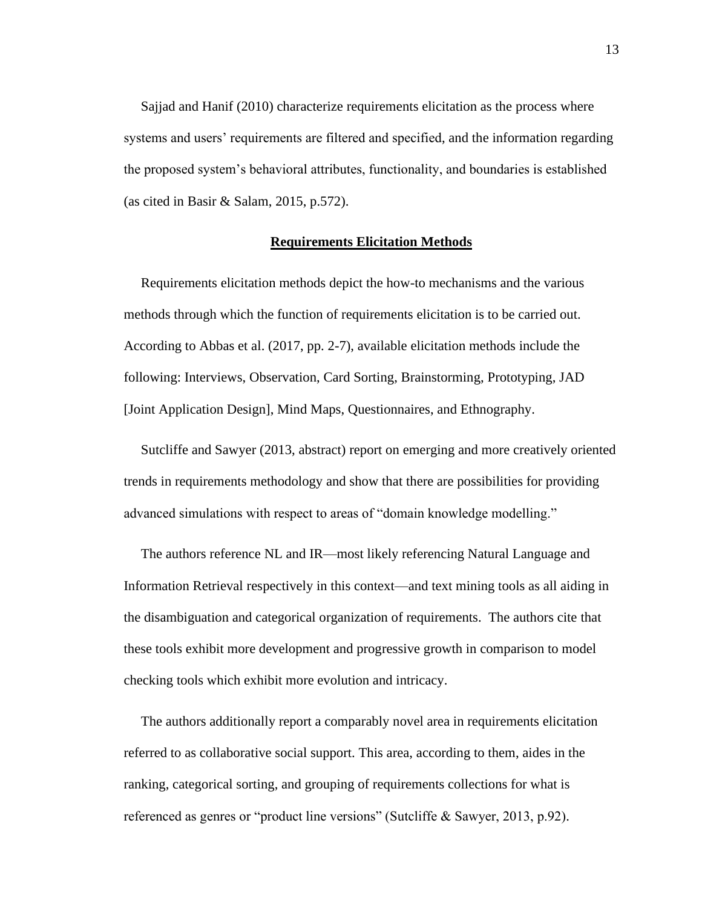Sajjad and Hanif (2010) characterize requirements elicitation as the process where systems and users' requirements are filtered and specified, and the information regarding the proposed system's behavioral attributes, functionality, and boundaries is established (as cited in Basir & Salam, 2015, p.572).

#### **Requirements Elicitation Methods**

<span id="page-20-0"></span> Requirements elicitation methods depict the how-to mechanisms and the various methods through which the function of requirements elicitation is to be carried out. According to Abbas et al. (2017, pp. 2-7), available elicitation methods include the following: Interviews, Observation, Card Sorting, Brainstorming, Prototyping, JAD [Joint Application Design], Mind Maps, Questionnaires, and Ethnography.

 Sutcliffe and Sawyer (2013, abstract) report on emerging and more creatively oriented trends in requirements methodology and show that there are possibilities for providing advanced simulations with respect to areas of "domain knowledge modelling."

 The authors reference NL and IR—most likely referencing Natural Language and Information Retrieval respectively in this context—and text mining tools as all aiding in the disambiguation and categorical organization of requirements. The authors cite that these tools exhibit more development and progressive growth in comparison to model checking tools which exhibit more evolution and intricacy.

 The authors additionally report a comparably novel area in requirements elicitation referred to as collaborative social support. This area, according to them, aides in the ranking, categorical sorting, and grouping of requirements collections for what is referenced as genres or "product line versions" (Sutcliffe & Sawyer, 2013, p.92).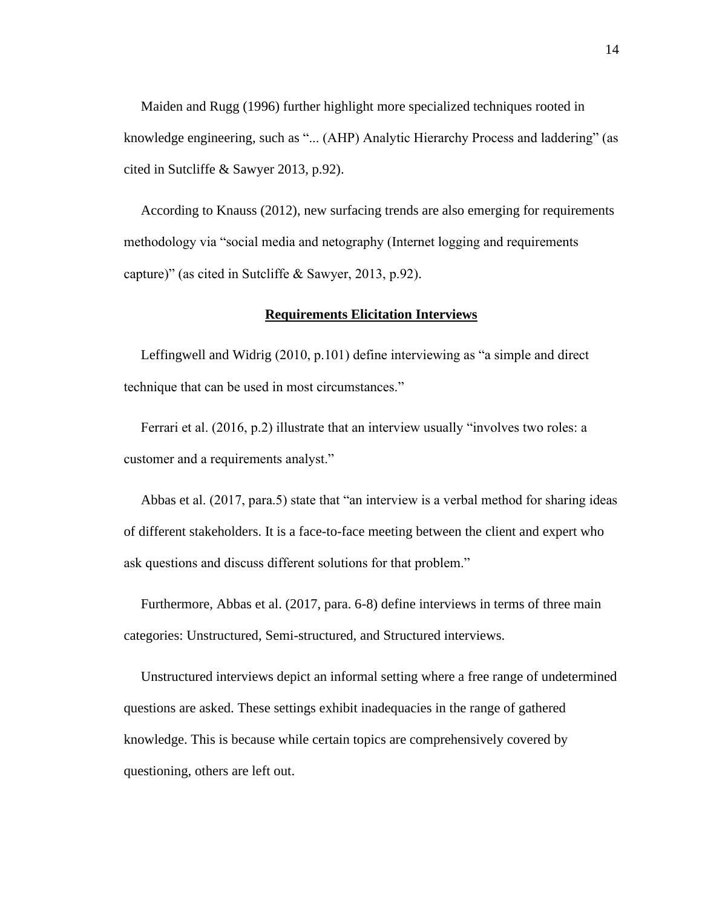Maiden and Rugg (1996) further highlight more specialized techniques rooted in knowledge engineering, such as "... (AHP) Analytic Hierarchy Process and laddering" (as cited in Sutcliffe & Sawyer 2013, p.92).

 According to Knauss (2012), new surfacing trends are also emerging for requirements methodology via "social media and netography (Internet logging and requirements capture)" (as cited in Sutcliffe & Sawyer, 2013, p.92).

#### **Requirements Elicitation Interviews**

<span id="page-21-0"></span> Leffingwell and Widrig (2010, p.101) define interviewing as "a simple and direct technique that can be used in most circumstances."

 Ferrari et al. (2016, p.2) illustrate that an interview usually "involves two roles: a customer and a requirements analyst."

 Abbas et al. (2017, para.5) state that "an interview is a verbal method for sharing ideas of different stakeholders. It is a face-to-face meeting between the client and expert who ask questions and discuss different solutions for that problem."

 Furthermore, Abbas et al. (2017, para. 6-8) define interviews in terms of three main categories: Unstructured, Semi-structured, and Structured interviews.

 Unstructured interviews depict an informal setting where a free range of undetermined questions are asked. These settings exhibit inadequacies in the range of gathered knowledge. This is because while certain topics are comprehensively covered by questioning, others are left out.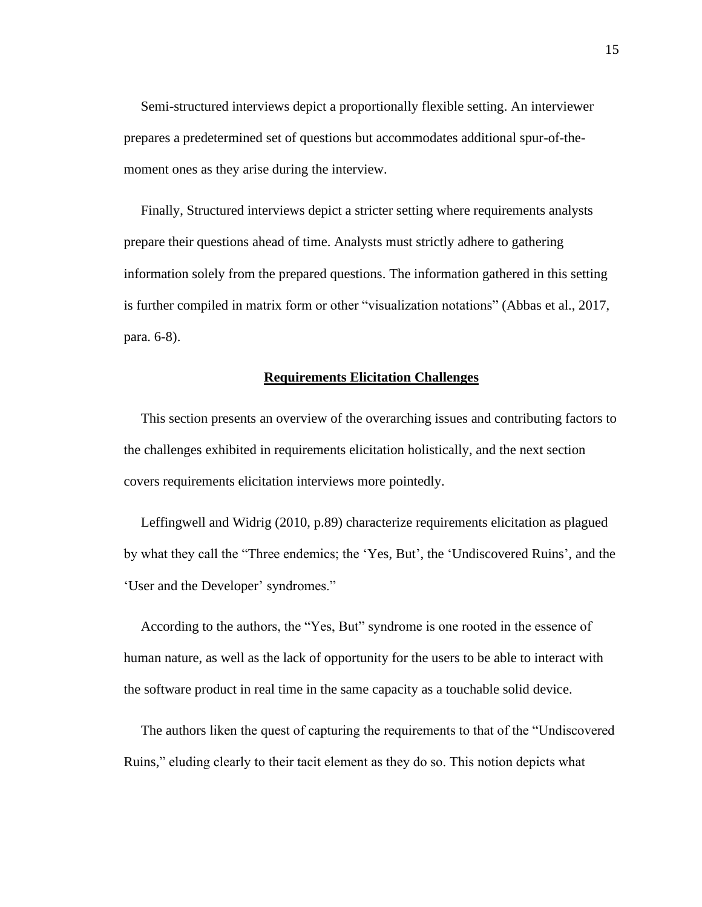Semi-structured interviews depict a proportionally flexible setting. An interviewer prepares a predetermined set of questions but accommodates additional spur-of-themoment ones as they arise during the interview.

 Finally, Structured interviews depict a stricter setting where requirements analysts prepare their questions ahead of time. Analysts must strictly adhere to gathering information solely from the prepared questions. The information gathered in this setting is further compiled in matrix form or other "visualization notations" (Abbas et al., 2017, para. 6-8).

#### **Requirements Elicitation Challenges**

<span id="page-22-0"></span> This section presents an overview of the overarching issues and contributing factors to the challenges exhibited in requirements elicitation holistically, and the next section covers requirements elicitation interviews more pointedly.

 Leffingwell and Widrig (2010, p.89) characterize requirements elicitation as plagued by what they call the "Three endemics; the 'Yes, But', the 'Undiscovered Ruins', and the 'User and the Developer' syndromes."

 According to the authors, the "Yes, But" syndrome is one rooted in the essence of human nature, as well as the lack of opportunity for the users to be able to interact with the software product in real time in the same capacity as a touchable solid device.

 The authors liken the quest of capturing the requirements to that of the "Undiscovered Ruins," eluding clearly to their tacit element as they do so. This notion depicts what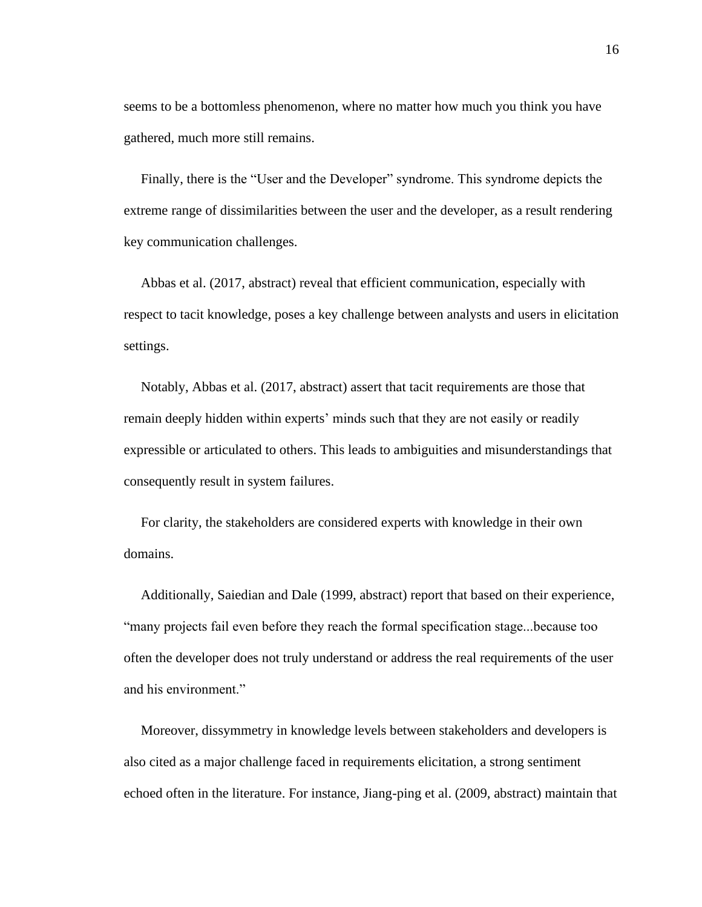seems to be a bottomless phenomenon, where no matter how much you think you have gathered, much more still remains.

 Finally, there is the "User and the Developer" syndrome. This syndrome depicts the extreme range of dissimilarities between the user and the developer, as a result rendering key communication challenges.

 Abbas et al. (2017, abstract) reveal that efficient communication, especially with respect to tacit knowledge, poses a key challenge between analysts and users in elicitation settings.

 Notably, Abbas et al. (2017, abstract) assert that tacit requirements are those that remain deeply hidden within experts' minds such that they are not easily or readily expressible or articulated to others. This leads to ambiguities and misunderstandings that consequently result in system failures.

 For clarity, the stakeholders are considered experts with knowledge in their own domains.

 Additionally, Saiedian and Dale (1999, abstract) report that based on their experience, "many projects fail even before they reach the formal specification stage...because too often the developer does not truly understand or address the real requirements of the user and his environment."

 Moreover, dissymmetry in knowledge levels between stakeholders and developers is also cited as a major challenge faced in requirements elicitation, a strong sentiment echoed often in the literature. For instance, Jiang-ping et al. (2009, abstract) maintain that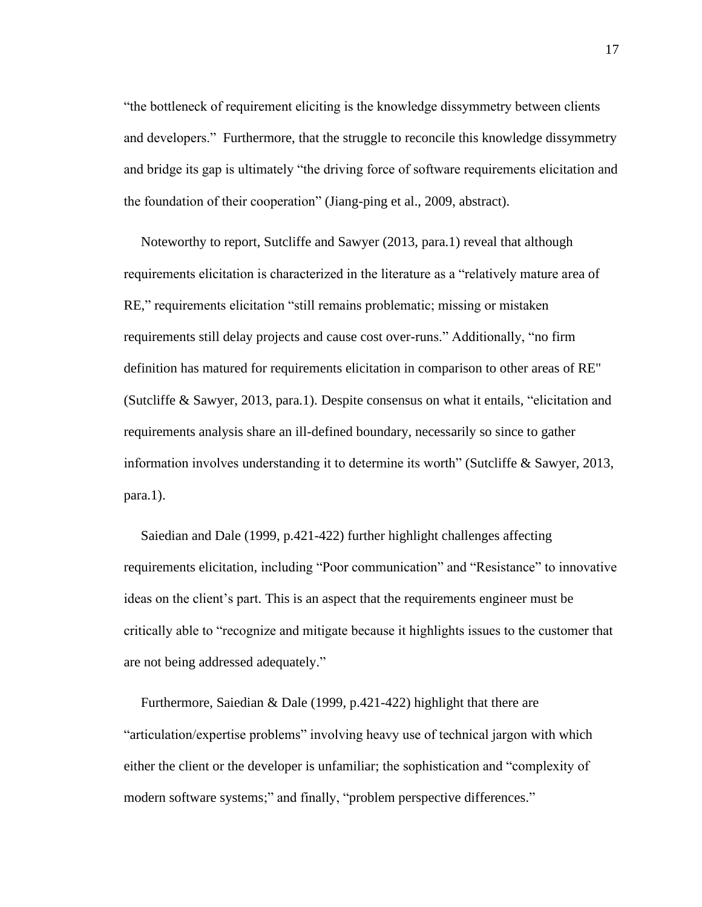"the bottleneck of requirement eliciting is the knowledge dissymmetry between clients and developers." Furthermore, that the struggle to reconcile this knowledge dissymmetry and bridge its gap is ultimately "the driving force of software requirements elicitation and the foundation of their cooperation" (Jiang-ping et al., 2009, abstract).

 Noteworthy to report, Sutcliffe and Sawyer (2013, para.1) reveal that although requirements elicitation is characterized in the literature as a "relatively mature area of RE," requirements elicitation "still remains problematic; missing or mistaken requirements still delay projects and cause cost over-runs." Additionally, "no firm definition has matured for requirements elicitation in comparison to other areas of RE" (Sutcliffe & Sawyer, 2013, para.1). Despite consensus on what it entails, "elicitation and requirements analysis share an ill-defined boundary, necessarily so since to gather information involves understanding it to determine its worth" (Sutcliffe  $&$  Sawyer, 2013, para.1).

 Saiedian and Dale (1999, p.421-422) further highlight challenges affecting requirements elicitation, including "Poor communication" and "Resistance" to innovative ideas on the client's part. This is an aspect that the requirements engineer must be critically able to "recognize and mitigate because it highlights issues to the customer that are not being addressed adequately."

 Furthermore, Saiedian & Dale (1999, p.421-422) highlight that there are "articulation/expertise problems" involving heavy use of technical jargon with which either the client or the developer is unfamiliar; the sophistication and "complexity of modern software systems;" and finally, "problem perspective differences."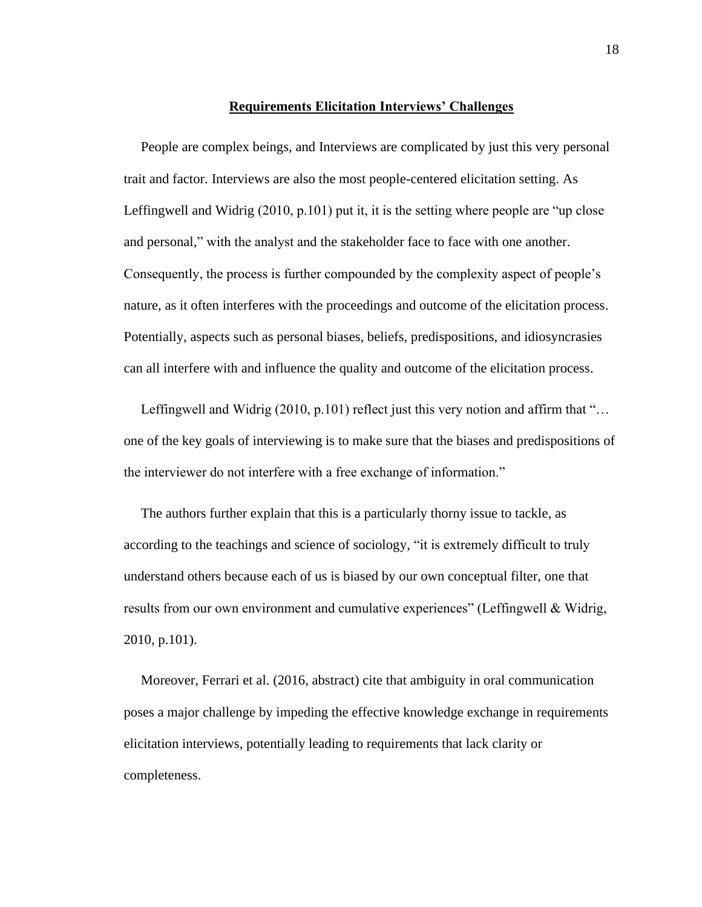#### **Requirements Elicitation Interviews' Challenges**

<span id="page-25-0"></span> People are complex beings, and Interviews are complicated by just this very personal trait and factor. Interviews are also the most people-centered elicitation setting. As Leffingwell and Widrig (2010, p.101) put it, it is the setting where people are "up close" and personal," with the analyst and the stakeholder face to face with one another. Consequently, the process is further compounded by the complexity aspect of people's nature, as it often interferes with the proceedings and outcome of the elicitation process. Potentially, aspects such as personal biases, beliefs, predispositions, and idiosyncrasies can all interfere with and influence the quality and outcome of the elicitation process.

Leffingwell and Widrig (2010, p.101) reflect just this very notion and affirm that "... one of the key goals of interviewing is to make sure that the biases and predispositions of the interviewer do not interfere with a free exchange of information."

 The authors further explain that this is a particularly thorny issue to tackle, as according to the teachings and science of sociology, "it is extremely difficult to truly understand others because each of us is biased by our own conceptual filter, one that results from our own environment and cumulative experiences" (Leffingwell & Widrig, 2010, p.101).

 Moreover, Ferrari et al. (2016, abstract) cite that ambiguity in oral communication poses a major challenge by impeding the effective knowledge exchange in requirements elicitation interviews, potentially leading to requirements that lack clarity or completeness.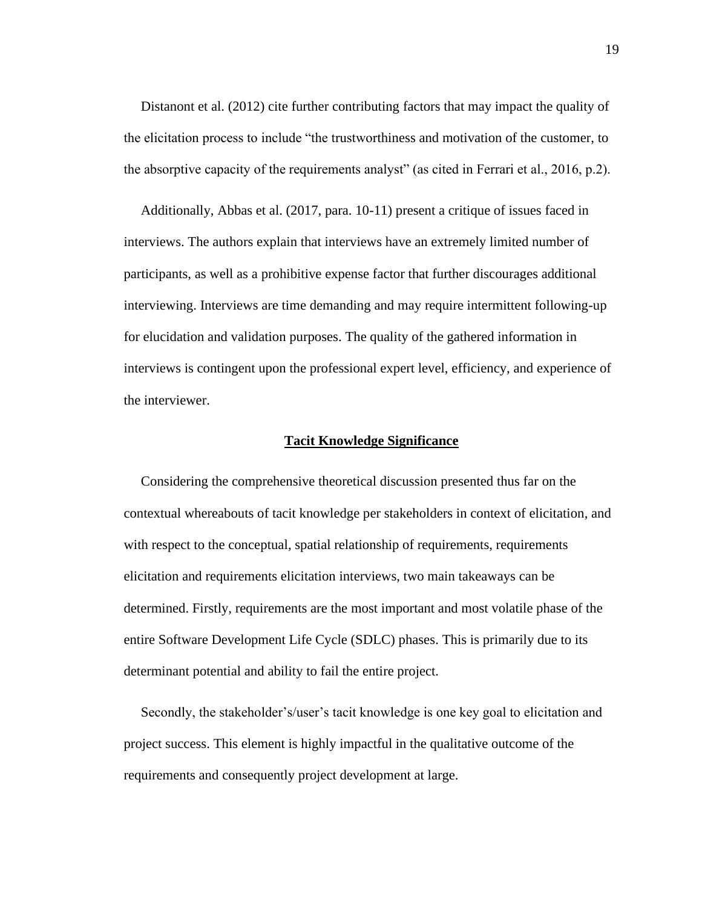Distanont et al. (2012) cite further contributing factors that may impact the quality of the elicitation process to include "the trustworthiness and motivation of the customer, to the absorptive capacity of the requirements analyst" (as cited in Ferrari et al., 2016, p.2).

 Additionally, Abbas et al. (2017, para. 10-11) present a critique of issues faced in interviews. The authors explain that interviews have an extremely limited number of participants, as well as a prohibitive expense factor that further discourages additional interviewing. Interviews are time demanding and may require intermittent following-up for elucidation and validation purposes. The quality of the gathered information in interviews is contingent upon the professional expert level, efficiency, and experience of the interviewer.

#### **Tacit Knowledge Significance**

<span id="page-26-0"></span> Considering the comprehensive theoretical discussion presented thus far on the contextual whereabouts of tacit knowledge per stakeholders in context of elicitation, and with respect to the conceptual, spatial relationship of requirements, requirements elicitation and requirements elicitation interviews, two main takeaways can be determined. Firstly, requirements are the most important and most volatile phase of the entire Software Development Life Cycle (SDLC) phases. This is primarily due to its determinant potential and ability to fail the entire project.

 Secondly, the stakeholder's/user's tacit knowledge is one key goal to elicitation and project success. This element is highly impactful in the qualitative outcome of the requirements and consequently project development at large.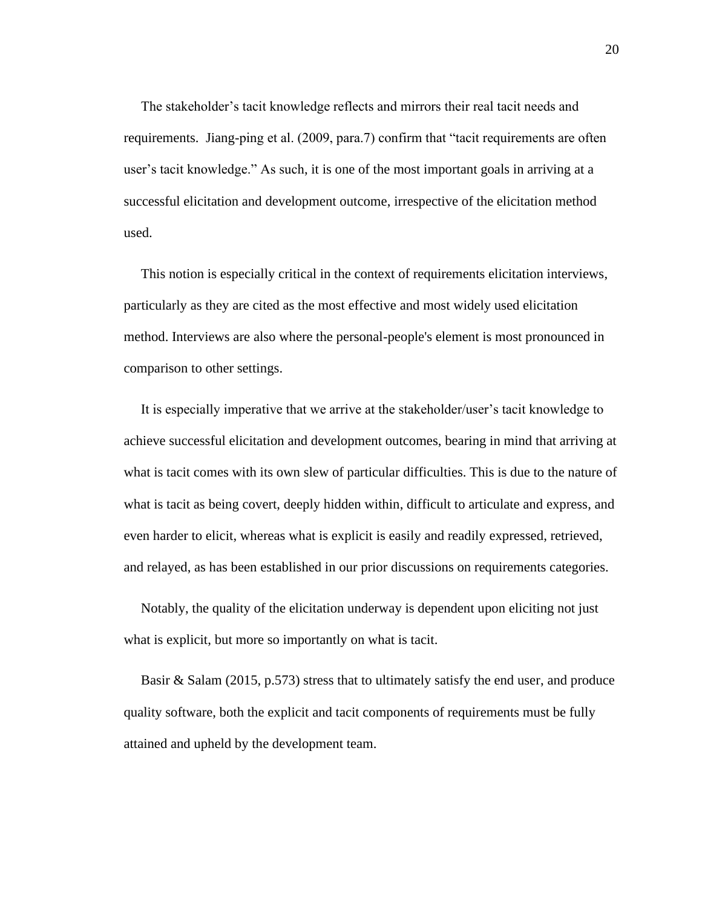The stakeholder's tacit knowledge reflects and mirrors their real tacit needs and requirements. Jiang-ping et al. (2009, para.7) confirm that "tacit requirements are often user's tacit knowledge." As such, it is one of the most important goals in arriving at a successful elicitation and development outcome, irrespective of the elicitation method used.

 This notion is especially critical in the context of requirements elicitation interviews, particularly as they are cited as the most effective and most widely used elicitation method. Interviews are also where the personal-people's element is most pronounced in comparison to other settings.

 It is especially imperative that we arrive at the stakeholder/user's tacit knowledge to achieve successful elicitation and development outcomes, bearing in mind that arriving at what is tacit comes with its own slew of particular difficulties. This is due to the nature of what is tacit as being covert, deeply hidden within, difficult to articulate and express, and even harder to elicit, whereas what is explicit is easily and readily expressed, retrieved, and relayed, as has been established in our prior discussions on requirements categories.

 Notably, the quality of the elicitation underway is dependent upon eliciting not just what is explicit, but more so importantly on what is tacit.

 Basir & Salam (2015, p.573) stress that to ultimately satisfy the end user, and produce quality software, both the explicit and tacit components of requirements must be fully attained and upheld by the development team.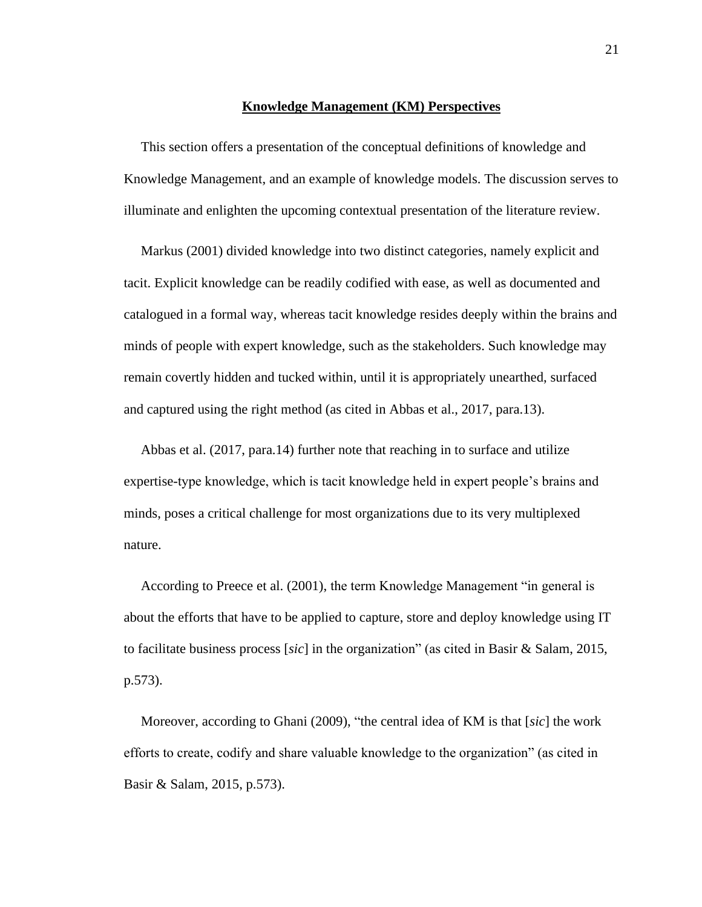#### **Knowledge Management (KM) Perspectives**

<span id="page-28-0"></span> This section offers a presentation of the conceptual definitions of knowledge and Knowledge Management, and an example of knowledge models. The discussion serves to illuminate and enlighten the upcoming contextual presentation of the literature review.

 Markus (2001) divided knowledge into two distinct categories, namely explicit and tacit. Explicit knowledge can be readily codified with ease, as well as documented and catalogued in a formal way, whereas tacit knowledge resides deeply within the brains and minds of people with expert knowledge, such as the stakeholders. Such knowledge may remain covertly hidden and tucked within, until it is appropriately unearthed, surfaced and captured using the right method (as cited in Abbas et al., 2017, para.13).

 Abbas et al. (2017, para.14) further note that reaching in to surface and utilize expertise-type knowledge, which is tacit knowledge held in expert people's brains and minds, poses a critical challenge for most organizations due to its very multiplexed nature.

 According to Preece et al. (2001), the term Knowledge Management "in general is about the efforts that have to be applied to capture, store and deploy knowledge using IT to facilitate business process [*sic*] in the organization" (as cited in Basir & Salam, 2015, p.573).

 Moreover, according to Ghani (2009), "the central idea of KM is that [*sic*] the work efforts to create, codify and share valuable knowledge to the organization" (as cited in Basir & Salam, 2015, p.573).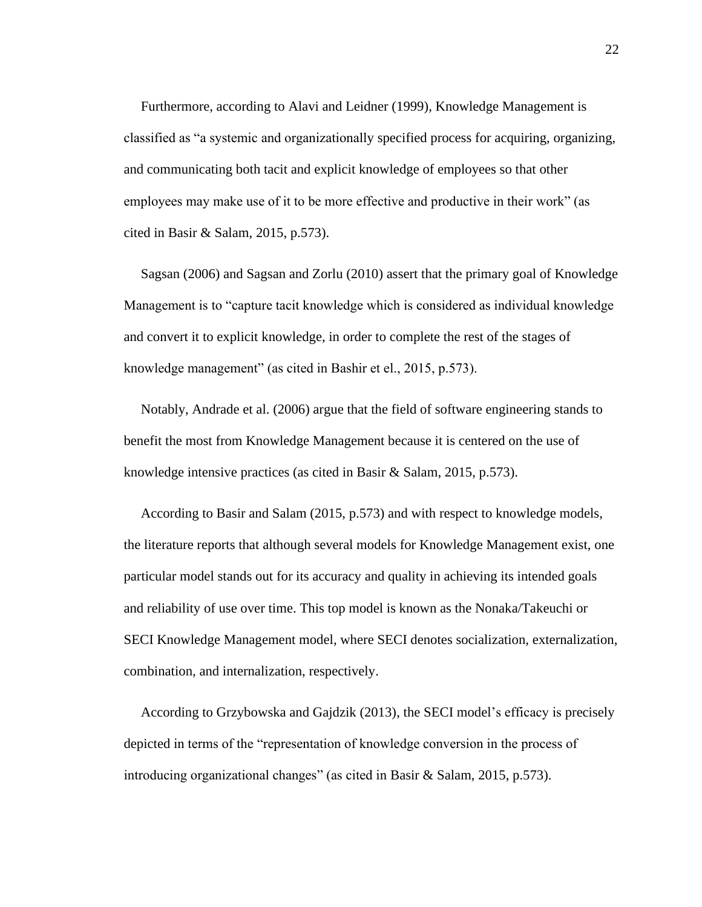Furthermore, according to Alavi and Leidner (1999), Knowledge Management is classified as "a systemic and organizationally specified process for acquiring, organizing, and communicating both tacit and explicit knowledge of employees so that other employees may make use of it to be more effective and productive in their work" (as cited in Basir & Salam, 2015, p.573).

 Sagsan (2006) and Sagsan and Zorlu (2010) assert that the primary goal of Knowledge Management is to "capture tacit knowledge which is considered as individual knowledge and convert it to explicit knowledge, in order to complete the rest of the stages of knowledge management" (as cited in Bashir et el., 2015, p.573).

 Notably, Andrade et al. (2006) argue that the field of software engineering stands to benefit the most from Knowledge Management because it is centered on the use of knowledge intensive practices (as cited in Basir & Salam, 2015, p.573).

 According to Basir and Salam (2015, p.573) and with respect to knowledge models, the literature reports that although several models for Knowledge Management exist, one particular model stands out for its accuracy and quality in achieving its intended goals and reliability of use over time. This top model is known as the Nonaka/Takeuchi or SECI Knowledge Management model, where SECI denotes socialization, externalization, combination, and internalization, respectively.

 According to Grzybowska and Gajdzik (2013), the SECI model's efficacy is precisely depicted in terms of the "representation of knowledge conversion in the process of introducing organizational changes" (as cited in Basir & Salam, 2015, p.573).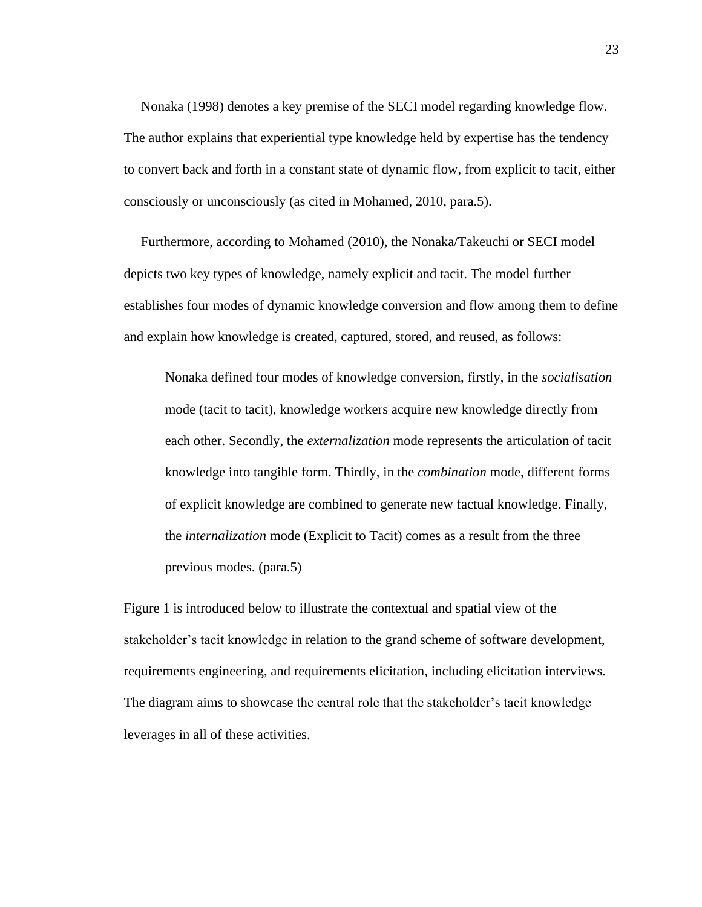Nonaka (1998) denotes a key premise of the SECI model regarding knowledge flow. The author explains that experiential type knowledge held by expertise has the tendency to convert back and forth in a constant state of dynamic flow, from explicit to tacit, either consciously or unconsciously (as cited in Mohamed, 2010, para.5).

 Furthermore, according to Mohamed (2010), the Nonaka/Takeuchi or SECI model depicts two key types of knowledge, namely explicit and tacit. The model further establishes four modes of dynamic knowledge conversion and flow among them to define and explain how knowledge is created, captured, stored, and reused, as follows:

Nonaka defined four modes of knowledge conversion, firstly, in the *socialisation* mode (tacit to tacit), knowledge workers acquire new knowledge directly from each other. Secondly, the *externalization* mode represents the articulation of tacit knowledge into tangible form. Thirdly, in the *combination* mode, different forms of explicit knowledge are combined to generate new factual knowledge. Finally, the *internalization* mode (Explicit to Tacit) comes as a result from the three previous modes. (para.5)

Figure 1 is introduced below to illustrate the contextual and spatial view of the stakeholder's tacit knowledge in relation to the grand scheme of software development, requirements engineering, and requirements elicitation, including elicitation interviews. The diagram aims to showcase the central role that the stakeholder's tacit knowledge leverages in all of these activities.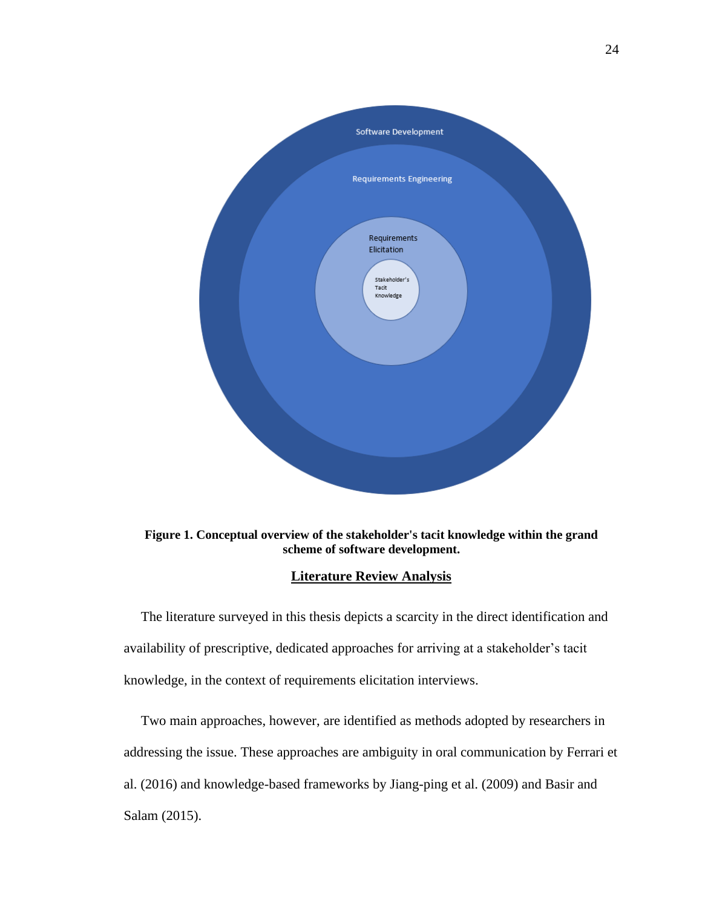

<span id="page-31-1"></span>**Figure 1. Conceptual overview of the stakeholder's tacit knowledge within the grand scheme of software development.**

## **Literature Review Analysis**

<span id="page-31-0"></span> The literature surveyed in this thesis depicts a scarcity in the direct identification and availability of prescriptive, dedicated approaches for arriving at a stakeholder's tacit knowledge, in the context of requirements elicitation interviews.

 Two main approaches, however, are identified as methods adopted by researchers in addressing the issue. These approaches are ambiguity in oral communication by Ferrari et al. (2016) and knowledge-based frameworks by Jiang-ping et al. (2009) and Basir and Salam (2015).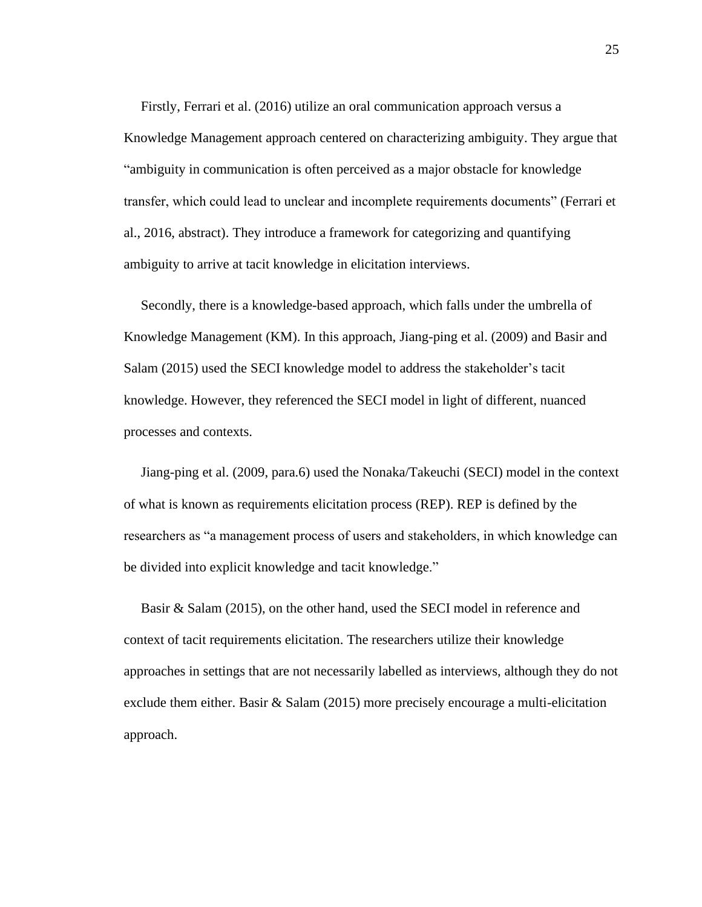Firstly, Ferrari et al. (2016) utilize an oral communication approach versus a Knowledge Management approach centered on characterizing ambiguity. They argue that "ambiguity in communication is often perceived as a major obstacle for knowledge transfer, which could lead to unclear and incomplete requirements documents" (Ferrari et al., 2016, abstract). They introduce a framework for categorizing and quantifying ambiguity to arrive at tacit knowledge in elicitation interviews.

 Secondly, there is a knowledge-based approach, which falls under the umbrella of Knowledge Management (KM). In this approach, Jiang-ping et al. (2009) and Basir and Salam (2015) used the SECI knowledge model to address the stakeholder's tacit knowledge. However, they referenced the SECI model in light of different, nuanced processes and contexts.

 Jiang-ping et al. (2009, para.6) used the Nonaka/Takeuchi (SECI) model in the context of what is known as requirements elicitation process (REP). REP is defined by the researchers as "a management process of users and stakeholders, in which knowledge can be divided into explicit knowledge and tacit knowledge."

 Basir & Salam (2015), on the other hand, used the SECI model in reference and context of tacit requirements elicitation. The researchers utilize their knowledge approaches in settings that are not necessarily labelled as interviews, although they do not exclude them either. Basir & Salam (2015) more precisely encourage a multi-elicitation approach.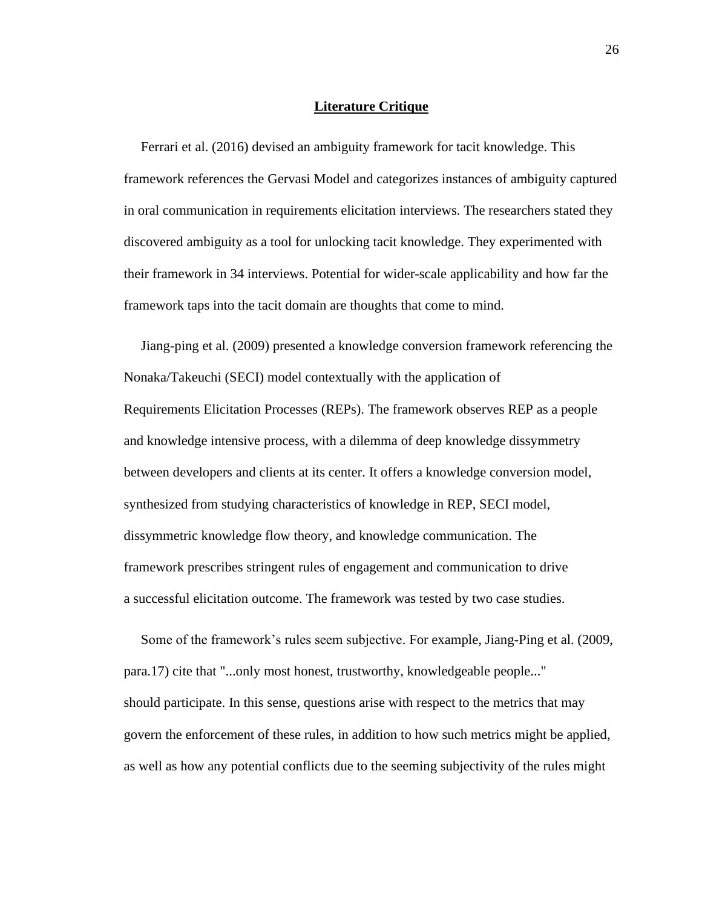#### **Literature Critique**

<span id="page-33-0"></span> Ferrari et al. (2016) devised an ambiguity framework for tacit knowledge. This framework references the Gervasi Model and categorizes instances of ambiguity captured in oral communication in requirements elicitation interviews. The researchers stated they discovered ambiguity as a tool for unlocking tacit knowledge. They experimented with their framework in 34 interviews. Potential for wider-scale applicability and how far the framework taps into the tacit domain are thoughts that come to mind.

 Jiang-ping et al. (2009) presented a knowledge conversion framework referencing the Nonaka/Takeuchi (SECI) model contextually with the application of Requirements Elicitation Processes (REPs). The framework observes REP as a people and knowledge intensive process, with a dilemma of deep knowledge dissymmetry between developers and clients at its center. It offers a knowledge conversion model, synthesized from studying characteristics of knowledge in REP, SECI model, dissymmetric knowledge flow theory, and knowledge communication. The framework prescribes stringent rules of engagement and communication to drive a successful elicitation outcome. The framework was tested by two case studies.

 Some of the framework's rules seem subjective. For example, Jiang-Ping et al. (2009, para.17) cite that "...only most honest, trustworthy, knowledgeable people..." should participate. In this sense, questions arise with respect to the metrics that may govern the enforcement of these rules, in addition to how such metrics might be applied, as well as how any potential conflicts due to the seeming subjectivity of the rules might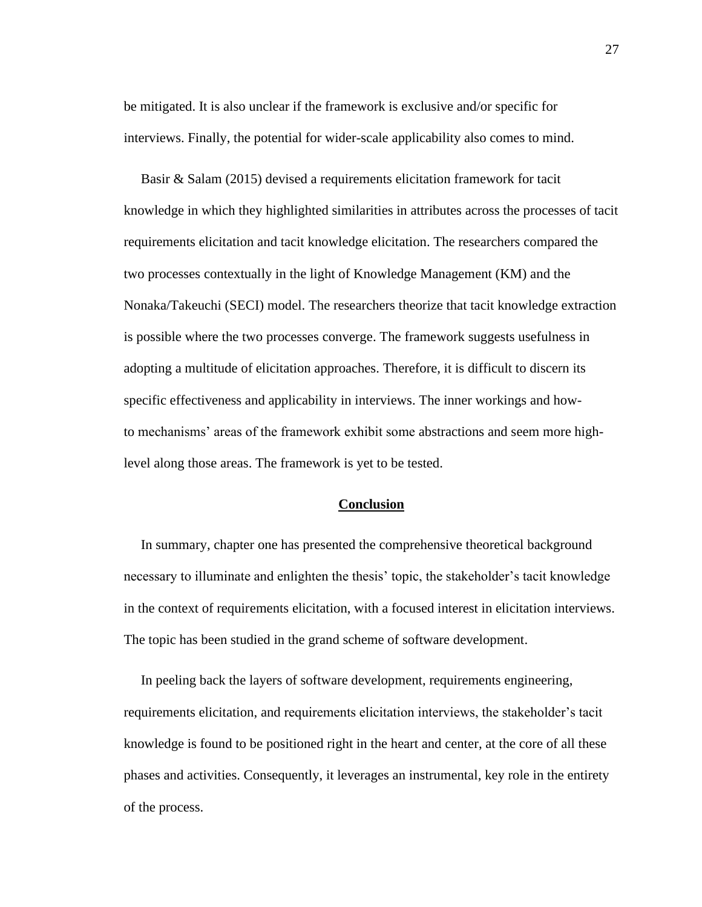be mitigated. It is also unclear if the framework is exclusive and/or specific for interviews. Finally, the potential for wider-scale applicability also comes to mind.

 Basir & Salam (2015) devised a requirements elicitation framework for tacit knowledge in which they highlighted similarities in attributes across the processes of tacit requirements elicitation and tacit knowledge elicitation. The researchers compared the two processes contextually in the light of Knowledge Management (KM) and the Nonaka/Takeuchi (SECI) model. The researchers theorize that tacit knowledge extraction is possible where the two processes converge. The framework suggests usefulness in adopting a multitude of elicitation approaches. Therefore, it is difficult to discern its specific effectiveness and applicability in interviews. The inner workings and howto mechanisms' areas of the framework exhibit some abstractions and seem more highlevel along those areas. The framework is yet to be tested.

#### **Conclusion**

<span id="page-34-0"></span> In summary, chapter one has presented the comprehensive theoretical background necessary to illuminate and enlighten the thesis' topic, the stakeholder's tacit knowledge in the context of requirements elicitation, with a focused interest in elicitation interviews. The topic has been studied in the grand scheme of software development.

 In peeling back the layers of software development, requirements engineering, requirements elicitation, and requirements elicitation interviews, the stakeholder's tacit knowledge is found to be positioned right in the heart and center, at the core of all these phases and activities. Consequently, it leverages an instrumental, key role in the entirety of the process.

27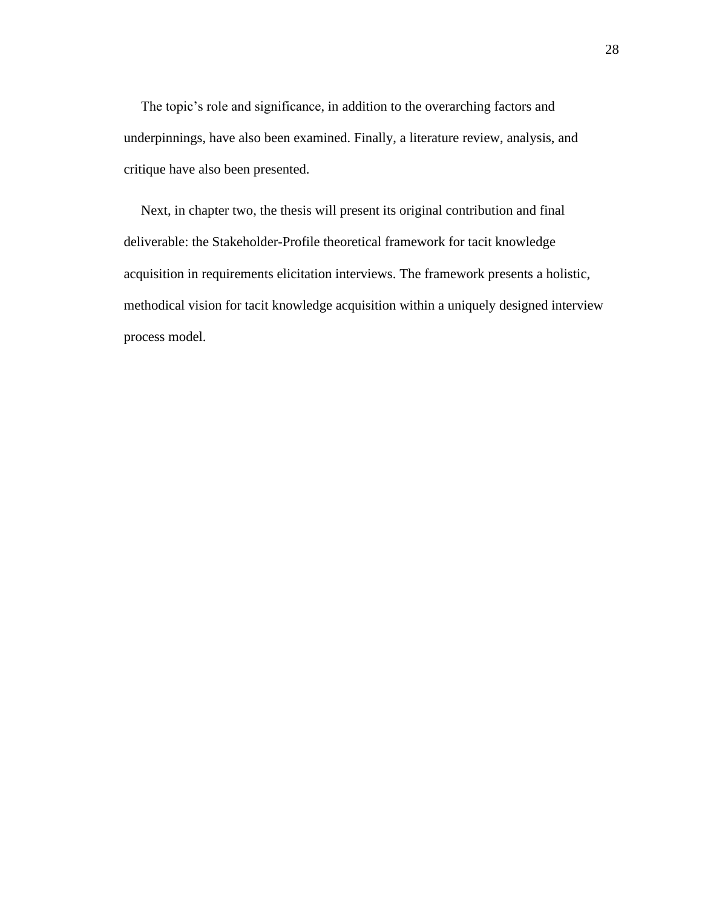The topic's role and significance, in addition to the overarching factors and underpinnings, have also been examined. Finally, a literature review, analysis, and critique have also been presented.

 Next, in chapter two, the thesis will present its original contribution and final deliverable: the Stakeholder-Profile theoretical framework for tacit knowledge acquisition in requirements elicitation interviews. The framework presents a holistic, methodical vision for tacit knowledge acquisition within a uniquely designed interview process model.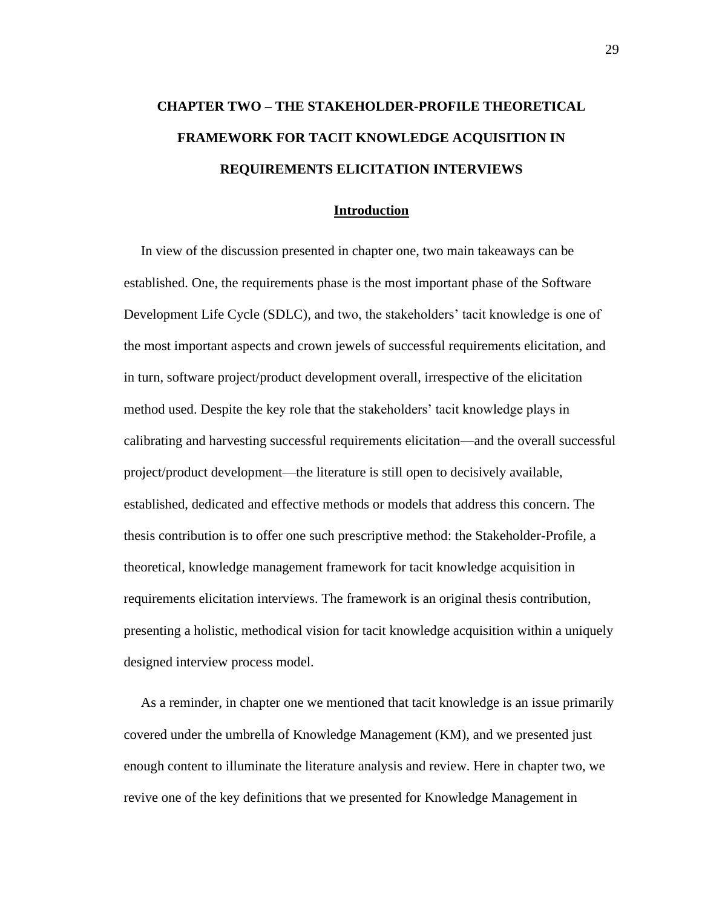# **CHAPTER TWO – THE STAKEHOLDER-PROFILE THEORETICAL FRAMEWORK FOR TACIT KNOWLEDGE ACQUISITION IN REQUIREMENTS ELICITATION INTERVIEWS**

#### **Introduction**

 In view of the discussion presented in chapter one, two main takeaways can be established. One, the requirements phase is the most important phase of the Software Development Life Cycle (SDLC), and two, the stakeholders' tacit knowledge is one of the most important aspects and crown jewels of successful requirements elicitation, and in turn, software project/product development overall, irrespective of the elicitation method used. Despite the key role that the stakeholders' tacit knowledge plays in calibrating and harvesting successful requirements elicitation—and the overall successful project/product development—the literature is still open to decisively available, established, dedicated and effective methods or models that address this concern. The thesis contribution is to offer one such prescriptive method: the Stakeholder-Profile, a theoretical, knowledge management framework for tacit knowledge acquisition in requirements elicitation interviews. The framework is an original thesis contribution, presenting a holistic, methodical vision for tacit knowledge acquisition within a uniquely designed interview process model.

 As a reminder, in chapter one we mentioned that tacit knowledge is an issue primarily covered under the umbrella of Knowledge Management (KM), and we presented just enough content to illuminate the literature analysis and review. Here in chapter two, we revive one of the key definitions that we presented for Knowledge Management in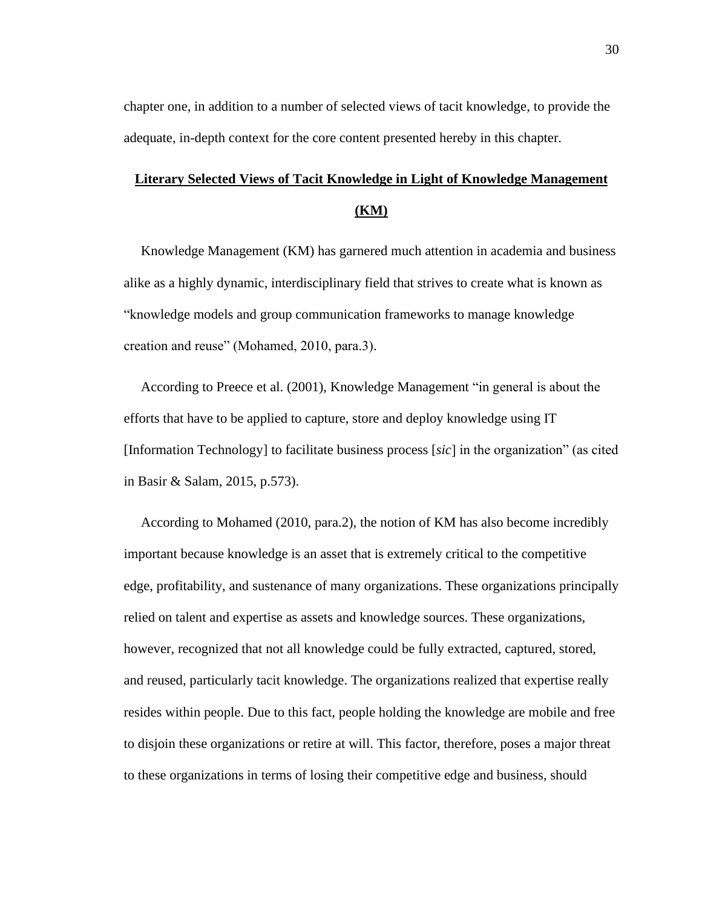chapter one, in addition to a number of selected views of tacit knowledge, to provide the adequate, in-depth context for the core content presented hereby in this chapter.

# **Literary Selected Views of Tacit Knowledge in Light of Knowledge Management (KM)**

 Knowledge Management (KM) has garnered much attention in academia and business alike as a highly dynamic, interdisciplinary field that strives to create what is known as "knowledge models and group communication frameworks to manage knowledge creation and reuse" (Mohamed, 2010, para.3).

 According to Preece et al. (2001), Knowledge Management "in general is about the efforts that have to be applied to capture, store and deploy knowledge using IT [Information Technology] to facilitate business process [*sic*] in the organization" (as cited in Basir & Salam, 2015, p.573).

 According to Mohamed (2010, para.2), the notion of KM has also become incredibly important because knowledge is an asset that is extremely critical to the competitive edge, profitability, and sustenance of many organizations. These organizations principally relied on talent and expertise as assets and knowledge sources. These organizations, however, recognized that not all knowledge could be fully extracted, captured, stored, and reused, particularly tacit knowledge. The organizations realized that expertise really resides within people. Due to this fact, people holding the knowledge are mobile and free to disjoin these organizations or retire at will. This factor, therefore, poses a major threat to these organizations in terms of losing their competitive edge and business, should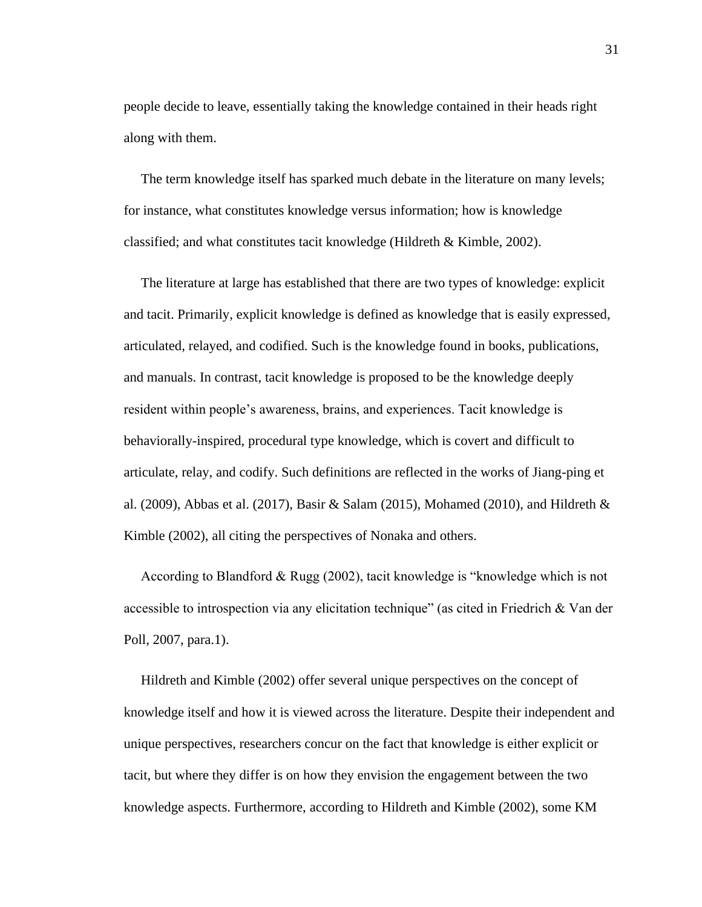people decide to leave, essentially taking the knowledge contained in their heads right along with them.

 The term knowledge itself has sparked much debate in the literature on many levels; for instance, what constitutes knowledge versus information; how is knowledge classified; and what constitutes tacit knowledge (Hildreth & Kimble, 2002).

 The literature at large has established that there are two types of knowledge: explicit and tacit. Primarily, explicit knowledge is defined as knowledge that is easily expressed, articulated, relayed, and codified. Such is the knowledge found in books, publications, and manuals. In contrast, tacit knowledge is proposed to be the knowledge deeply resident within people's awareness, brains, and experiences. Tacit knowledge is behaviorally-inspired, procedural type knowledge, which is covert and difficult to articulate, relay, and codify. Such definitions are reflected in the works of Jiang-ping et al. (2009), Abbas et al. (2017), Basir & Salam (2015), Mohamed (2010), and Hildreth & Kimble (2002), all citing the perspectives of Nonaka and others.

 According to Blandford & Rugg (2002), tacit knowledge is "knowledge which is not accessible to introspection via any elicitation technique" (as cited in Friedrich & Van der Poll, 2007, para.1).

 Hildreth and Kimble (2002) offer several unique perspectives on the concept of knowledge itself and how it is viewed across the literature. Despite their independent and unique perspectives, researchers concur on the fact that knowledge is either explicit or tacit, but where they differ is on how they envision the engagement between the two knowledge aspects. Furthermore, according to Hildreth and Kimble (2002), some KM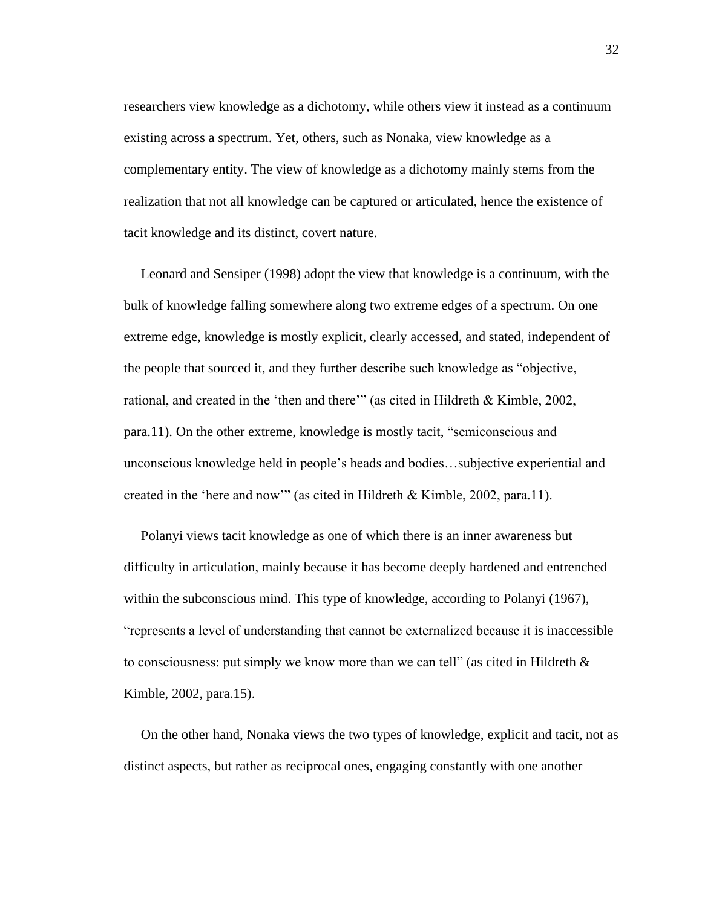researchers view knowledge as a dichotomy, while others view it instead as a continuum existing across a spectrum. Yet, others, such as Nonaka, view knowledge as a complementary entity. The view of knowledge as a dichotomy mainly stems from the realization that not all knowledge can be captured or articulated, hence the existence of tacit knowledge and its distinct, covert nature.

 Leonard and Sensiper (1998) adopt the view that knowledge is a continuum, with the bulk of knowledge falling somewhere along two extreme edges of a spectrum. On one extreme edge, knowledge is mostly explicit, clearly accessed, and stated, independent of the people that sourced it, and they further describe such knowledge as "objective, rational, and created in the 'then and there'" (as cited in Hildreth & Kimble, 2002, para.11). On the other extreme, knowledge is mostly tacit, "semiconscious and unconscious knowledge held in people's heads and bodies…subjective experiential and created in the 'here and now'" (as cited in Hildreth & Kimble, 2002, para.11).

 Polanyi views tacit knowledge as one of which there is an inner awareness but difficulty in articulation, mainly because it has become deeply hardened and entrenched within the subconscious mind. This type of knowledge, according to Polanyi (1967), "represents a level of understanding that cannot be externalized because it is inaccessible to consciousness: put simply we know more than we can tell" (as cited in Hildreth  $\&$ Kimble, 2002, para.15).

 On the other hand, Nonaka views the two types of knowledge, explicit and tacit, not as distinct aspects, but rather as reciprocal ones, engaging constantly with one another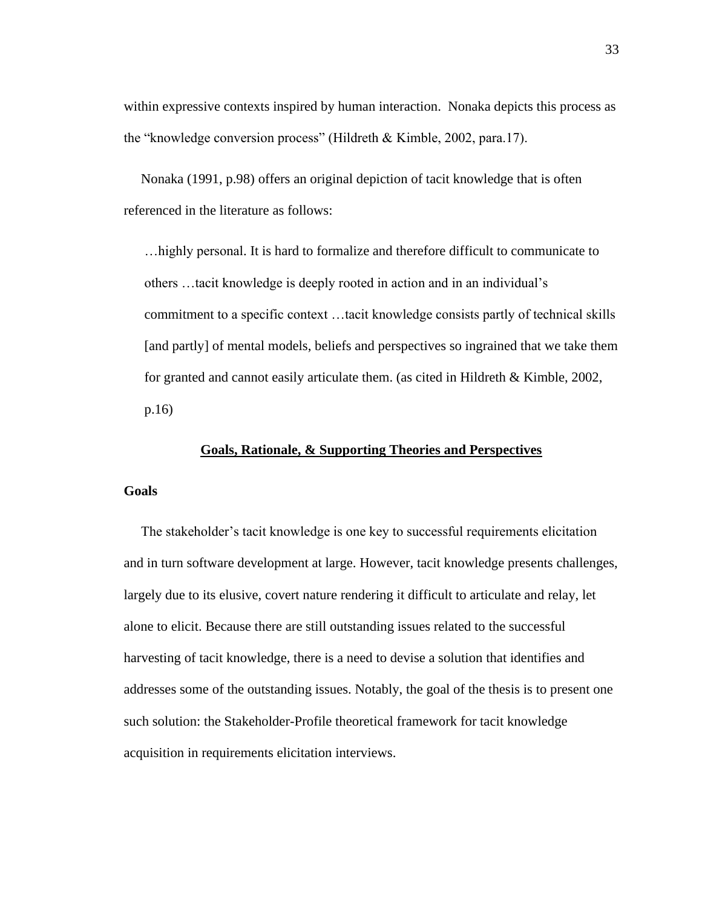within expressive contexts inspired by human interaction. Nonaka depicts this process as the "knowledge conversion process" (Hildreth & Kimble, 2002, para.17).

 Nonaka (1991, p.98) offers an original depiction of tacit knowledge that is often referenced in the literature as follows:

…highly personal. It is hard to formalize and therefore difficult to communicate to others …tacit knowledge is deeply rooted in action and in an individual's commitment to a specific context …tacit knowledge consists partly of technical skills [and partly] of mental models, beliefs and perspectives so ingrained that we take them for granted and cannot easily articulate them. (as cited in Hildreth & Kimble, 2002, p.16)

#### **Goals, Rationale, & Supporting Theories and Perspectives**

## **Goals**

 The stakeholder's tacit knowledge is one key to successful requirements elicitation and in turn software development at large. However, tacit knowledge presents challenges, largely due to its elusive, covert nature rendering it difficult to articulate and relay, let alone to elicit. Because there are still outstanding issues related to the successful harvesting of tacit knowledge, there is a need to devise a solution that identifies and addresses some of the outstanding issues. Notably, the goal of the thesis is to present one such solution: the Stakeholder-Profile theoretical framework for tacit knowledge acquisition in requirements elicitation interviews.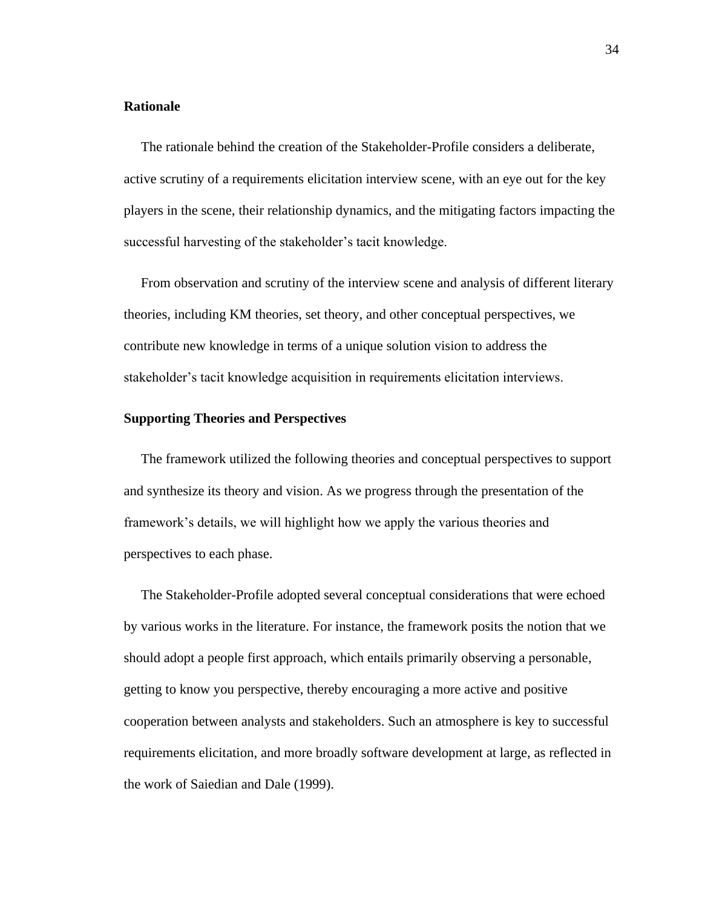#### **Rationale**

 The rationale behind the creation of the Stakeholder-Profile considers a deliberate, active scrutiny of a requirements elicitation interview scene, with an eye out for the key players in the scene, their relationship dynamics, and the mitigating factors impacting the successful harvesting of the stakeholder's tacit knowledge.

 From observation and scrutiny of the interview scene and analysis of different literary theories, including KM theories, set theory, and other conceptual perspectives, we contribute new knowledge in terms of a unique solution vision to address the stakeholder's tacit knowledge acquisition in requirements elicitation interviews.

#### **Supporting Theories and Perspectives**

 The framework utilized the following theories and conceptual perspectives to support and synthesize its theory and vision. As we progress through the presentation of the framework's details, we will highlight how we apply the various theories and perspectives to each phase.

 The Stakeholder-Profile adopted several conceptual considerations that were echoed by various works in the literature. For instance, the framework posits the notion that we should adopt a people first approach, which entails primarily observing a personable, getting to know you perspective, thereby encouraging a more active and positive cooperation between analysts and stakeholders. Such an atmosphere is key to successful requirements elicitation, and more broadly software development at large, as reflected in the work of Saiedian and Dale (1999).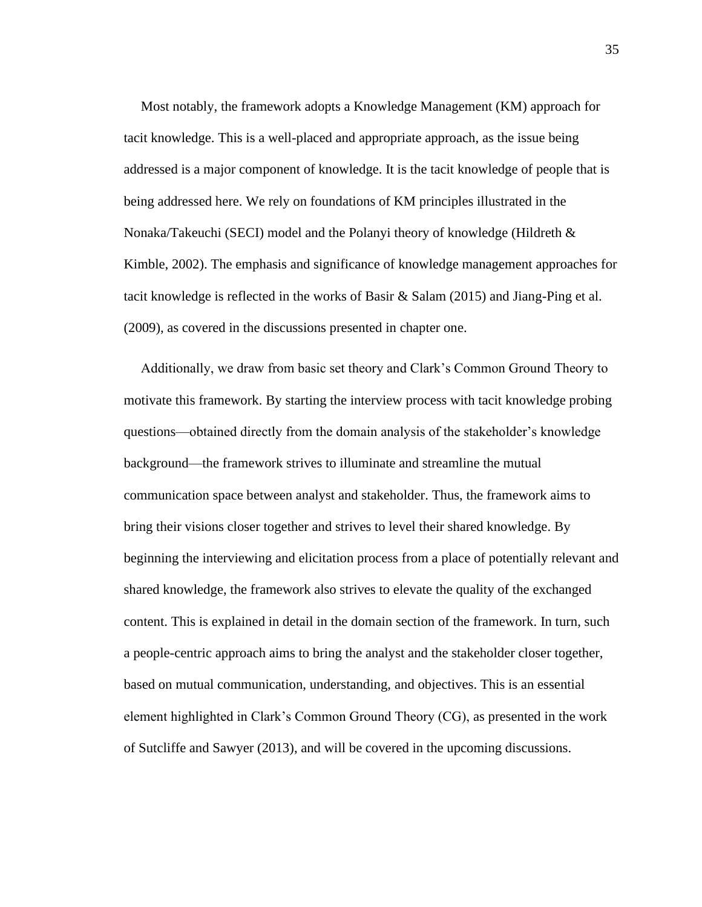Most notably, the framework adopts a Knowledge Management (KM) approach for tacit knowledge. This is a well-placed and appropriate approach, as the issue being addressed is a major component of knowledge. It is the tacit knowledge of people that is being addressed here. We rely on foundations of KM principles illustrated in the Nonaka/Takeuchi (SECI) model and the Polanyi theory of knowledge (Hildreth & Kimble, 2002). The emphasis and significance of knowledge management approaches for tacit knowledge is reflected in the works of Basir  $\&$  Salam (2015) and Jiang-Ping et al. (2009), as covered in the discussions presented in chapter one.

 Additionally, we draw from basic set theory and Clark's Common Ground Theory to motivate this framework. By starting the interview process with tacit knowledge probing questions—obtained directly from the domain analysis of the stakeholder's knowledge background—the framework strives to illuminate and streamline the mutual communication space between analyst and stakeholder. Thus, the framework aims to bring their visions closer together and strives to level their shared knowledge. By beginning the interviewing and elicitation process from a place of potentially relevant and shared knowledge, the framework also strives to elevate the quality of the exchanged content. This is explained in detail in the domain section of the framework. In turn, such a people-centric approach aims to bring the analyst and the stakeholder closer together, based on mutual communication, understanding, and objectives. This is an essential element highlighted in Clark's Common Ground Theory (CG), as presented in the work of Sutcliffe and Sawyer (2013), and will be covered in the upcoming discussions.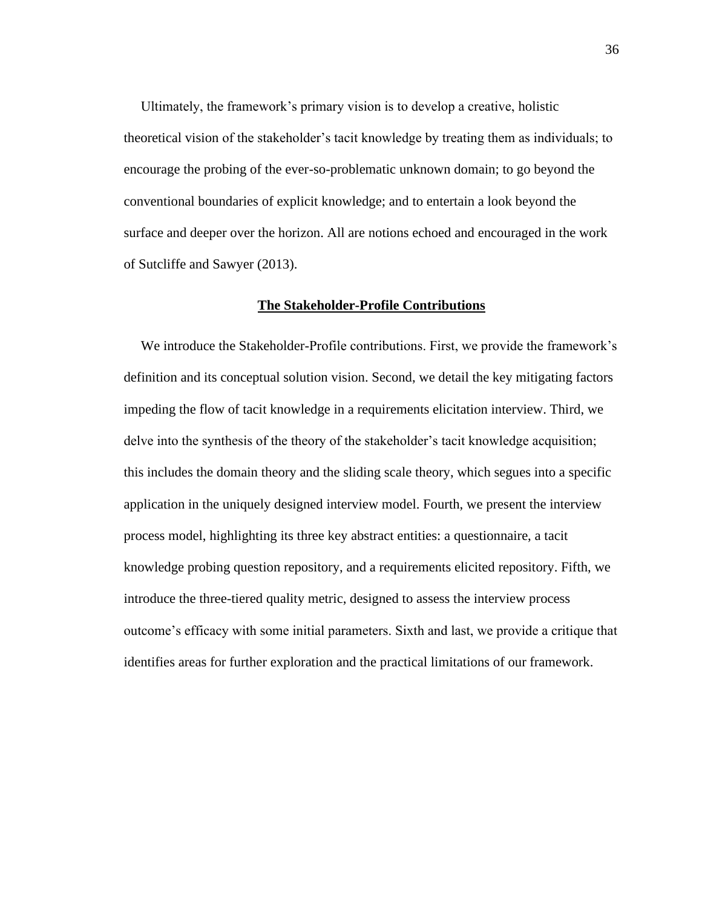Ultimately, the framework's primary vision is to develop a creative, holistic theoretical vision of the stakeholder's tacit knowledge by treating them as individuals; to encourage the probing of the ever-so-problematic unknown domain; to go beyond the conventional boundaries of explicit knowledge; and to entertain a look beyond the surface and deeper over the horizon. All are notions echoed and encouraged in the work of Sutcliffe and Sawyer (2013).

## **The Stakeholder-Profile Contributions**

 We introduce the Stakeholder-Profile contributions. First, we provide the framework's definition and its conceptual solution vision. Second, we detail the key mitigating factors impeding the flow of tacit knowledge in a requirements elicitation interview. Third, we delve into the synthesis of the theory of the stakeholder's tacit knowledge acquisition; this includes the domain theory and the sliding scale theory, which segues into a specific application in the uniquely designed interview model. Fourth, we present the interview process model, highlighting its three key abstract entities: a questionnaire, a tacit knowledge probing question repository, and a requirements elicited repository. Fifth, we introduce the three-tiered quality metric, designed to assess the interview process outcome's efficacy with some initial parameters. Sixth and last, we provide a critique that identifies areas for further exploration and the practical limitations of our framework.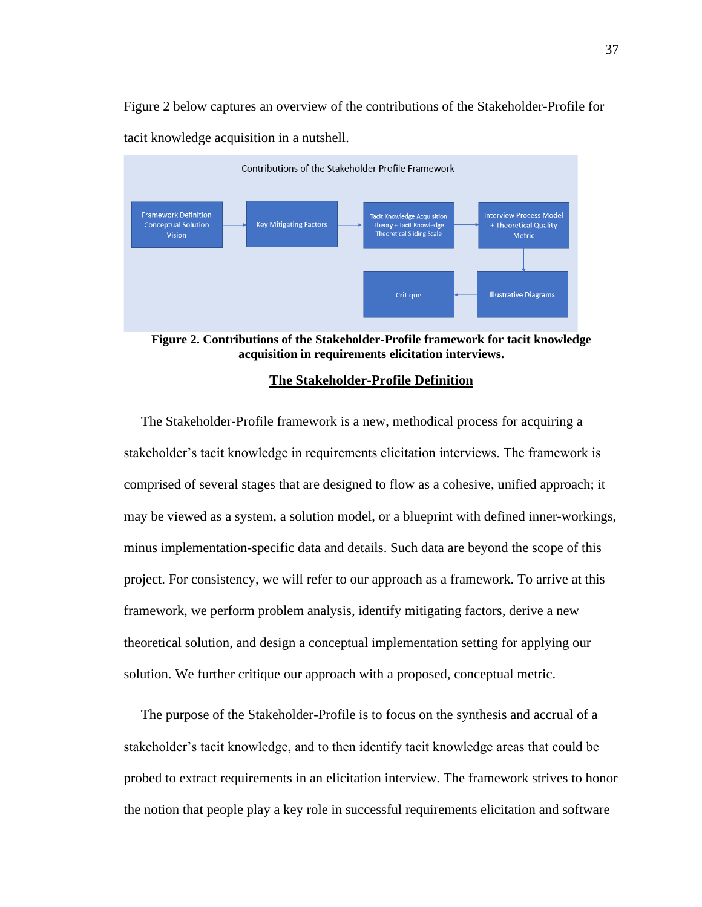Figure 2 below captures an overview of the contributions of the Stakeholder-Profile for tacit knowledge acquisition in a nutshell.



**Figure 2. Contributions of the Stakeholder-Profile framework for tacit knowledge acquisition in requirements elicitation interviews.**

#### **The Stakeholder-Profile Definition**

 The Stakeholder-Profile framework is a new, methodical process for acquiring a stakeholder's tacit knowledge in requirements elicitation interviews. The framework is comprised of several stages that are designed to flow as a cohesive, unified approach; it may be viewed as a system, a solution model, or a blueprint with defined inner-workings, minus implementation-specific data and details. Such data are beyond the scope of this project. For consistency, we will refer to our approach as a framework. To arrive at this framework, we perform problem analysis, identify mitigating factors, derive a new theoretical solution, and design a conceptual implementation setting for applying our solution. We further critique our approach with a proposed, conceptual metric.

 The purpose of the Stakeholder-Profile is to focus on the synthesis and accrual of a stakeholder's tacit knowledge, and to then identify tacit knowledge areas that could be probed to extract requirements in an elicitation interview. The framework strives to honor the notion that people play a key role in successful requirements elicitation and software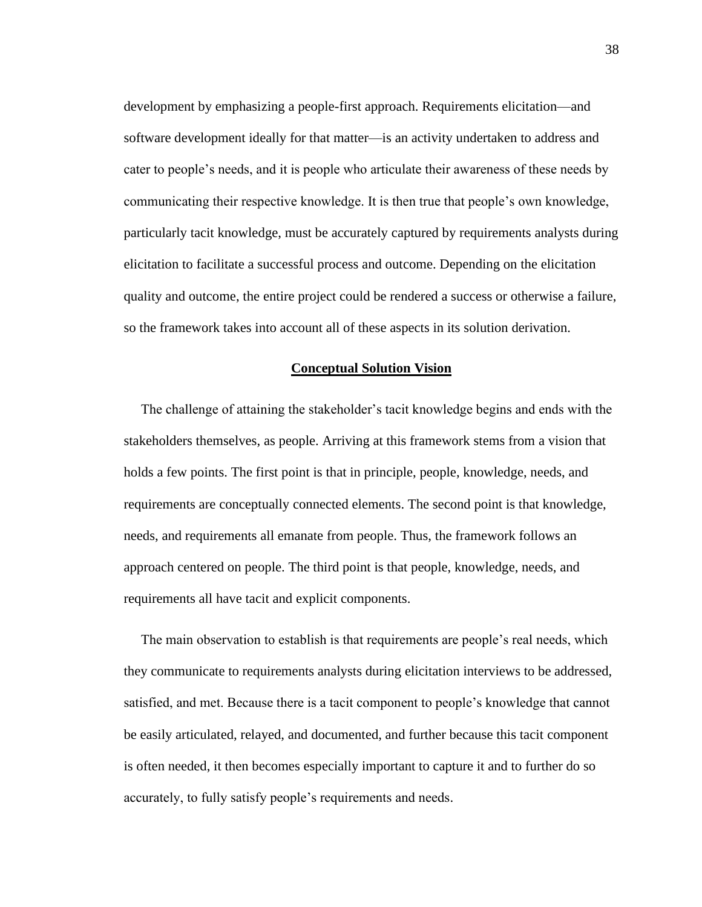development by emphasizing a people-first approach. Requirements elicitation—and software development ideally for that matter—is an activity undertaken to address and cater to people's needs, and it is people who articulate their awareness of these needs by communicating their respective knowledge. It is then true that people's own knowledge, particularly tacit knowledge, must be accurately captured by requirements analysts during elicitation to facilitate a successful process and outcome. Depending on the elicitation quality and outcome, the entire project could be rendered a success or otherwise a failure, so the framework takes into account all of these aspects in its solution derivation.

#### **Conceptual Solution Vision**

 The challenge of attaining the stakeholder's tacit knowledge begins and ends with the stakeholders themselves, as people. Arriving at this framework stems from a vision that holds a few points. The first point is that in principle, people, knowledge, needs, and requirements are conceptually connected elements. The second point is that knowledge, needs, and requirements all emanate from people. Thus, the framework follows an approach centered on people. The third point is that people, knowledge, needs, and requirements all have tacit and explicit components.

 The main observation to establish is that requirements are people's real needs, which they communicate to requirements analysts during elicitation interviews to be addressed, satisfied, and met. Because there is a tacit component to people's knowledge that cannot be easily articulated, relayed, and documented, and further because this tacit component is often needed, it then becomes especially important to capture it and to further do so accurately, to fully satisfy people's requirements and needs.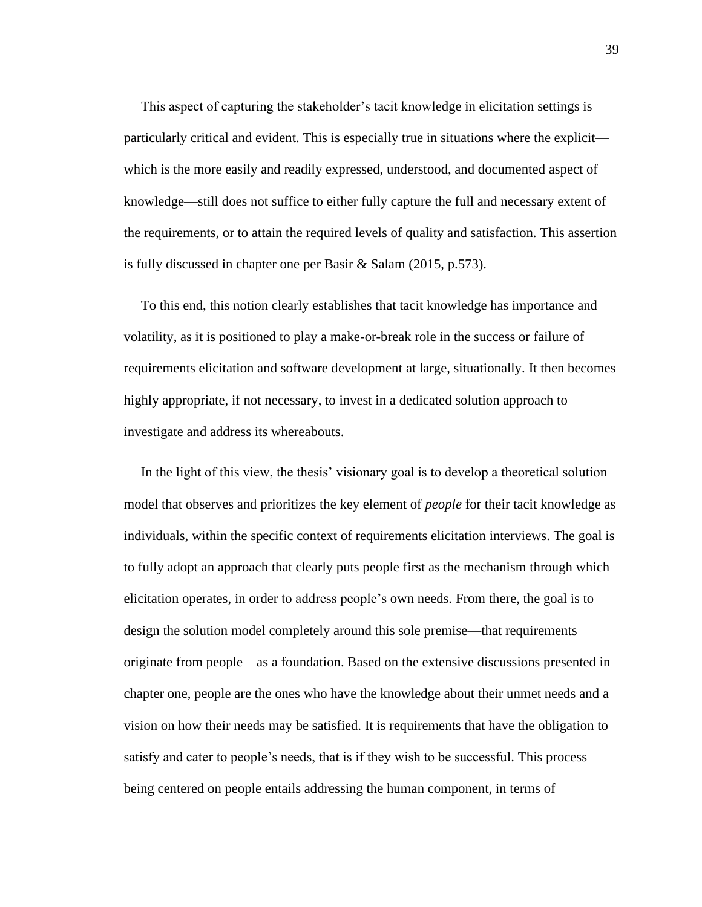This aspect of capturing the stakeholder's tacit knowledge in elicitation settings is particularly critical and evident. This is especially true in situations where the explicit which is the more easily and readily expressed, understood, and documented aspect of knowledge—still does not suffice to either fully capture the full and necessary extent of the requirements, or to attain the required levels of quality and satisfaction. This assertion is fully discussed in chapter one per Basir & Salam (2015, p.573).

 To this end, this notion clearly establishes that tacit knowledge has importance and volatility, as it is positioned to play a make-or-break role in the success or failure of requirements elicitation and software development at large, situationally. It then becomes highly appropriate, if not necessary, to invest in a dedicated solution approach to investigate and address its whereabouts.

 In the light of this view, the thesis' visionary goal is to develop a theoretical solution model that observes and prioritizes the key element of *people* for their tacit knowledge as individuals, within the specific context of requirements elicitation interviews. The goal is to fully adopt an approach that clearly puts people first as the mechanism through which elicitation operates, in order to address people's own needs. From there, the goal is to design the solution model completely around this sole premise—that requirements originate from people—as a foundation. Based on the extensive discussions presented in chapter one, people are the ones who have the knowledge about their unmet needs and a vision on how their needs may be satisfied. It is requirements that have the obligation to satisfy and cater to people's needs, that is if they wish to be successful. This process being centered on people entails addressing the human component, in terms of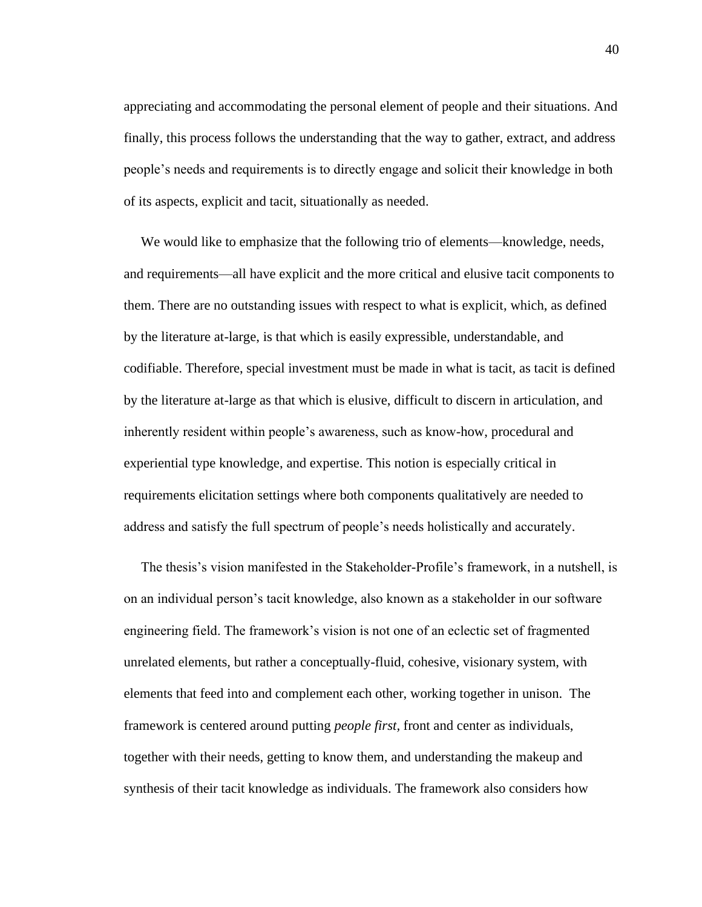appreciating and accommodating the personal element of people and their situations. And finally, this process follows the understanding that the way to gather, extract, and address people's needs and requirements is to directly engage and solicit their knowledge in both of its aspects, explicit and tacit, situationally as needed.

 We would like to emphasize that the following trio of elements—knowledge, needs, and requirements—all have explicit and the more critical and elusive tacit components to them. There are no outstanding issues with respect to what is explicit, which, as defined by the literature at-large, is that which is easily expressible, understandable, and codifiable. Therefore, special investment must be made in what is tacit, as tacit is defined by the literature at-large as that which is elusive, difficult to discern in articulation, and inherently resident within people's awareness, such as know-how, procedural and experiential type knowledge, and expertise. This notion is especially critical in requirements elicitation settings where both components qualitatively are needed to address and satisfy the full spectrum of people's needs holistically and accurately.

 The thesis's vision manifested in the Stakeholder-Profile's framework, in a nutshell, is on an individual person's tacit knowledge, also known as a stakeholder in our software engineering field. The framework's vision is not one of an eclectic set of fragmented unrelated elements, but rather a conceptually-fluid, cohesive, visionary system, with elements that feed into and complement each other, working together in unison. The framework is centered around putting *people first,* front and center as individuals, together with their needs, getting to know them, and understanding the makeup and synthesis of their tacit knowledge as individuals. The framework also considers how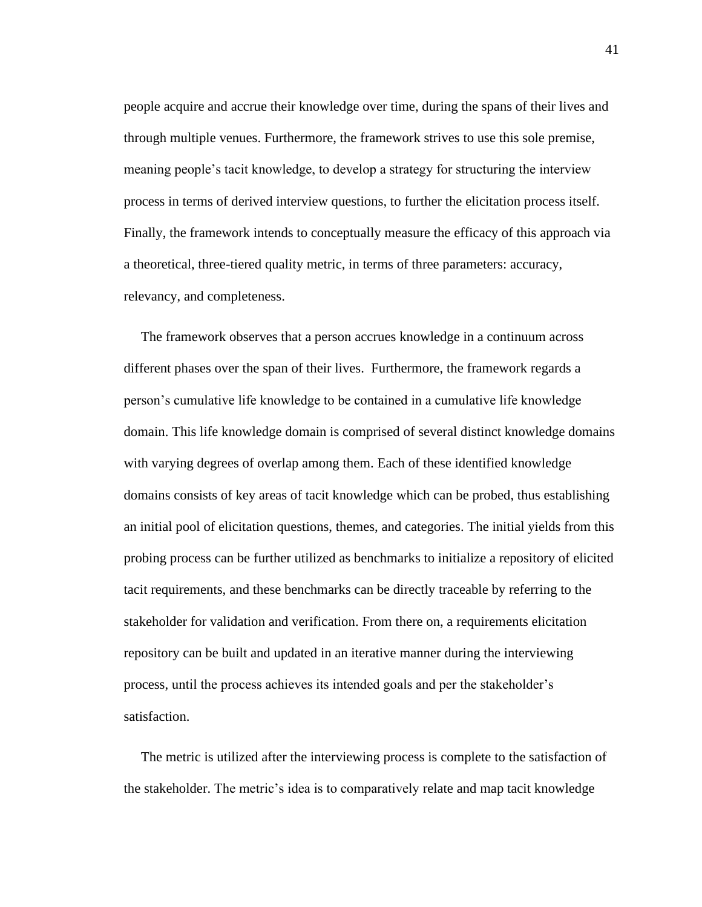people acquire and accrue their knowledge over time, during the spans of their lives and through multiple venues. Furthermore, the framework strives to use this sole premise, meaning people's tacit knowledge, to develop a strategy for structuring the interview process in terms of derived interview questions, to further the elicitation process itself. Finally, the framework intends to conceptually measure the efficacy of this approach via a theoretical, three-tiered quality metric, in terms of three parameters: accuracy, relevancy, and completeness.

 The framework observes that a person accrues knowledge in a continuum across different phases over the span of their lives. Furthermore, the framework regards a person's cumulative life knowledge to be contained in a cumulative life knowledge domain. This life knowledge domain is comprised of several distinct knowledge domains with varying degrees of overlap among them. Each of these identified knowledge domains consists of key areas of tacit knowledge which can be probed, thus establishing an initial pool of elicitation questions, themes, and categories. The initial yields from this probing process can be further utilized as benchmarks to initialize a repository of elicited tacit requirements, and these benchmarks can be directly traceable by referring to the stakeholder for validation and verification. From there on, a requirements elicitation repository can be built and updated in an iterative manner during the interviewing process, until the process achieves its intended goals and per the stakeholder's satisfaction.

 The metric is utilized after the interviewing process is complete to the satisfaction of the stakeholder. The metric's idea is to comparatively relate and map tacit knowledge

41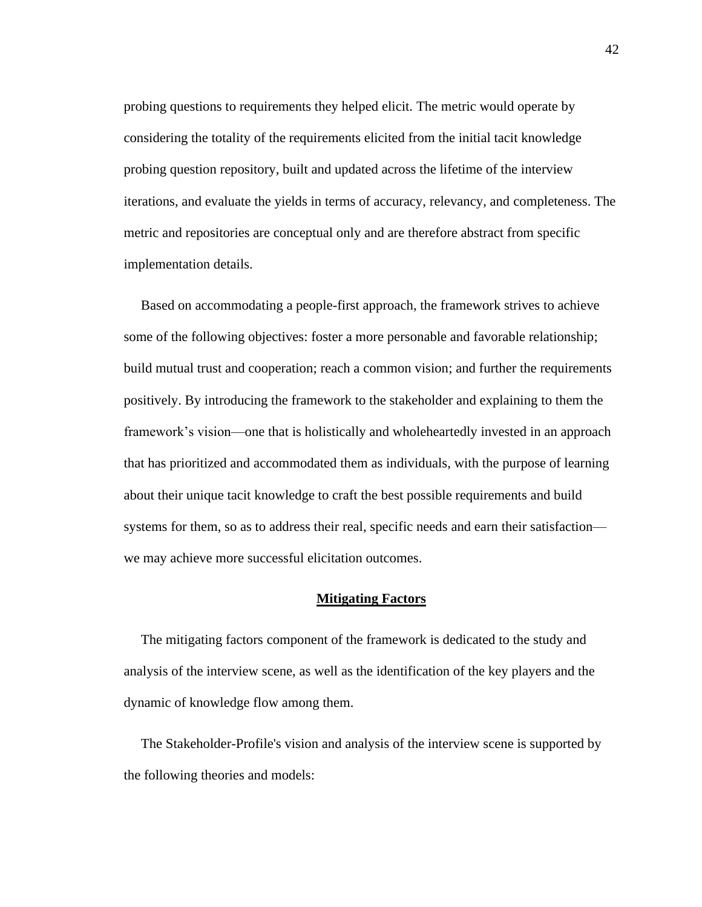probing questions to requirements they helped elicit. The metric would operate by considering the totality of the requirements elicited from the initial tacit knowledge probing question repository, built and updated across the lifetime of the interview iterations, and evaluate the yields in terms of accuracy, relevancy, and completeness. The metric and repositories are conceptual only and are therefore abstract from specific implementation details.

 Based on accommodating a people-first approach, the framework strives to achieve some of the following objectives: foster a more personable and favorable relationship; build mutual trust and cooperation; reach a common vision; and further the requirements positively. By introducing the framework to the stakeholder and explaining to them the framework's vision—one that is holistically and wholeheartedly invested in an approach that has prioritized and accommodated them as individuals, with the purpose of learning about their unique tacit knowledge to craft the best possible requirements and build systems for them, so as to address their real, specific needs and earn their satisfaction we may achieve more successful elicitation outcomes.

#### **Mitigating Factors**

 The mitigating factors component of the framework is dedicated to the study and analysis of the interview scene, as well as the identification of the key players and the dynamic of knowledge flow among them.

 The Stakeholder-Profile's vision and analysis of the interview scene is supported by the following theories and models: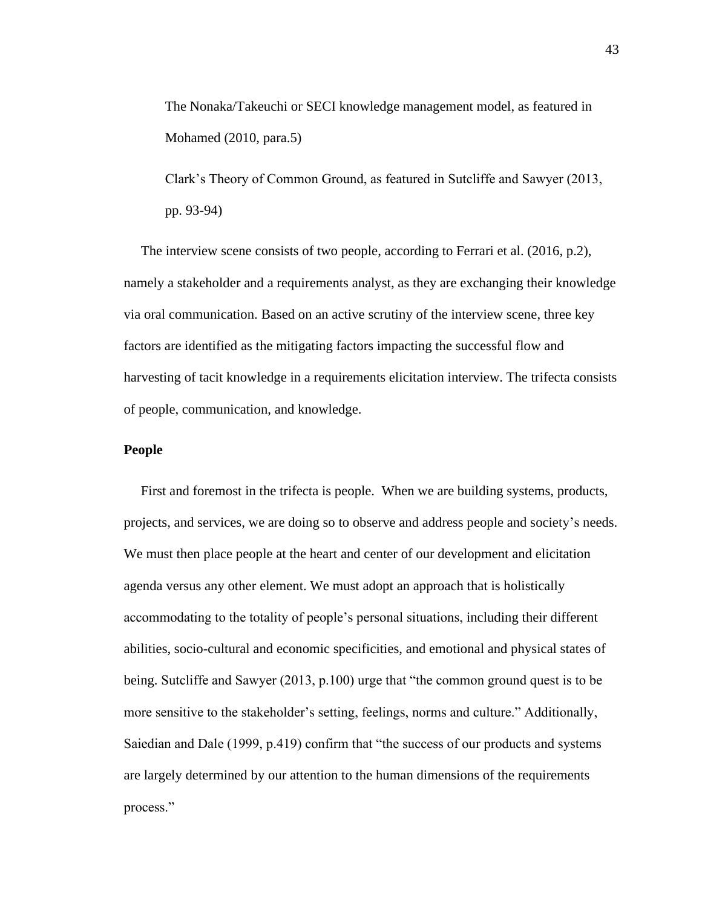The Nonaka/Takeuchi or SECI knowledge management model, as featured in Mohamed (2010, para.5)

Clark's Theory of Common Ground, as featured in Sutcliffe and Sawyer (2013, pp. 93-94)

 The interview scene consists of two people, according to Ferrari et al. (2016, p.2), namely a stakeholder and a requirements analyst, as they are exchanging their knowledge via oral communication. Based on an active scrutiny of the interview scene, three key factors are identified as the mitigating factors impacting the successful flow and harvesting of tacit knowledge in a requirements elicitation interview. The trifecta consists of people, communication, and knowledge.

#### **People**

 First and foremost in the trifecta is people. When we are building systems, products, projects, and services, we are doing so to observe and address people and society's needs. We must then place people at the heart and center of our development and elicitation agenda versus any other element. We must adopt an approach that is holistically accommodating to the totality of people's personal situations, including their different abilities, socio-cultural and economic specificities, and emotional and physical states of being. Sutcliffe and Sawyer (2013, p.100) urge that "the common ground quest is to be more sensitive to the stakeholder's setting, feelings, norms and culture." Additionally, Saiedian and Dale (1999, p.419) confirm that "the success of our products and systems are largely determined by our attention to the human dimensions of the requirements process."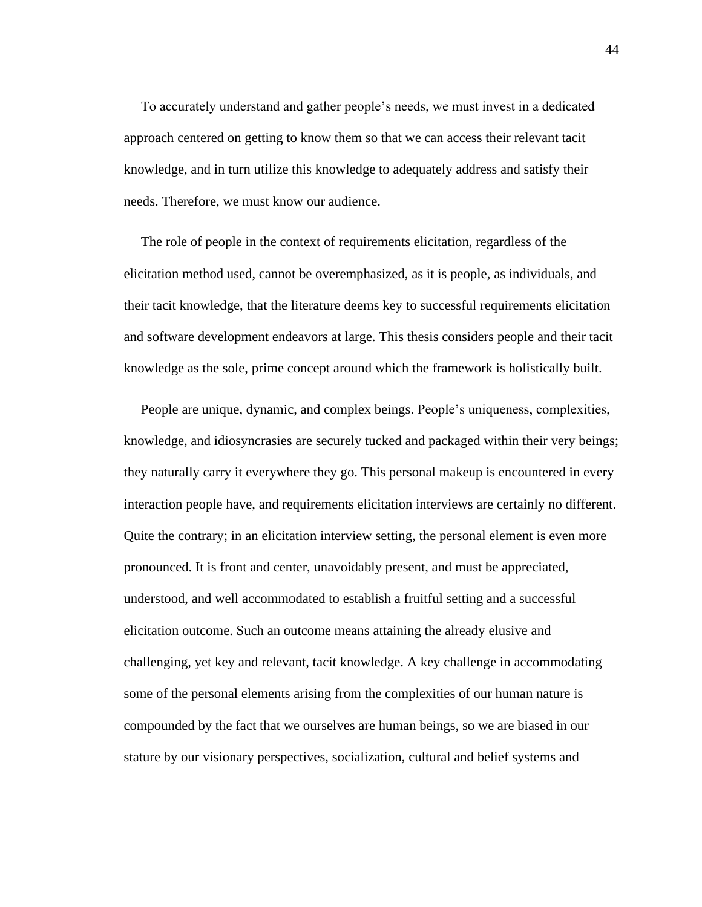To accurately understand and gather people's needs, we must invest in a dedicated approach centered on getting to know them so that we can access their relevant tacit knowledge, and in turn utilize this knowledge to adequately address and satisfy their needs. Therefore, we must know our audience.

 The role of people in the context of requirements elicitation, regardless of the elicitation method used, cannot be overemphasized, as it is people, as individuals, and their tacit knowledge, that the literature deems key to successful requirements elicitation and software development endeavors at large. This thesis considers people and their tacit knowledge as the sole, prime concept around which the framework is holistically built.

 People are unique, dynamic, and complex beings. People's uniqueness, complexities, knowledge, and idiosyncrasies are securely tucked and packaged within their very beings; they naturally carry it everywhere they go. This personal makeup is encountered in every interaction people have, and requirements elicitation interviews are certainly no different. Quite the contrary; in an elicitation interview setting, the personal element is even more pronounced. It is front and center, unavoidably present, and must be appreciated, understood, and well accommodated to establish a fruitful setting and a successful elicitation outcome. Such an outcome means attaining the already elusive and challenging, yet key and relevant, tacit knowledge. A key challenge in accommodating some of the personal elements arising from the complexities of our human nature is compounded by the fact that we ourselves are human beings, so we are biased in our stature by our visionary perspectives, socialization, cultural and belief systems and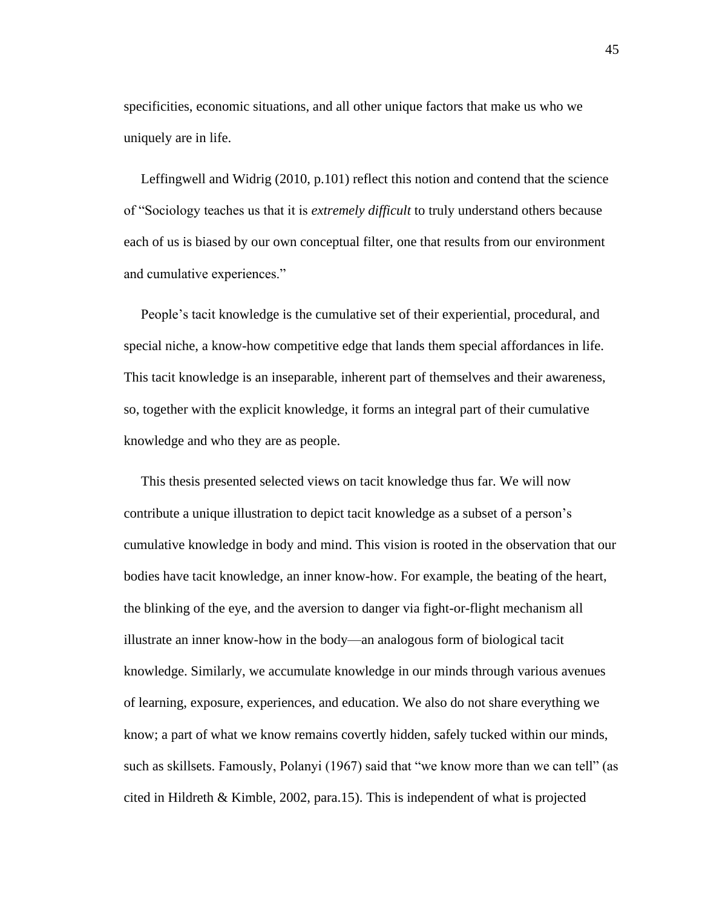specificities, economic situations, and all other unique factors that make us who we uniquely are in life.

 Leffingwell and Widrig (2010, p.101) reflect this notion and contend that the science of "Sociology teaches us that it is *extremely difficult* to truly understand others because each of us is biased by our own conceptual filter, one that results from our environment and cumulative experiences."

 People's tacit knowledge is the cumulative set of their experiential, procedural, and special niche, a know-how competitive edge that lands them special affordances in life. This tacit knowledge is an inseparable, inherent part of themselves and their awareness, so, together with the explicit knowledge, it forms an integral part of their cumulative knowledge and who they are as people.

 This thesis presented selected views on tacit knowledge thus far. We will now contribute a unique illustration to depict tacit knowledge as a subset of a person's cumulative knowledge in body and mind. This vision is rooted in the observation that our bodies have tacit knowledge, an inner know-how. For example, the beating of the heart, the blinking of the eye, and the aversion to danger via fight-or-flight mechanism all illustrate an inner know-how in the body—an analogous form of biological tacit knowledge. Similarly, we accumulate knowledge in our minds through various avenues of learning, exposure, experiences, and education. We also do not share everything we know; a part of what we know remains covertly hidden, safely tucked within our minds, such as skillsets. Famously, Polanyi (1967) said that "we know more than we can tell" (as cited in Hildreth & Kimble, 2002, para.15). This is independent of what is projected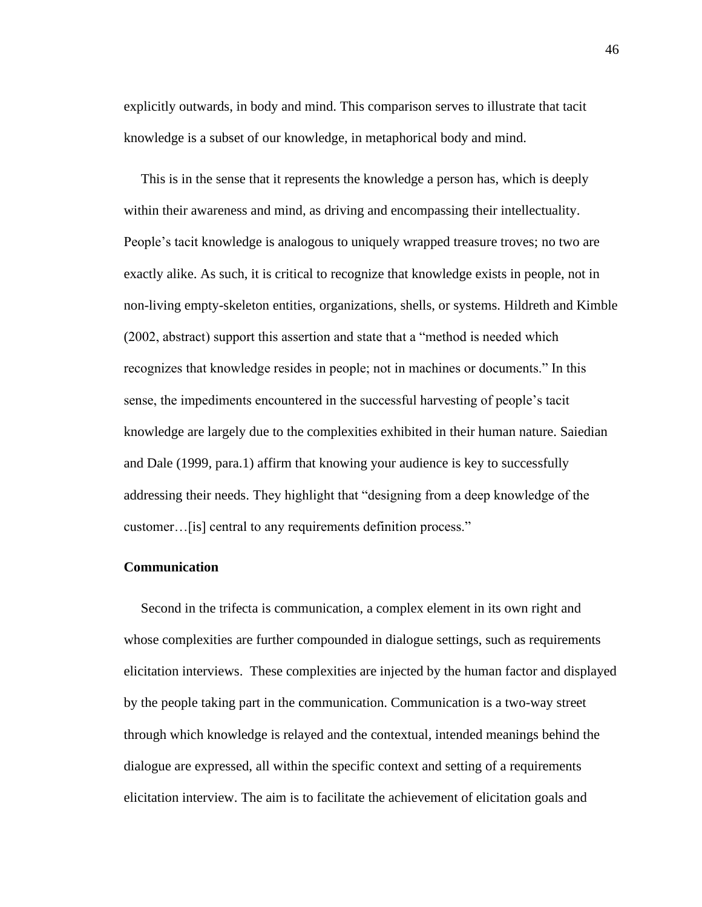explicitly outwards, in body and mind. This comparison serves to illustrate that tacit knowledge is a subset of our knowledge, in metaphorical body and mind.

 This is in the sense that it represents the knowledge a person has, which is deeply within their awareness and mind, as driving and encompassing their intellectuality. People's tacit knowledge is analogous to uniquely wrapped treasure troves; no two are exactly alike. As such, it is critical to recognize that knowledge exists in people, not in non-living empty-skeleton entities, organizations, shells, or systems. Hildreth and Kimble (2002, abstract) support this assertion and state that a "method is needed which recognizes that knowledge resides in people; not in machines or documents." In this sense, the impediments encountered in the successful harvesting of people's tacit knowledge are largely due to the complexities exhibited in their human nature. Saiedian and Dale (1999, para.1) affirm that knowing your audience is key to successfully addressing their needs. They highlight that "designing from a deep knowledge of the customer…[is] central to any requirements definition process."

#### **Communication**

 Second in the trifecta is communication, a complex element in its own right and whose complexities are further compounded in dialogue settings, such as requirements elicitation interviews. These complexities are injected by the human factor and displayed by the people taking part in the communication. Communication is a two-way street through which knowledge is relayed and the contextual, intended meanings behind the dialogue are expressed, all within the specific context and setting of a requirements elicitation interview. The aim is to facilitate the achievement of elicitation goals and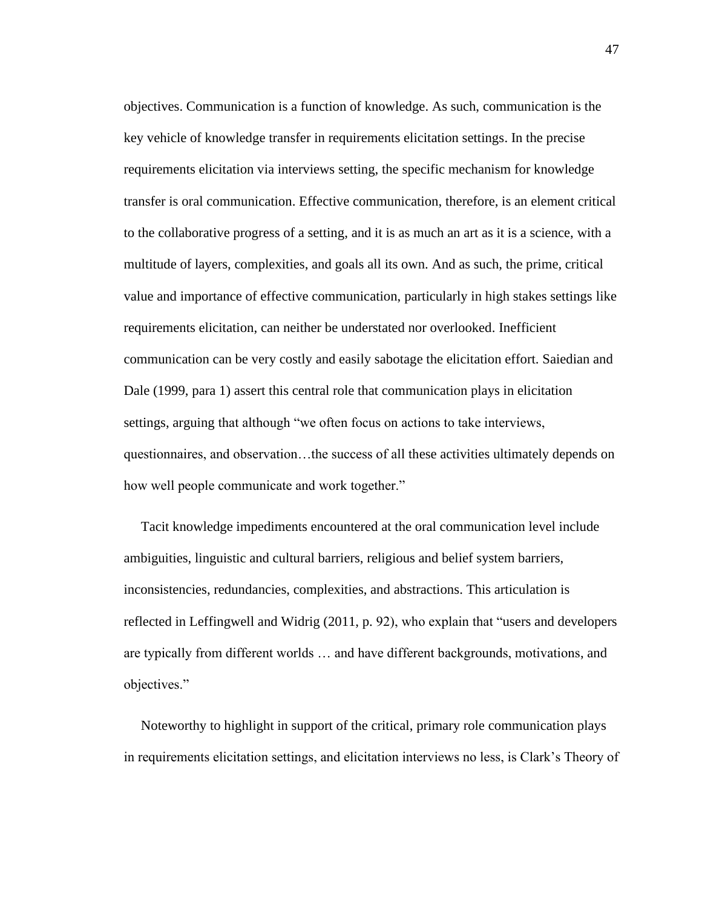objectives. Communication is a function of knowledge. As such, communication is the key vehicle of knowledge transfer in requirements elicitation settings. In the precise requirements elicitation via interviews setting, the specific mechanism for knowledge transfer is oral communication. Effective communication, therefore, is an element critical to the collaborative progress of a setting, and it is as much an art as it is a science, with a multitude of layers, complexities, and goals all its own. And as such, the prime, critical value and importance of effective communication, particularly in high stakes settings like requirements elicitation, can neither be understated nor overlooked. Inefficient communication can be very costly and easily sabotage the elicitation effort. Saiedian and Dale (1999, para 1) assert this central role that communication plays in elicitation settings, arguing that although "we often focus on actions to take interviews, questionnaires, and observation…the success of all these activities ultimately depends on how well people communicate and work together."

 Tacit knowledge impediments encountered at the oral communication level include ambiguities, linguistic and cultural barriers, religious and belief system barriers, inconsistencies, redundancies, complexities, and abstractions. This articulation is reflected in Leffingwell and Widrig (2011, p. 92), who explain that "users and developers are typically from different worlds … and have different backgrounds, motivations, and objectives."

 Noteworthy to highlight in support of the critical, primary role communication plays in requirements elicitation settings, and elicitation interviews no less, is Clark's Theory of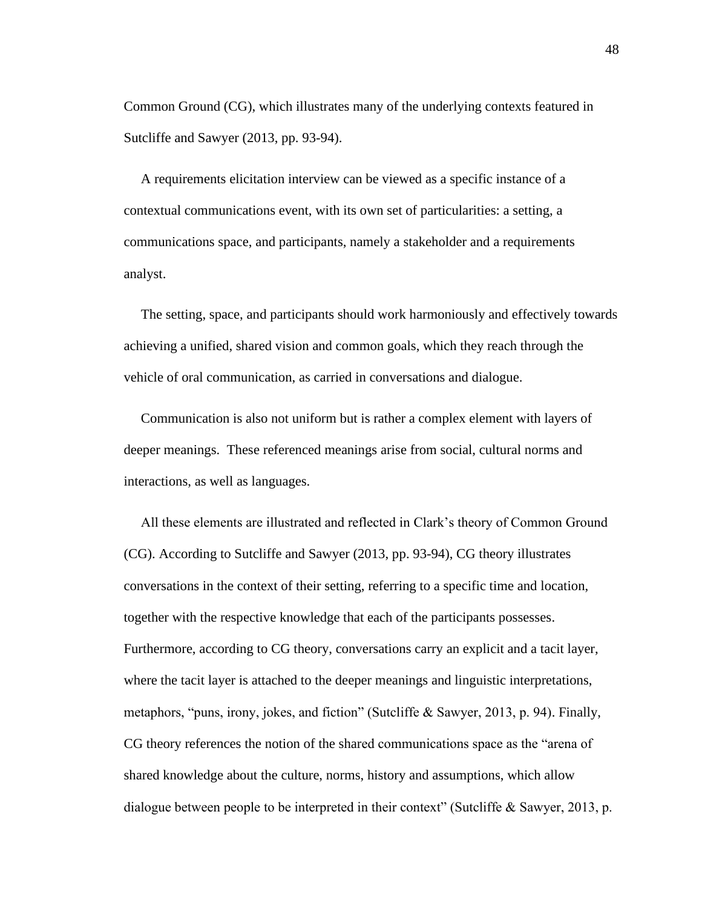Common Ground (CG), which illustrates many of the underlying contexts featured in Sutcliffe and Sawyer (2013, pp. 93-94).

 A requirements elicitation interview can be viewed as a specific instance of a contextual communications event, with its own set of particularities: a setting, a communications space, and participants, namely a stakeholder and a requirements analyst.

 The setting, space, and participants should work harmoniously and effectively towards achieving a unified, shared vision and common goals, which they reach through the vehicle of oral communication, as carried in conversations and dialogue.

 Communication is also not uniform but is rather a complex element with layers of deeper meanings. These referenced meanings arise from social, cultural norms and interactions, as well as languages.

 All these elements are illustrated and reflected in Clark's theory of Common Ground (CG). According to Sutcliffe and Sawyer (2013, pp. 93-94), CG theory illustrates conversations in the context of their setting, referring to a specific time and location, together with the respective knowledge that each of the participants possesses. Furthermore, according to CG theory, conversations carry an explicit and a tacit layer, where the tacit layer is attached to the deeper meanings and linguistic interpretations, metaphors, "puns, irony, jokes, and fiction" (Sutcliffe & Sawyer, 2013, p. 94). Finally, CG theory references the notion of the shared communications space as the "arena of shared knowledge about the culture, norms, history and assumptions, which allow dialogue between people to be interpreted in their context" (Sutcliffe & Sawyer, 2013, p.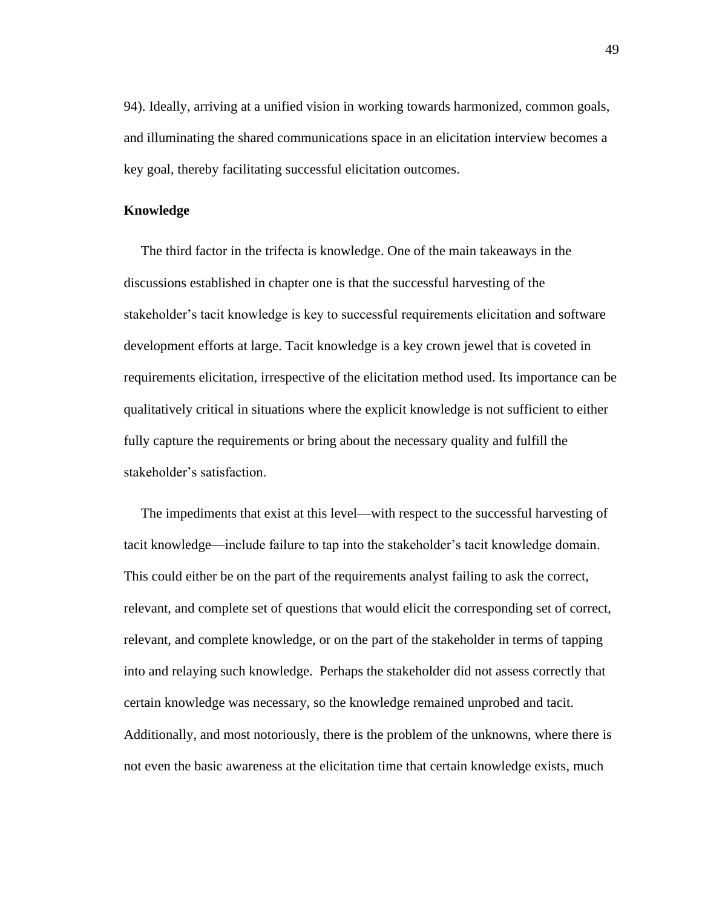94). Ideally, arriving at a unified vision in working towards harmonized, common goals, and illuminating the shared communications space in an elicitation interview becomes a key goal, thereby facilitating successful elicitation outcomes.

#### **Knowledge**

 The third factor in the trifecta is knowledge. One of the main takeaways in the discussions established in chapter one is that the successful harvesting of the stakeholder's tacit knowledge is key to successful requirements elicitation and software development efforts at large. Tacit knowledge is a key crown jewel that is coveted in requirements elicitation, irrespective of the elicitation method used. Its importance can be qualitatively critical in situations where the explicit knowledge is not sufficient to either fully capture the requirements or bring about the necessary quality and fulfill the stakeholder's satisfaction.

 The impediments that exist at this level—with respect to the successful harvesting of tacit knowledge—include failure to tap into the stakeholder's tacit knowledge domain. This could either be on the part of the requirements analyst failing to ask the correct, relevant, and complete set of questions that would elicit the corresponding set of correct, relevant, and complete knowledge, or on the part of the stakeholder in terms of tapping into and relaying such knowledge. Perhaps the stakeholder did not assess correctly that certain knowledge was necessary, so the knowledge remained unprobed and tacit. Additionally, and most notoriously, there is the problem of the unknowns, where there is not even the basic awareness at the elicitation time that certain knowledge exists, much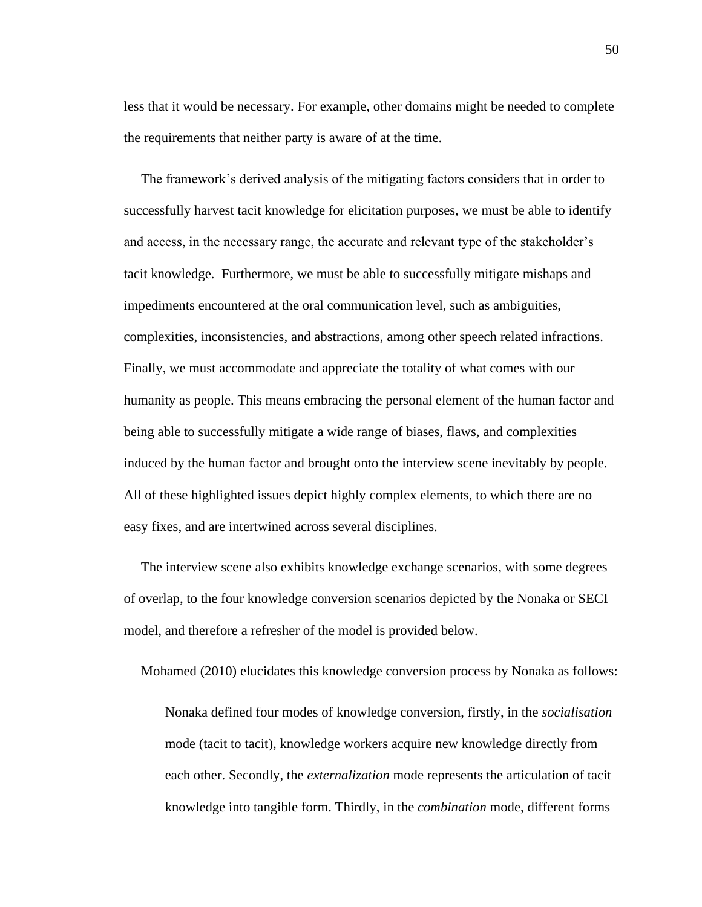less that it would be necessary. For example, other domains might be needed to complete the requirements that neither party is aware of at the time.

 The framework's derived analysis of the mitigating factors considers that in order to successfully harvest tacit knowledge for elicitation purposes, we must be able to identify and access, in the necessary range, the accurate and relevant type of the stakeholder's tacit knowledge. Furthermore, we must be able to successfully mitigate mishaps and impediments encountered at the oral communication level, such as ambiguities, complexities, inconsistencies, and abstractions, among other speech related infractions. Finally, we must accommodate and appreciate the totality of what comes with our humanity as people. This means embracing the personal element of the human factor and being able to successfully mitigate a wide range of biases, flaws, and complexities induced by the human factor and brought onto the interview scene inevitably by people. All of these highlighted issues depict highly complex elements, to which there are no easy fixes, and are intertwined across several disciplines.

 The interview scene also exhibits knowledge exchange scenarios, with some degrees of overlap, to the four knowledge conversion scenarios depicted by the Nonaka or SECI model, and therefore a refresher of the model is provided below.

Mohamed (2010) elucidates this knowledge conversion process by Nonaka as follows:

Nonaka defined four modes of knowledge conversion, firstly, in the *socialisation* mode (tacit to tacit), knowledge workers acquire new knowledge directly from each other. Secondly, the *externalization* mode represents the articulation of tacit knowledge into tangible form. Thirdly, in the *combination* mode, different forms

50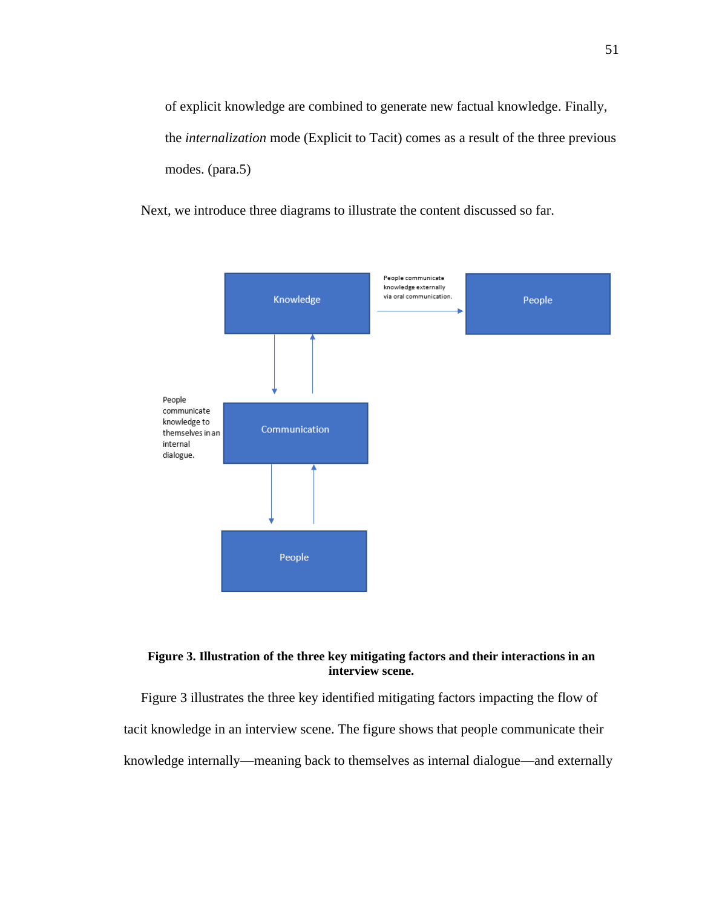of explicit knowledge are combined to generate new factual knowledge. Finally, the *internalization* mode (Explicit to Tacit) comes as a result of the three previous modes. (para.5)

Next, we introduce three diagrams to illustrate the content discussed so far.



#### **Figure 3. Illustration of the three key mitigating factors and their interactions in an interview scene.**

Figure 3 illustrates the three key identified mitigating factors impacting the flow of tacit knowledge in an interview scene. The figure shows that people communicate their knowledge internally—meaning back to themselves as internal dialogue—and externally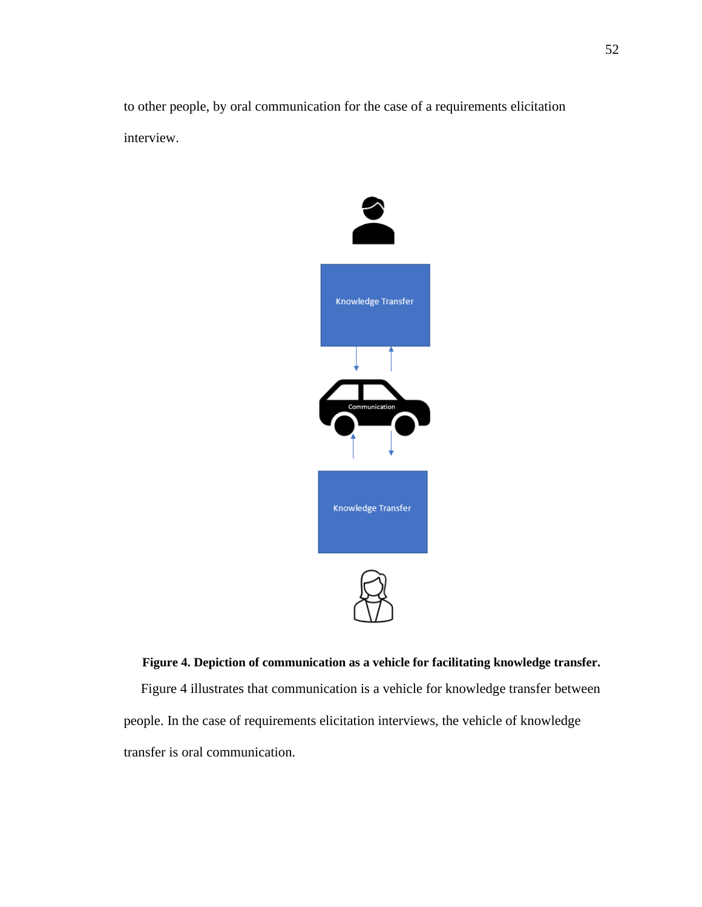to other people, by oral communication for the case of a requirements elicitation interview.



**Figure 4. Depiction of communication as a vehicle for facilitating knowledge transfer.** Figure 4 illustrates that communication is a vehicle for knowledge transfer between people. In the case of requirements elicitation interviews, the vehicle of knowledge transfer is oral communication.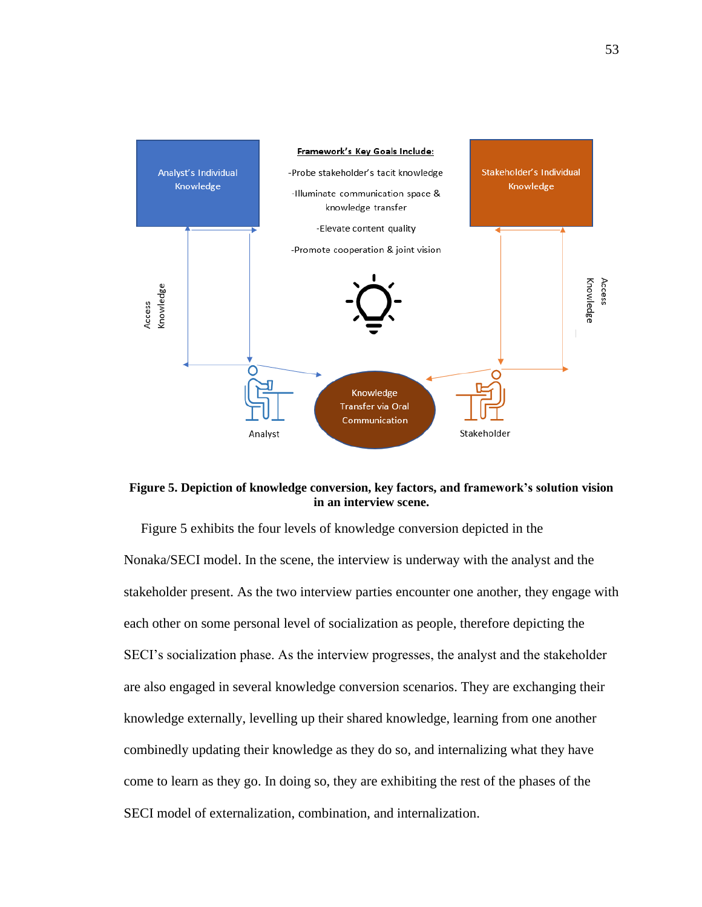



 Figure 5 exhibits the four levels of knowledge conversion depicted in the Nonaka/SECI model. In the scene, the interview is underway with the analyst and the stakeholder present. As the two interview parties encounter one another, they engage with each other on some personal level of socialization as people, therefore depicting the SECI's socialization phase. As the interview progresses, the analyst and the stakeholder are also engaged in several knowledge conversion scenarios. They are exchanging their knowledge externally, levelling up their shared knowledge, learning from one another combinedly updating their knowledge as they do so, and internalizing what they have come to learn as they go. In doing so, they are exhibiting the rest of the phases of the SECI model of externalization, combination, and internalization.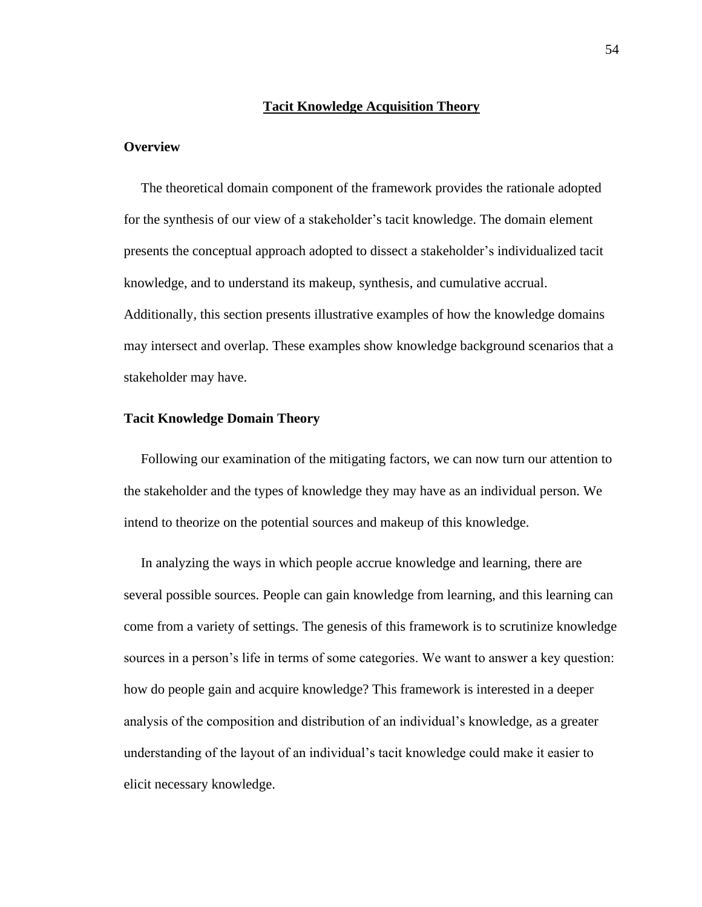#### **Tacit Knowledge Acquisition Theory**

#### **Overview**

 The theoretical domain component of the framework provides the rationale adopted for the synthesis of our view of a stakeholder's tacit knowledge. The domain element presents the conceptual approach adopted to dissect a stakeholder's individualized tacit knowledge, and to understand its makeup, synthesis, and cumulative accrual. Additionally, this section presents illustrative examples of how the knowledge domains may intersect and overlap. These examples show knowledge background scenarios that a stakeholder may have.

#### **Tacit Knowledge Domain Theory**

 Following our examination of the mitigating factors, we can now turn our attention to the stakeholder and the types of knowledge they may have as an individual person. We intend to theorize on the potential sources and makeup of this knowledge.

 In analyzing the ways in which people accrue knowledge and learning, there are several possible sources. People can gain knowledge from learning, and this learning can come from a variety of settings. The genesis of this framework is to scrutinize knowledge sources in a person's life in terms of some categories. We want to answer a key question: how do people gain and acquire knowledge? This framework is interested in a deeper analysis of the composition and distribution of an individual's knowledge, as a greater understanding of the layout of an individual's tacit knowledge could make it easier to elicit necessary knowledge.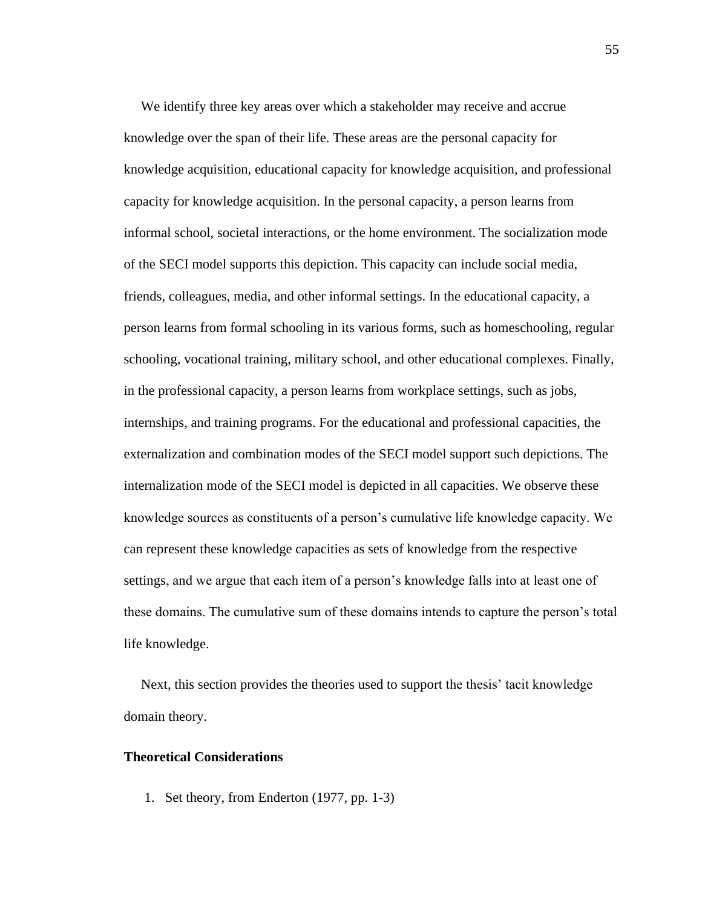We identify three key areas over which a stakeholder may receive and accrue knowledge over the span of their life. These areas are the personal capacity for knowledge acquisition, educational capacity for knowledge acquisition, and professional capacity for knowledge acquisition. In the personal capacity, a person learns from informal school, societal interactions, or the home environment. The socialization mode of the SECI model supports this depiction. This capacity can include social media, friends, colleagues, media, and other informal settings. In the educational capacity, a person learns from formal schooling in its various forms, such as homeschooling, regular schooling, vocational training, military school, and other educational complexes. Finally, in the professional capacity, a person learns from workplace settings, such as jobs, internships, and training programs. For the educational and professional capacities, the externalization and combination modes of the SECI model support such depictions. The internalization mode of the SECI model is depicted in all capacities. We observe these knowledge sources as constituents of a person's cumulative life knowledge capacity. We can represent these knowledge capacities as sets of knowledge from the respective settings, and we argue that each item of a person's knowledge falls into at least one of these domains. The cumulative sum of these domains intends to capture the person's total life knowledge.

 Next, this section provides the theories used to support the thesis' tacit knowledge domain theory.

# **Theoretical Considerations**

1. Set theory, from Enderton (1977, pp. 1-3)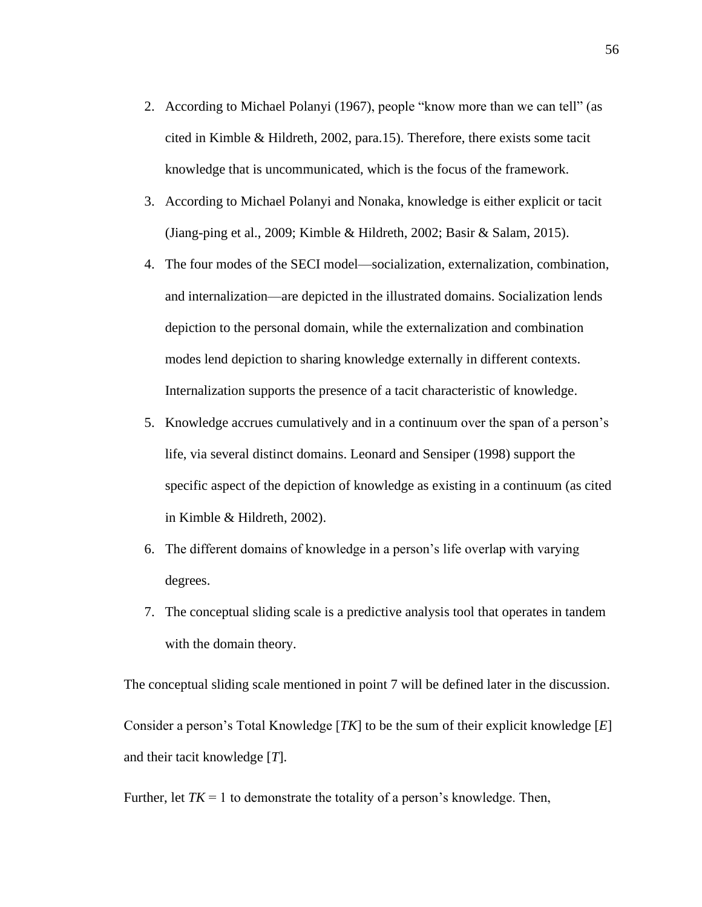- 2. According to Michael Polanyi (1967), people "know more than we can tell" (as cited in Kimble & Hildreth, 2002, para.15). Therefore, there exists some tacit knowledge that is uncommunicated, which is the focus of the framework.
- 3. According to Michael Polanyi and Nonaka, knowledge is either explicit or tacit (Jiang-ping et al., 2009; Kimble & Hildreth, 2002; Basir & Salam, 2015).
- 4. The four modes of the SECI model—socialization, externalization, combination, and internalization—are depicted in the illustrated domains. Socialization lends depiction to the personal domain, while the externalization and combination modes lend depiction to sharing knowledge externally in different contexts. Internalization supports the presence of a tacit characteristic of knowledge.
- 5. Knowledge accrues cumulatively and in a continuum over the span of a person's life, via several distinct domains. Leonard and Sensiper (1998) support the specific aspect of the depiction of knowledge as existing in a continuum (as cited in Kimble & Hildreth, 2002).
- 6. The different domains of knowledge in a person's life overlap with varying degrees.
- 7. The conceptual sliding scale is a predictive analysis tool that operates in tandem with the domain theory.

The conceptual sliding scale mentioned in point 7 will be defined later in the discussion. Consider a person's Total Knowledge [*TK*] to be the sum of their explicit knowledge [*E*] and their tacit knowledge [*T*].

Further, let  $TK = 1$  to demonstrate the totality of a person's knowledge. Then,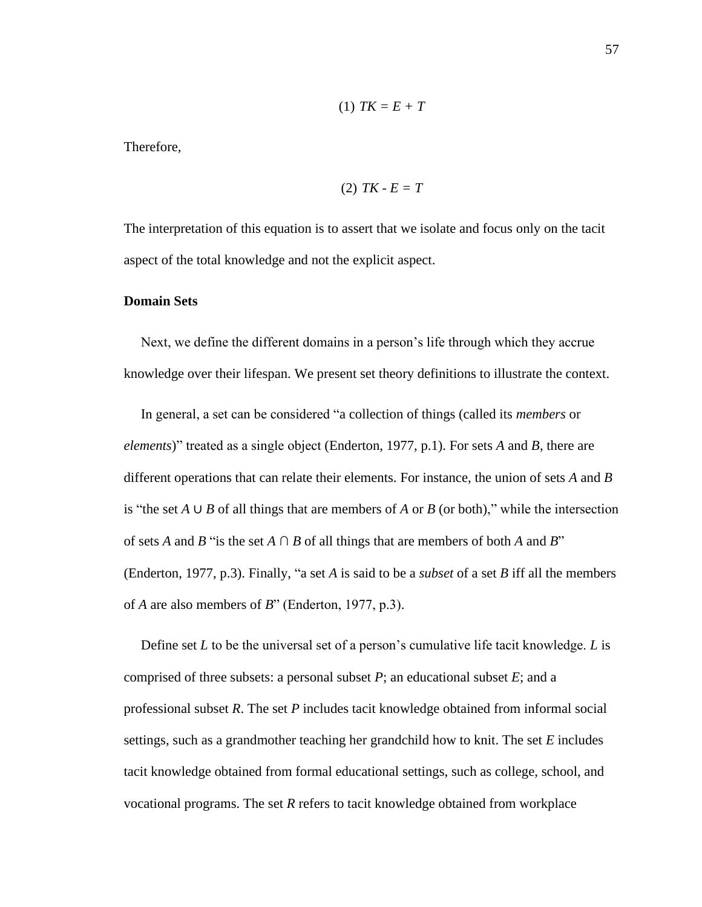$$
(1) TK=E+T
$$

Therefore,

$$
(2) TK - E = T
$$

The interpretation of this equation is to assert that we isolate and focus only on the tacit aspect of the total knowledge and not the explicit aspect.

#### **Domain Sets**

 Next, we define the different domains in a person's life through which they accrue knowledge over their lifespan. We present set theory definitions to illustrate the context.

 In general, a set can be considered "a collection of things (called its *members* or *elements*)" treated as a single object (Enderton, 1977, p.1). For sets *A* and *B*, there are different operations that can relate their elements. For instance, the union of sets *A* and *B* is "the set *A* ∪ *B* of all things that are members of *A* or *B* (or both)," while the intersection of sets *A* and *B* "is the set  $A \cap B$  of all things that are members of both *A* and *B*" (Enderton, 1977, p.3). Finally, "a set *A* is said to be a *subset* of a set *B* iff all the members of *A* are also members of *B*" (Enderton, 1977, p.3).

 Define set *L* to be the universal set of a person's cumulative life tacit knowledge. *L* is comprised of three subsets: a personal subset *P*; an educational subset *E*; and a professional subset *R*. The set *P* includes tacit knowledge obtained from informal social settings, such as a grandmother teaching her grandchild how to knit. The set *E* includes tacit knowledge obtained from formal educational settings, such as college, school, and vocational programs. The set *R* refers to tacit knowledge obtained from workplace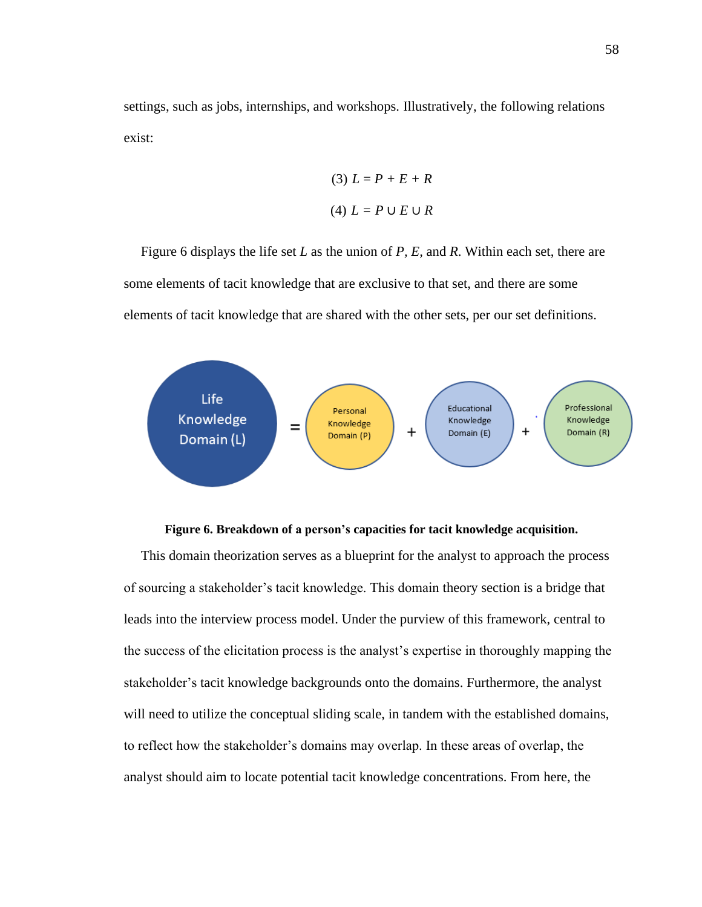settings, such as jobs, internships, and workshops. Illustratively, the following relations exist:

$$
(3) L = P + E + R
$$

$$
(4) L = P \cup E \cup R
$$

 Figure 6 displays the life set *L* as the union of *P, E,* and *R*. Within each set, there are some elements of tacit knowledge that are exclusive to that set, and there are some elements of tacit knowledge that are shared with the other sets, per our set definitions.



#### **Figure 6. Breakdown of a person's capacities for tacit knowledge acquisition.**

 This domain theorization serves as a blueprint for the analyst to approach the process of sourcing a stakeholder's tacit knowledge. This domain theory section is a bridge that leads into the interview process model. Under the purview of this framework, central to the success of the elicitation process is the analyst's expertise in thoroughly mapping the stakeholder's tacit knowledge backgrounds onto the domains. Furthermore, the analyst will need to utilize the conceptual sliding scale, in tandem with the established domains, to reflect how the stakeholder's domains may overlap. In these areas of overlap, the analyst should aim to locate potential tacit knowledge concentrations. From here, the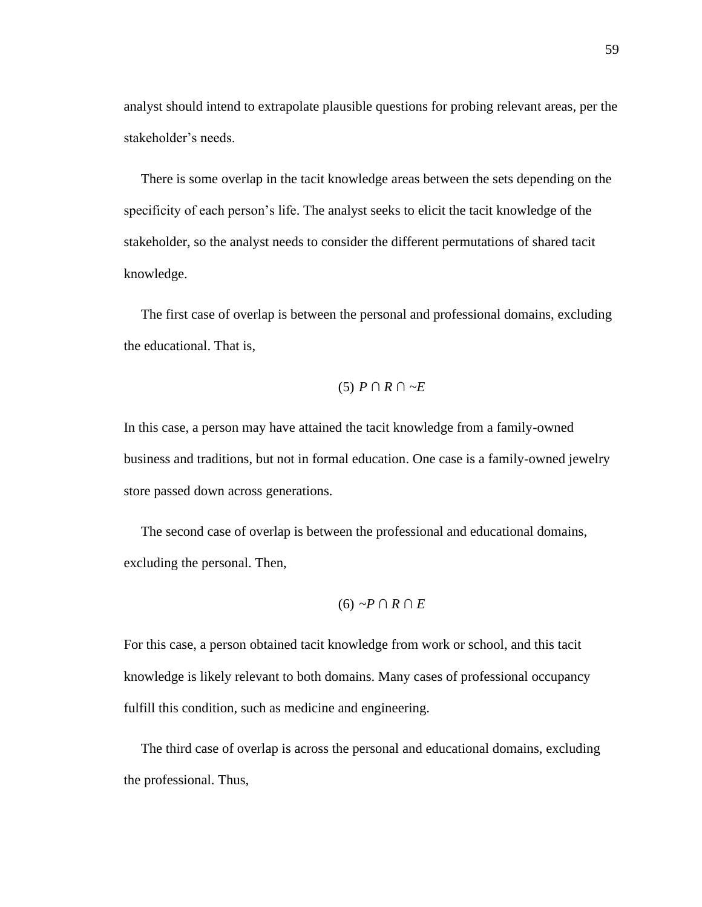analyst should intend to extrapolate plausible questions for probing relevant areas, per the stakeholder's needs.

 There is some overlap in the tacit knowledge areas between the sets depending on the specificity of each person's life. The analyst seeks to elicit the tacit knowledge of the stakeholder, so the analyst needs to consider the different permutations of shared tacit knowledge.

 The first case of overlap is between the personal and professional domains, excluding the educational. That is,

# (5) *P ∩ R ∩ ~E*

In this case, a person may have attained the tacit knowledge from a family-owned business and traditions, but not in formal education. One case is a family-owned jewelry store passed down across generations.

 The second case of overlap is between the professional and educational domains, excluding the personal. Then,

$$
(6) \sim P \cap R \cap E
$$

For this case, a person obtained tacit knowledge from work or school, and this tacit knowledge is likely relevant to both domains. Many cases of professional occupancy fulfill this condition, such as medicine and engineering.

 The third case of overlap is across the personal and educational domains, excluding the professional. Thus,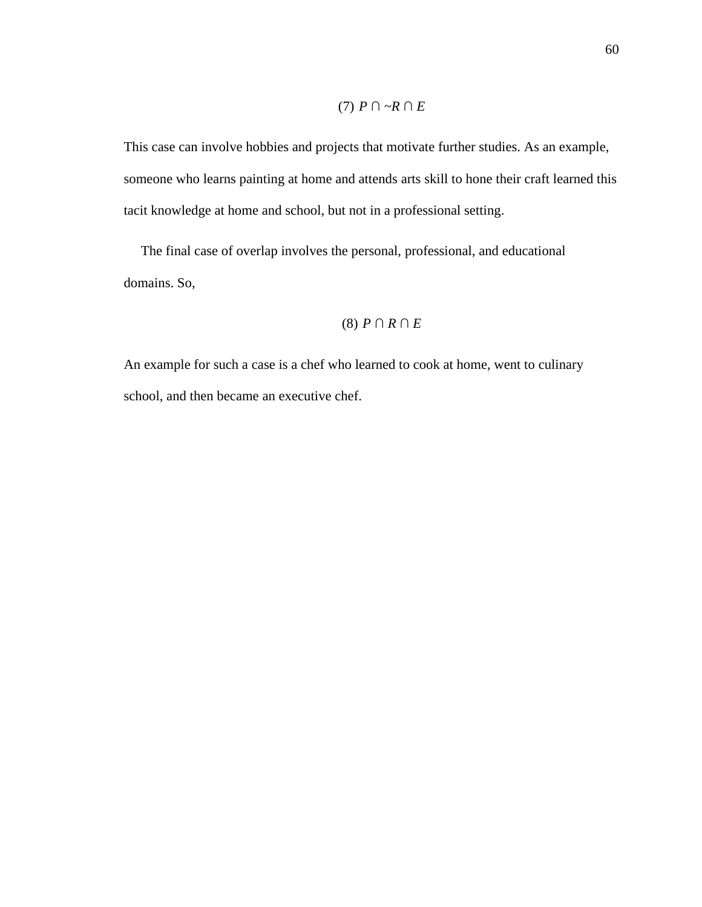# $(7)$   $P \cap \neg R \cap E$

This case can involve hobbies and projects that motivate further studies. As an example, someone who learns painting at home and attends arts skill to hone their craft learned this tacit knowledge at home and school, but not in a professional setting.

 The final case of overlap involves the personal, professional, and educational domains. So,

# (8) *P ∩ R ∩ E*

An example for such a case is a chef who learned to cook at home, went to culinary school, and then became an executive chef.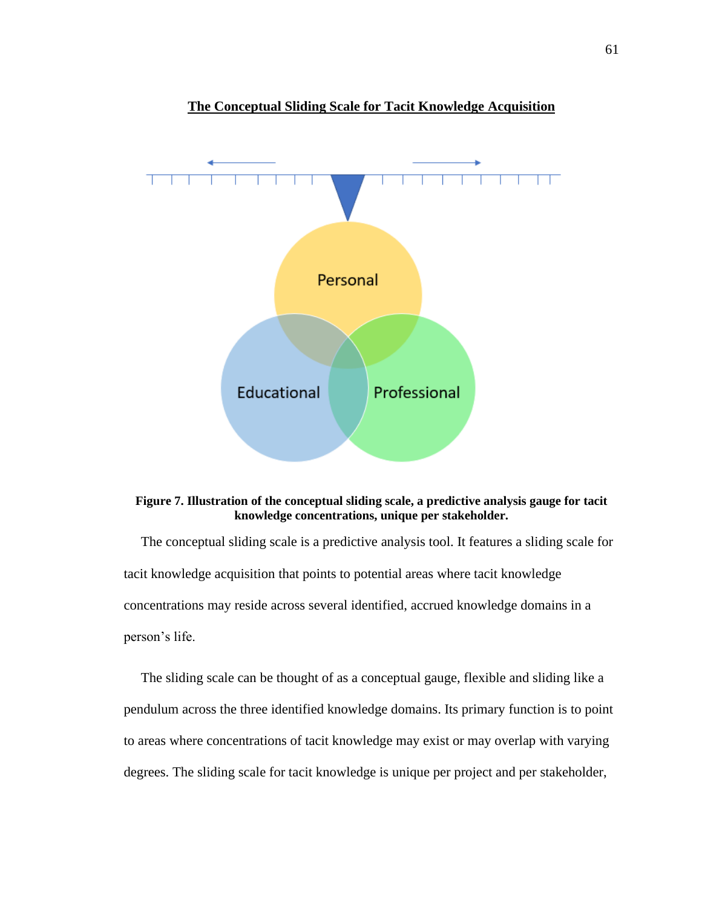

**The Conceptual Sliding Scale for Tacit Knowledge Acquisition**

#### **Figure 7. Illustration of the conceptual sliding scale, a predictive analysis gauge for tacit knowledge concentrations, unique per stakeholder.**

 The conceptual sliding scale is a predictive analysis tool. It features a sliding scale for tacit knowledge acquisition that points to potential areas where tacit knowledge concentrations may reside across several identified, accrued knowledge domains in a person's life.

 The sliding scale can be thought of as a conceptual gauge, flexible and sliding like a pendulum across the three identified knowledge domains. Its primary function is to point to areas where concentrations of tacit knowledge may exist or may overlap with varying degrees. The sliding scale for tacit knowledge is unique per project and per stakeholder,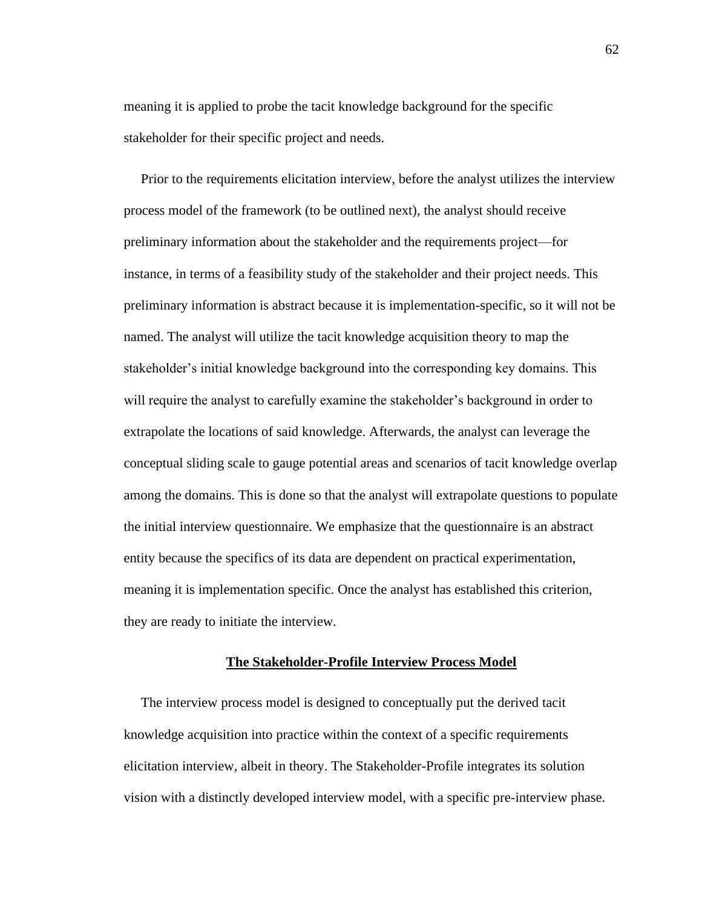meaning it is applied to probe the tacit knowledge background for the specific stakeholder for their specific project and needs.

 Prior to the requirements elicitation interview, before the analyst utilizes the interview process model of the framework (to be outlined next), the analyst should receive preliminary information about the stakeholder and the requirements project—for instance, in terms of a feasibility study of the stakeholder and their project needs. This preliminary information is abstract because it is implementation-specific, so it will not be named. The analyst will utilize the tacit knowledge acquisition theory to map the stakeholder's initial knowledge background into the corresponding key domains. This will require the analyst to carefully examine the stakeholder's background in order to extrapolate the locations of said knowledge. Afterwards, the analyst can leverage the conceptual sliding scale to gauge potential areas and scenarios of tacit knowledge overlap among the domains. This is done so that the analyst will extrapolate questions to populate the initial interview questionnaire. We emphasize that the questionnaire is an abstract entity because the specifics of its data are dependent on practical experimentation, meaning it is implementation specific. Once the analyst has established this criterion, they are ready to initiate the interview.

#### **The Stakeholder-Profile Interview Process Model**

 The interview process model is designed to conceptually put the derived tacit knowledge acquisition into practice within the context of a specific requirements elicitation interview, albeit in theory. The Stakeholder-Profile integrates its solution vision with a distinctly developed interview model, with a specific pre-interview phase.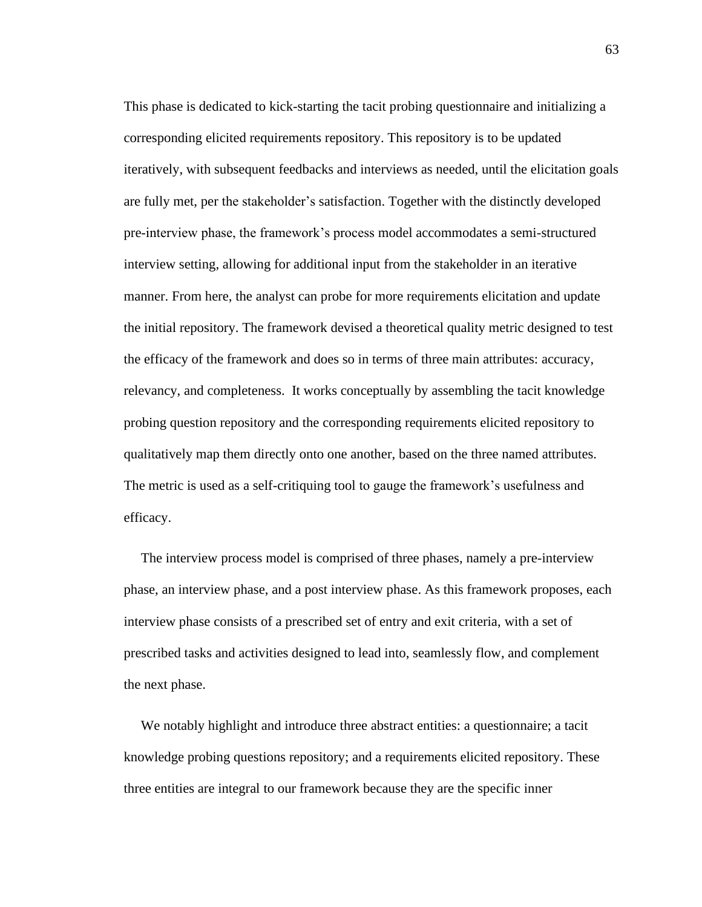This phase is dedicated to kick-starting the tacit probing questionnaire and initializing a corresponding elicited requirements repository. This repository is to be updated iteratively, with subsequent feedbacks and interviews as needed, until the elicitation goals are fully met, per the stakeholder's satisfaction. Together with the distinctly developed pre-interview phase, the framework's process model accommodates a semi-structured interview setting, allowing for additional input from the stakeholder in an iterative manner. From here, the analyst can probe for more requirements elicitation and update the initial repository. The framework devised a theoretical quality metric designed to test the efficacy of the framework and does so in terms of three main attributes: accuracy, relevancy, and completeness. It works conceptually by assembling the tacit knowledge probing question repository and the corresponding requirements elicited repository to qualitatively map them directly onto one another, based on the three named attributes. The metric is used as a self-critiquing tool to gauge the framework's usefulness and efficacy.

 The interview process model is comprised of three phases, namely a pre-interview phase, an interview phase, and a post interview phase. As this framework proposes, each interview phase consists of a prescribed set of entry and exit criteria, with a set of prescribed tasks and activities designed to lead into, seamlessly flow, and complement the next phase.

 We notably highlight and introduce three abstract entities: a questionnaire; a tacit knowledge probing questions repository; and a requirements elicited repository. These three entities are integral to our framework because they are the specific inner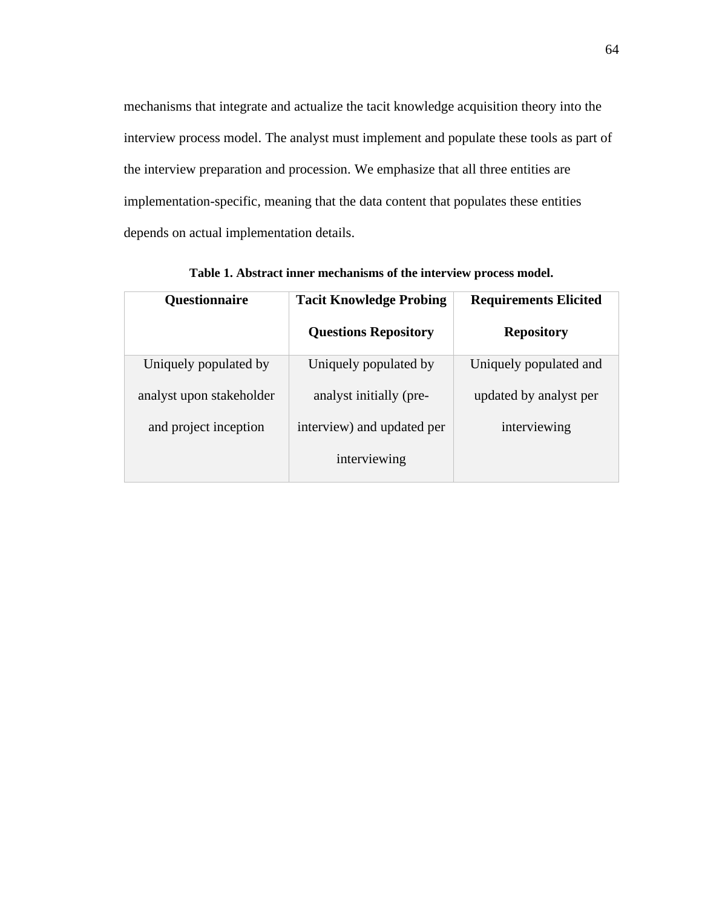mechanisms that integrate and actualize the tacit knowledge acquisition theory into the interview process model. The analyst must implement and populate these tools as part of the interview preparation and procession. We emphasize that all three entities are implementation-specific, meaning that the data content that populates these entities depends on actual implementation details.

| Questionnaire            | <b>Tacit Knowledge Probing</b> | <b>Requirements Elicited</b> |
|--------------------------|--------------------------------|------------------------------|
|                          | <b>Questions Repository</b>    | <b>Repository</b>            |
| Uniquely populated by    | Uniquely populated by          | Uniquely populated and       |
| analyst upon stakeholder | analyst initially (pre-        | updated by analyst per       |
| and project inception    | interview) and updated per     | interviewing                 |
|                          | interviewing                   |                              |

**Table 1. Abstract inner mechanisms of the interview process model.**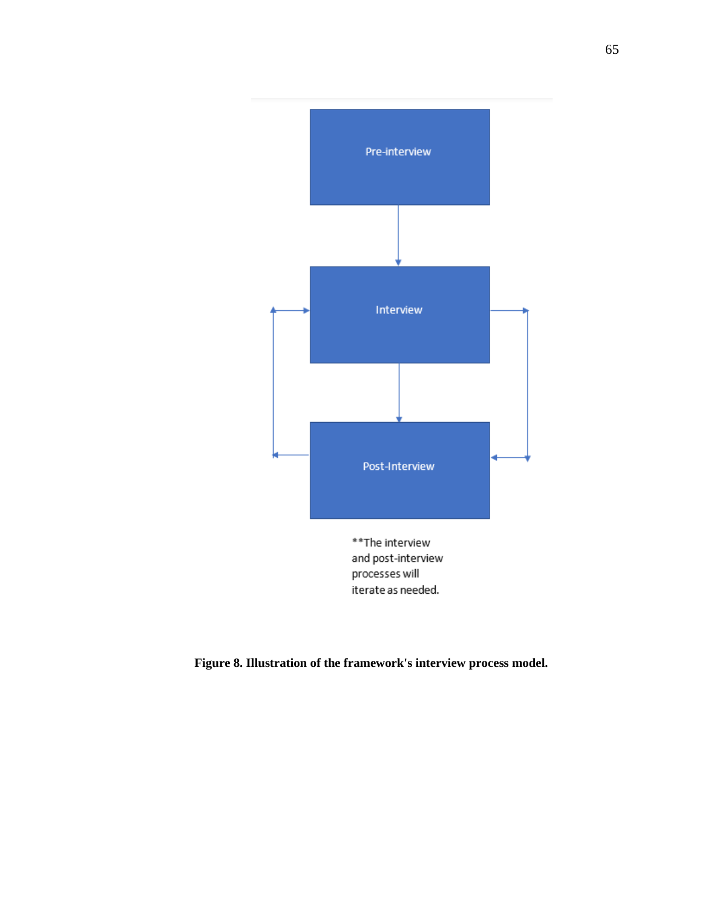

**Figure 8. Illustration of the framework's interview process model.**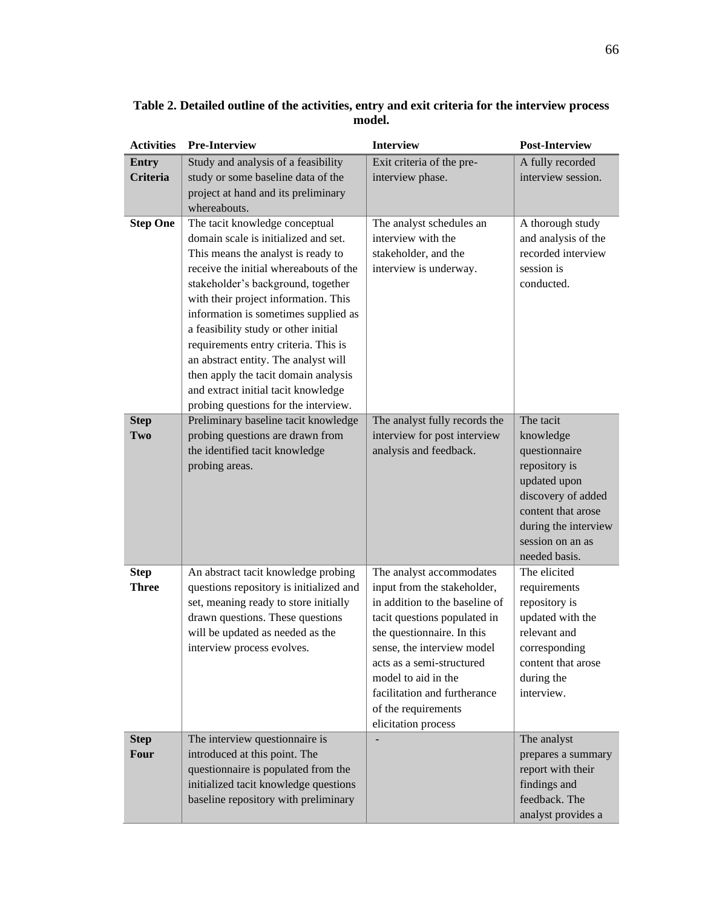| <b>Activities</b> | <b>Pre-Interview</b>                                                         | <b>Interview</b>                                         | <b>Post-Interview</b>               |
|-------------------|------------------------------------------------------------------------------|----------------------------------------------------------|-------------------------------------|
| <b>Entry</b>      | Study and analysis of a feasibility                                          | Exit criteria of the pre-                                | A fully recorded                    |
| <b>Criteria</b>   | study or some baseline data of the                                           | interview phase.                                         | interview session.                  |
|                   | project at hand and its preliminary                                          |                                                          |                                     |
|                   | whereabouts.                                                                 |                                                          |                                     |
| <b>Step One</b>   | The tacit knowledge conceptual                                               | The analyst schedules an                                 | A thorough study                    |
|                   | domain scale is initialized and set.                                         | interview with the                                       | and analysis of the                 |
|                   | This means the analyst is ready to                                           | stakeholder, and the                                     | recorded interview                  |
|                   | receive the initial whereabouts of the                                       | interview is underway.                                   | session is                          |
|                   | stakeholder's background, together                                           |                                                          | conducted.                          |
|                   | with their project information. This                                         |                                                          |                                     |
|                   | information is sometimes supplied as                                         |                                                          |                                     |
|                   | a feasibility study or other initial                                         |                                                          |                                     |
|                   | requirements entry criteria. This is                                         |                                                          |                                     |
|                   | an abstract entity. The analyst will<br>then apply the tacit domain analysis |                                                          |                                     |
|                   | and extract initial tacit knowledge                                          |                                                          |                                     |
|                   | probing questions for the interview.                                         |                                                          |                                     |
| <b>Step</b>       | Preliminary baseline tacit knowledge                                         | The analyst fully records the                            | The tacit                           |
| Two               | probing questions are drawn from                                             | interview for post interview                             | knowledge                           |
|                   | the identified tacit knowledge                                               | analysis and feedback.                                   | questionnaire                       |
|                   | probing areas.                                                               |                                                          | repository is                       |
|                   |                                                                              |                                                          | updated upon                        |
|                   |                                                                              |                                                          | discovery of added                  |
|                   |                                                                              |                                                          | content that arose                  |
|                   |                                                                              |                                                          | during the interview                |
|                   |                                                                              |                                                          | session on an as                    |
|                   |                                                                              |                                                          | needed basis.                       |
| <b>Step</b>       | An abstract tacit knowledge probing                                          | The analyst accommodates                                 | The elicited                        |
| <b>Three</b>      | questions repository is initialized and                                      | input from the stakeholder,                              | requirements                        |
|                   | set, meaning ready to store initially                                        | in addition to the baseline of                           | repository is                       |
|                   | drawn questions. These questions                                             | tacit questions populated in                             | updated with the<br>relevant and    |
|                   | will be updated as needed as the<br>interview process evolves.               | the questionnaire. In this<br>sense, the interview model |                                     |
|                   |                                                                              | acts as a semi-structured                                | corresponding<br>content that arose |
|                   |                                                                              | model to aid in the                                      | during the                          |
|                   |                                                                              | facilitation and furtherance                             | interview.                          |
|                   |                                                                              | of the requirements                                      |                                     |
|                   |                                                                              | elicitation process                                      |                                     |
| <b>Step</b>       | The interview questionnaire is                                               | ÷,                                                       | The analyst                         |
| <b>Four</b>       | introduced at this point. The                                                |                                                          | prepares a summary                  |
|                   | questionnaire is populated from the                                          |                                                          | report with their                   |
|                   | initialized tacit knowledge questions                                        |                                                          | findings and                        |
|                   | baseline repository with preliminary                                         |                                                          | feedback. The                       |
|                   |                                                                              |                                                          | analyst provides a                  |

**Table 2. Detailed outline of the activities, entry and exit criteria for the interview process model.**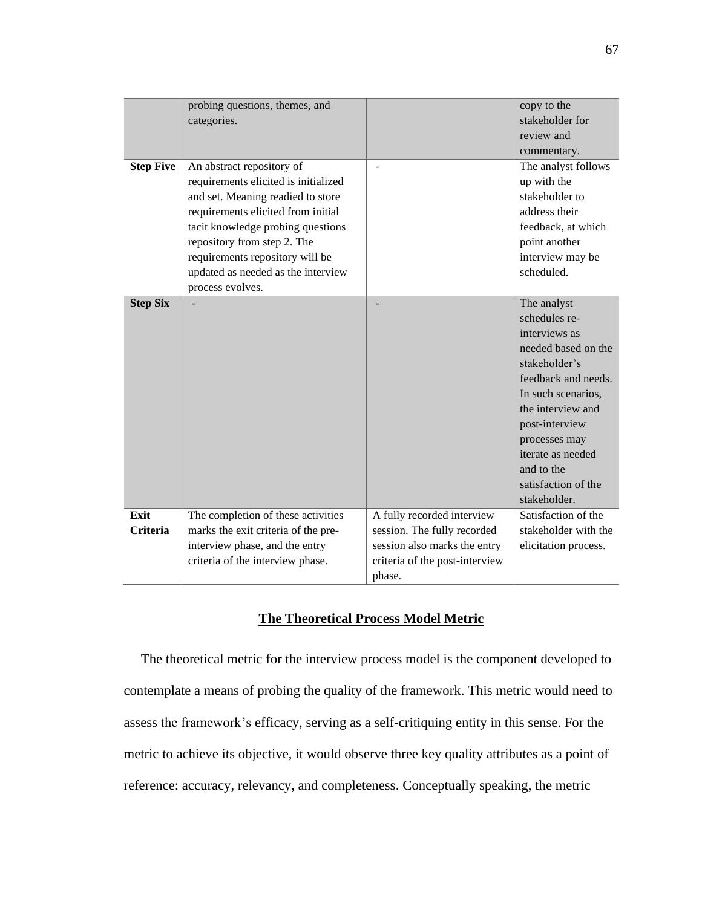|                         | probing questions, themes, and<br>categories.                                                                                                                                                                                                                                                                 |                                                                                                                                       | copy to the<br>stakeholder for<br>review and<br>commentary.                                                                                                                                                                                                          |
|-------------------------|---------------------------------------------------------------------------------------------------------------------------------------------------------------------------------------------------------------------------------------------------------------------------------------------------------------|---------------------------------------------------------------------------------------------------------------------------------------|----------------------------------------------------------------------------------------------------------------------------------------------------------------------------------------------------------------------------------------------------------------------|
| <b>Step Five</b>        | An abstract repository of<br>requirements elicited is initialized<br>and set. Meaning readied to store<br>requirements elicited from initial<br>tacit knowledge probing questions<br>repository from step 2. The<br>requirements repository will be<br>updated as needed as the interview<br>process evolves. |                                                                                                                                       | The analyst follows<br>up with the<br>stakeholder to<br>address their<br>feedback, at which<br>point another<br>interview may be<br>scheduled.                                                                                                                       |
| <b>Step Six</b>         |                                                                                                                                                                                                                                                                                                               |                                                                                                                                       | The analyst<br>schedules re-<br>interviews as<br>needed based on the<br>stakeholder's<br>feedback and needs.<br>In such scenarios,<br>the interview and<br>post-interview<br>processes may<br>iterate as needed<br>and to the<br>satisfaction of the<br>stakeholder. |
| Exit<br><b>Criteria</b> | The completion of these activities<br>marks the exit criteria of the pre-<br>interview phase, and the entry<br>criteria of the interview phase.                                                                                                                                                               | A fully recorded interview<br>session. The fully recorded<br>session also marks the entry<br>criteria of the post-interview<br>phase. | Satisfaction of the<br>stakeholder with the<br>elicitation process.                                                                                                                                                                                                  |

# **The Theoretical Process Model Metric**

 The theoretical metric for the interview process model is the component developed to contemplate a means of probing the quality of the framework. This metric would need to assess the framework's efficacy, serving as a self-critiquing entity in this sense. For the metric to achieve its objective, it would observe three key quality attributes as a point of reference: accuracy, relevancy, and completeness. Conceptually speaking, the metric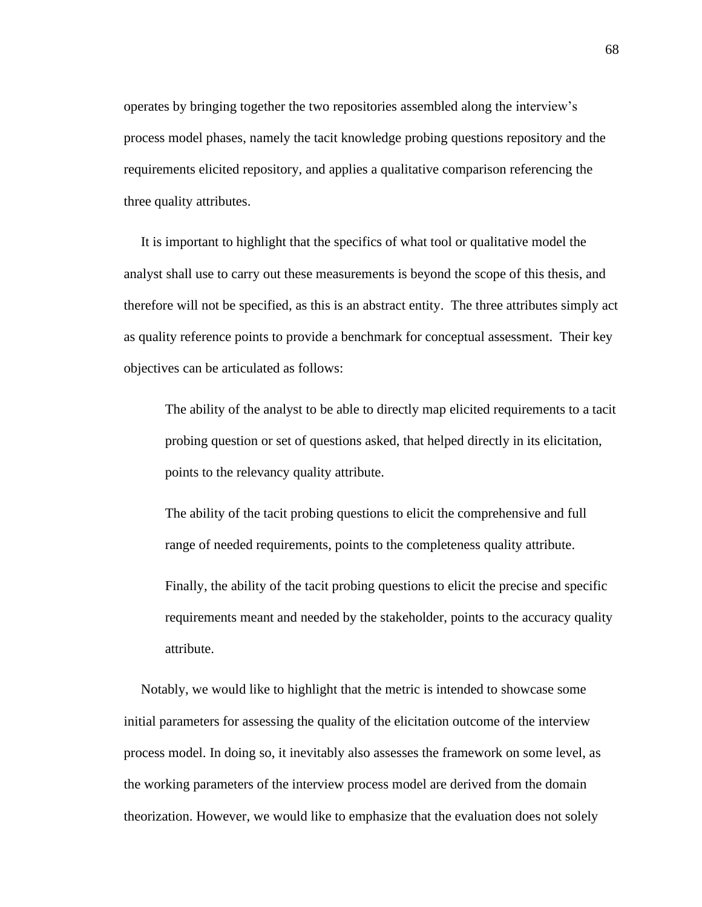operates by bringing together the two repositories assembled along the interview's process model phases, namely the tacit knowledge probing questions repository and the requirements elicited repository, and applies a qualitative comparison referencing the three quality attributes.

 It is important to highlight that the specifics of what tool or qualitative model the analyst shall use to carry out these measurements is beyond the scope of this thesis, and therefore will not be specified, as this is an abstract entity. The three attributes simply act as quality reference points to provide a benchmark for conceptual assessment. Their key objectives can be articulated as follows:

The ability of the analyst to be able to directly map elicited requirements to a tacit probing question or set of questions asked, that helped directly in its elicitation, points to the relevancy quality attribute.

The ability of the tacit probing questions to elicit the comprehensive and full range of needed requirements, points to the completeness quality attribute.

Finally, the ability of the tacit probing questions to elicit the precise and specific requirements meant and needed by the stakeholder, points to the accuracy quality attribute.

 Notably, we would like to highlight that the metric is intended to showcase some initial parameters for assessing the quality of the elicitation outcome of the interview process model. In doing so, it inevitably also assesses the framework on some level, as the working parameters of the interview process model are derived from the domain theorization. However, we would like to emphasize that the evaluation does not solely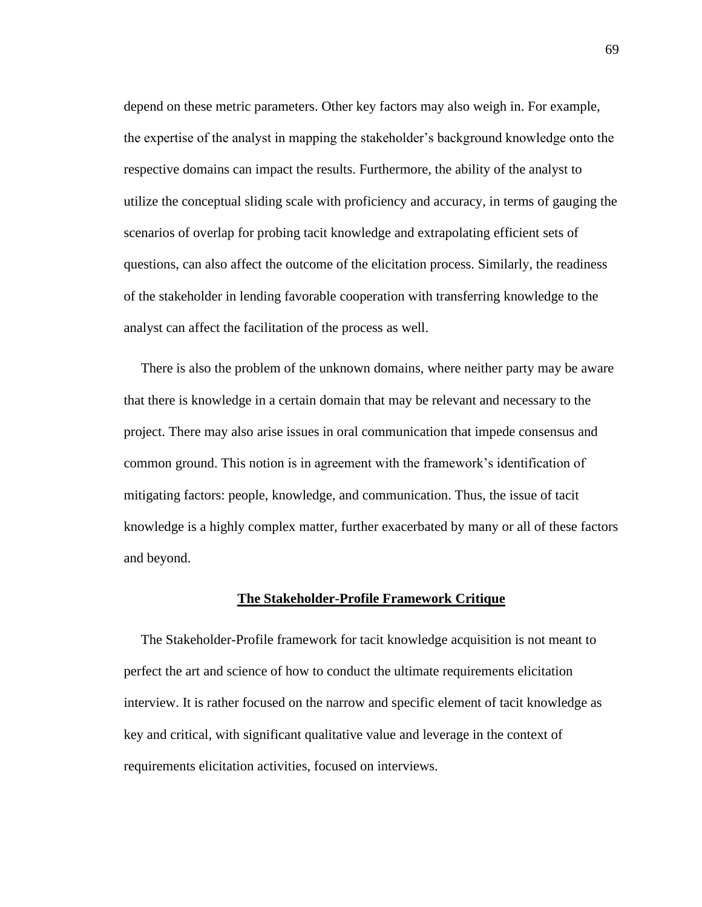depend on these metric parameters. Other key factors may also weigh in. For example, the expertise of the analyst in mapping the stakeholder's background knowledge onto the respective domains can impact the results. Furthermore, the ability of the analyst to utilize the conceptual sliding scale with proficiency and accuracy, in terms of gauging the scenarios of overlap for probing tacit knowledge and extrapolating efficient sets of questions, can also affect the outcome of the elicitation process. Similarly, the readiness of the stakeholder in lending favorable cooperation with transferring knowledge to the analyst can affect the facilitation of the process as well.

 There is also the problem of the unknown domains, where neither party may be aware that there is knowledge in a certain domain that may be relevant and necessary to the project. There may also arise issues in oral communication that impede consensus and common ground. This notion is in agreement with the framework's identification of mitigating factors: people, knowledge, and communication. Thus, the issue of tacit knowledge is a highly complex matter, further exacerbated by many or all of these factors and beyond.

### **The Stakeholder-Profile Framework Critique**

 The Stakeholder-Profile framework for tacit knowledge acquisition is not meant to perfect the art and science of how to conduct the ultimate requirements elicitation interview. It is rather focused on the narrow and specific element of tacit knowledge as key and critical, with significant qualitative value and leverage in the context of requirements elicitation activities, focused on interviews.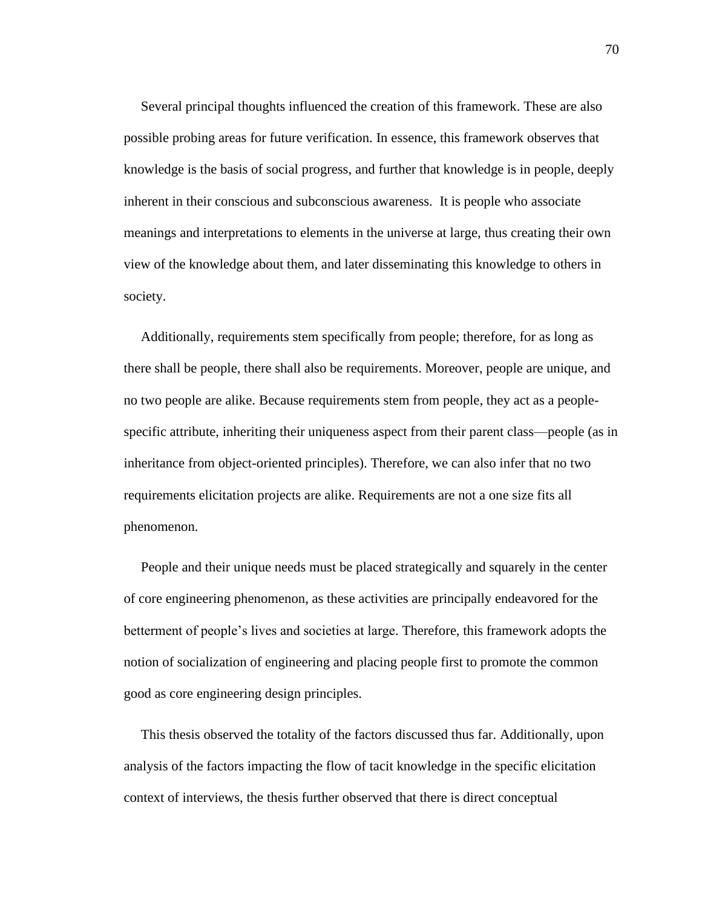Several principal thoughts influenced the creation of this framework. These are also possible probing areas for future verification. In essence, this framework observes that knowledge is the basis of social progress, and further that knowledge is in people, deeply inherent in their conscious and subconscious awareness. It is people who associate meanings and interpretations to elements in the universe at large, thus creating their own view of the knowledge about them, and later disseminating this knowledge to others in society.

 Additionally, requirements stem specifically from people; therefore, for as long as there shall be people, there shall also be requirements. Moreover, people are unique, and no two people are alike. Because requirements stem from people, they act as a peoplespecific attribute, inheriting their uniqueness aspect from their parent class—people (as in inheritance from object-oriented principles). Therefore, we can also infer that no two requirements elicitation projects are alike. Requirements are not a one size fits all phenomenon.

 People and their unique needs must be placed strategically and squarely in the center of core engineering phenomenon, as these activities are principally endeavored for the betterment of people's lives and societies at large. Therefore, this framework adopts the notion of socialization of engineering and placing people first to promote the common good as core engineering design principles.

 This thesis observed the totality of the factors discussed thus far. Additionally, upon analysis of the factors impacting the flow of tacit knowledge in the specific elicitation context of interviews, the thesis further observed that there is direct conceptual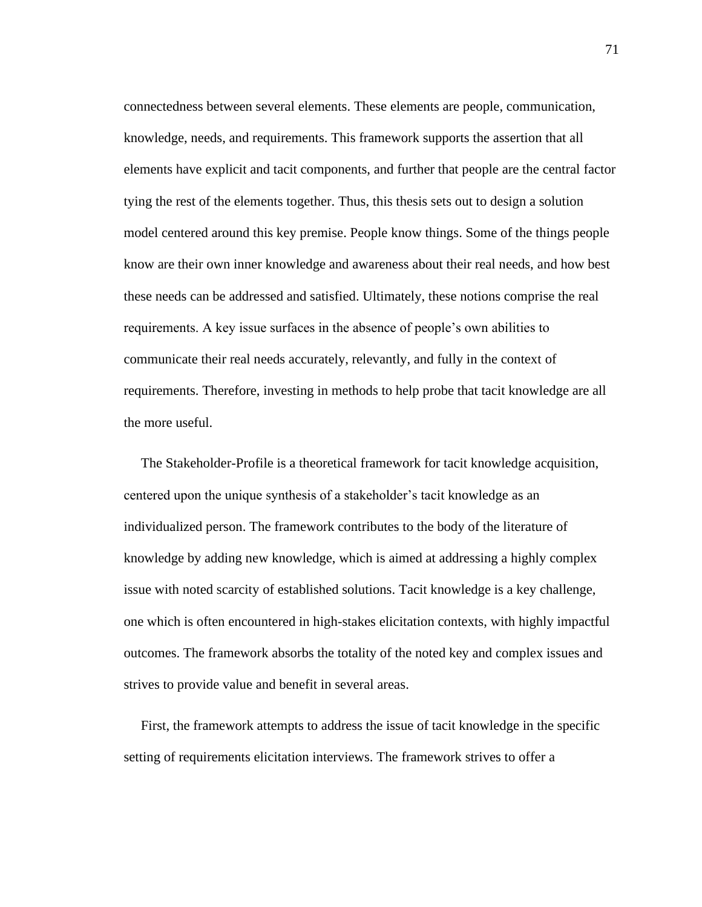connectedness between several elements. These elements are people, communication, knowledge, needs, and requirements. This framework supports the assertion that all elements have explicit and tacit components, and further that people are the central factor tying the rest of the elements together. Thus, this thesis sets out to design a solution model centered around this key premise. People know things. Some of the things people know are their own inner knowledge and awareness about their real needs, and how best these needs can be addressed and satisfied. Ultimately, these notions comprise the real requirements. A key issue surfaces in the absence of people's own abilities to communicate their real needs accurately, relevantly, and fully in the context of requirements. Therefore, investing in methods to help probe that tacit knowledge are all the more useful.

 The Stakeholder-Profile is a theoretical framework for tacit knowledge acquisition, centered upon the unique synthesis of a stakeholder's tacit knowledge as an individualized person. The framework contributes to the body of the literature of knowledge by adding new knowledge, which is aimed at addressing a highly complex issue with noted scarcity of established solutions. Tacit knowledge is a key challenge, one which is often encountered in high-stakes elicitation contexts, with highly impactful outcomes. The framework absorbs the totality of the noted key and complex issues and strives to provide value and benefit in several areas.

 First, the framework attempts to address the issue of tacit knowledge in the specific setting of requirements elicitation interviews. The framework strives to offer a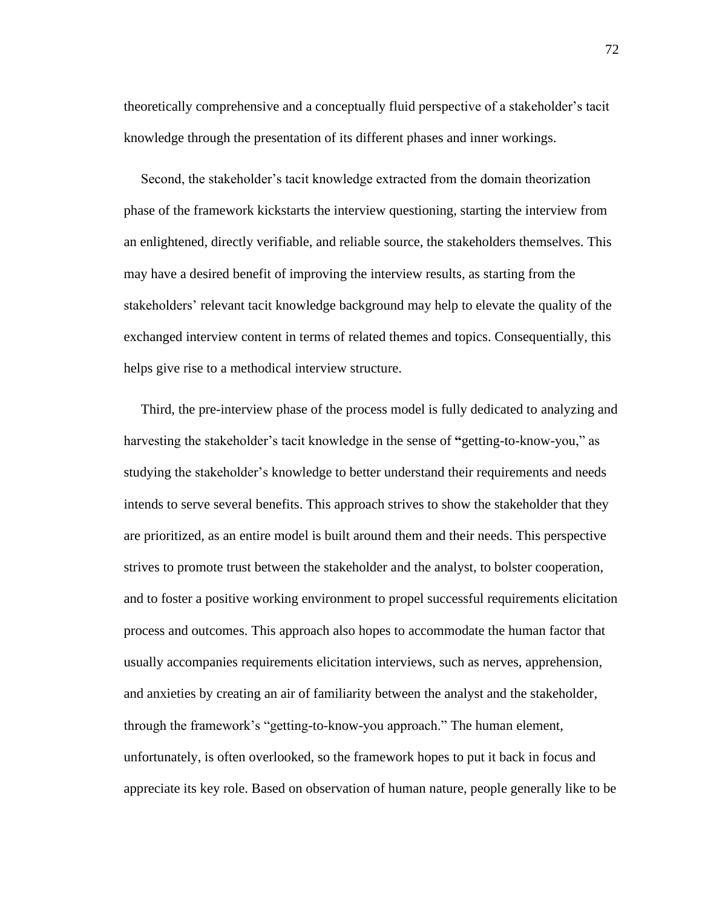theoretically comprehensive and a conceptually fluid perspective of a stakeholder's tacit knowledge through the presentation of its different phases and inner workings.

 Second, the stakeholder's tacit knowledge extracted from the domain theorization phase of the framework kickstarts the interview questioning, starting the interview from an enlightened, directly verifiable, and reliable source, the stakeholders themselves. This may have a desired benefit of improving the interview results, as starting from the stakeholders' relevant tacit knowledge background may help to elevate the quality of the exchanged interview content in terms of related themes and topics. Consequentially, this helps give rise to a methodical interview structure.

 Third, the pre-interview phase of the process model is fully dedicated to analyzing and harvesting the stakeholder's tacit knowledge in the sense of **"**getting-to-know-you," as studying the stakeholder's knowledge to better understand their requirements and needs intends to serve several benefits. This approach strives to show the stakeholder that they are prioritized, as an entire model is built around them and their needs. This perspective strives to promote trust between the stakeholder and the analyst, to bolster cooperation, and to foster a positive working environment to propel successful requirements elicitation process and outcomes. This approach also hopes to accommodate the human factor that usually accompanies requirements elicitation interviews, such as nerves, apprehension, and anxieties by creating an air of familiarity between the analyst and the stakeholder, through the framework's "getting-to-know-you approach." The human element, unfortunately, is often overlooked, so the framework hopes to put it back in focus and appreciate its key role. Based on observation of human nature, people generally like to be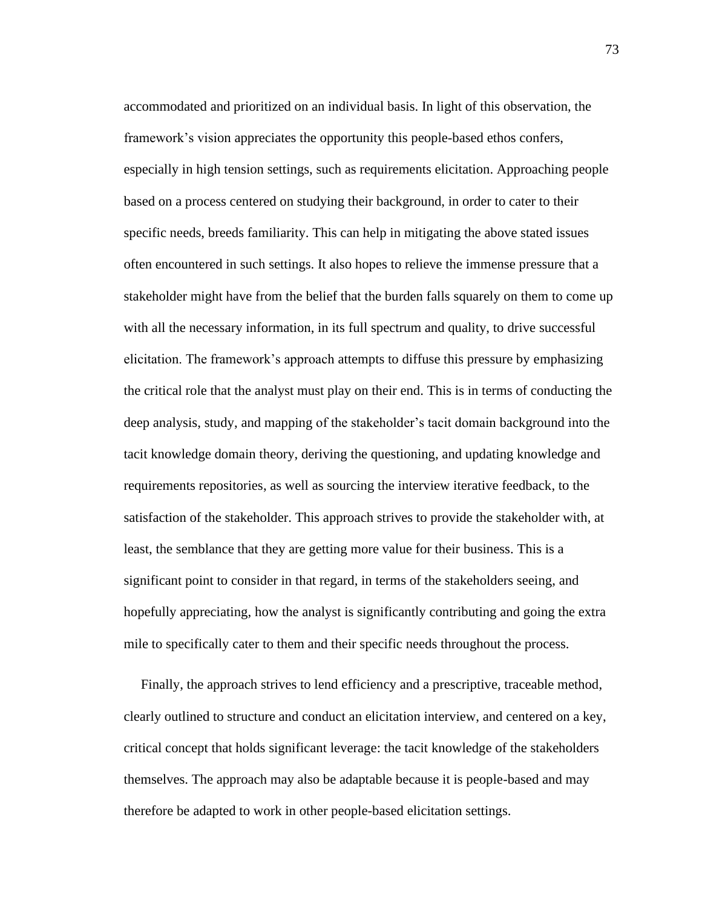accommodated and prioritized on an individual basis. In light of this observation, the framework's vision appreciates the opportunity this people-based ethos confers, especially in high tension settings, such as requirements elicitation. Approaching people based on a process centered on studying their background, in order to cater to their specific needs, breeds familiarity. This can help in mitigating the above stated issues often encountered in such settings. It also hopes to relieve the immense pressure that a stakeholder might have from the belief that the burden falls squarely on them to come up with all the necessary information, in its full spectrum and quality, to drive successful elicitation. The framework's approach attempts to diffuse this pressure by emphasizing the critical role that the analyst must play on their end. This is in terms of conducting the deep analysis, study, and mapping of the stakeholder's tacit domain background into the tacit knowledge domain theory, deriving the questioning, and updating knowledge and requirements repositories, as well as sourcing the interview iterative feedback, to the satisfaction of the stakeholder. This approach strives to provide the stakeholder with, at least, the semblance that they are getting more value for their business. This is a significant point to consider in that regard, in terms of the stakeholders seeing, and hopefully appreciating, how the analyst is significantly contributing and going the extra mile to specifically cater to them and their specific needs throughout the process.

 Finally, the approach strives to lend efficiency and a prescriptive, traceable method, clearly outlined to structure and conduct an elicitation interview, and centered on a key, critical concept that holds significant leverage: the tacit knowledge of the stakeholders themselves. The approach may also be adaptable because it is people-based and may therefore be adapted to work in other people-based elicitation settings.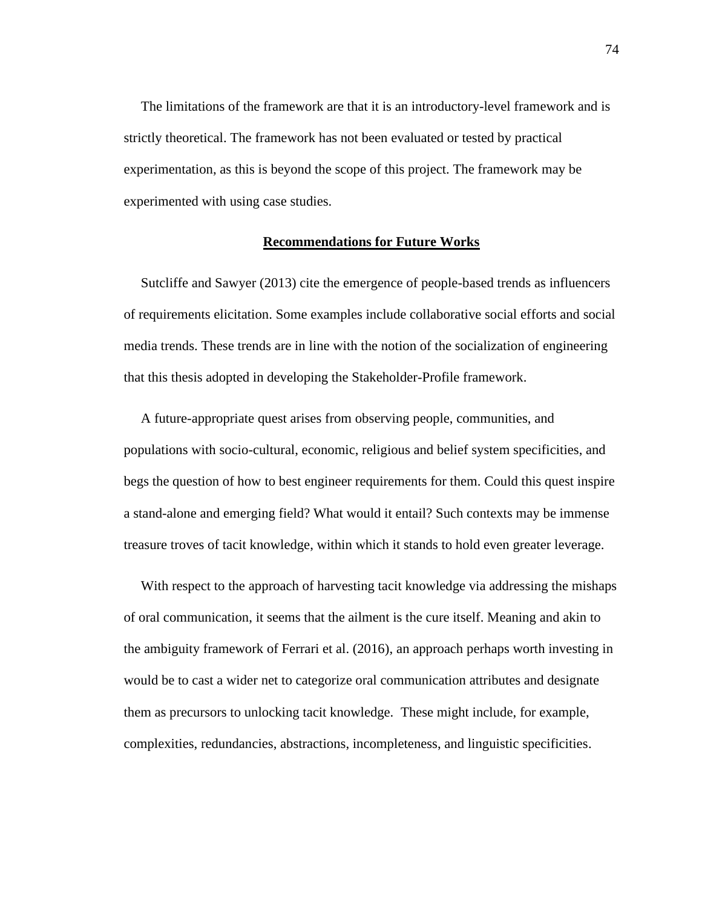The limitations of the framework are that it is an introductory-level framework and is strictly theoretical. The framework has not been evaluated or tested by practical experimentation, as this is beyond the scope of this project. The framework may be experimented with using case studies.

### **Recommendations for Future Works**

 Sutcliffe and Sawyer (2013) cite the emergence of people-based trends as influencers of requirements elicitation. Some examples include collaborative social efforts and social media trends. These trends are in line with the notion of the socialization of engineering that this thesis adopted in developing the Stakeholder-Profile framework.

 A future-appropriate quest arises from observing people, communities, and populations with socio-cultural, economic, religious and belief system specificities, and begs the question of how to best engineer requirements for them. Could this quest inspire a stand-alone and emerging field? What would it entail? Such contexts may be immense treasure troves of tacit knowledge, within which it stands to hold even greater leverage.

 With respect to the approach of harvesting tacit knowledge via addressing the mishaps of oral communication, it seems that the ailment is the cure itself. Meaning and akin to the ambiguity framework of Ferrari et al. (2016), an approach perhaps worth investing in would be to cast a wider net to categorize oral communication attributes and designate them as precursors to unlocking tacit knowledge. These might include, for example, complexities, redundancies, abstractions, incompleteness, and linguistic specificities.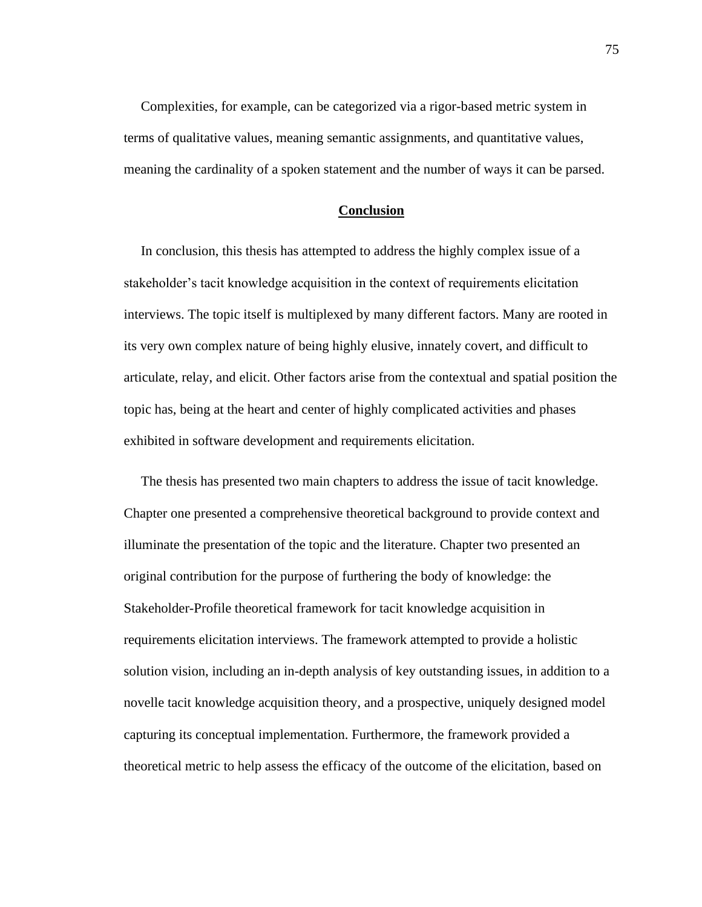Complexities, for example, can be categorized via a rigor-based metric system in terms of qualitative values, meaning semantic assignments, and quantitative values, meaning the cardinality of a spoken statement and the number of ways it can be parsed.

## **Conclusion**

 In conclusion, this thesis has attempted to address the highly complex issue of a stakeholder's tacit knowledge acquisition in the context of requirements elicitation interviews. The topic itself is multiplexed by many different factors. Many are rooted in its very own complex nature of being highly elusive, innately covert, and difficult to articulate, relay, and elicit. Other factors arise from the contextual and spatial position the topic has, being at the heart and center of highly complicated activities and phases exhibited in software development and requirements elicitation.

 The thesis has presented two main chapters to address the issue of tacit knowledge. Chapter one presented a comprehensive theoretical background to provide context and illuminate the presentation of the topic and the literature. Chapter two presented an original contribution for the purpose of furthering the body of knowledge: the Stakeholder-Profile theoretical framework for tacit knowledge acquisition in requirements elicitation interviews. The framework attempted to provide a holistic solution vision, including an in-depth analysis of key outstanding issues, in addition to a novelle tacit knowledge acquisition theory, and a prospective, uniquely designed model capturing its conceptual implementation. Furthermore, the framework provided a theoretical metric to help assess the efficacy of the outcome of the elicitation, based on

75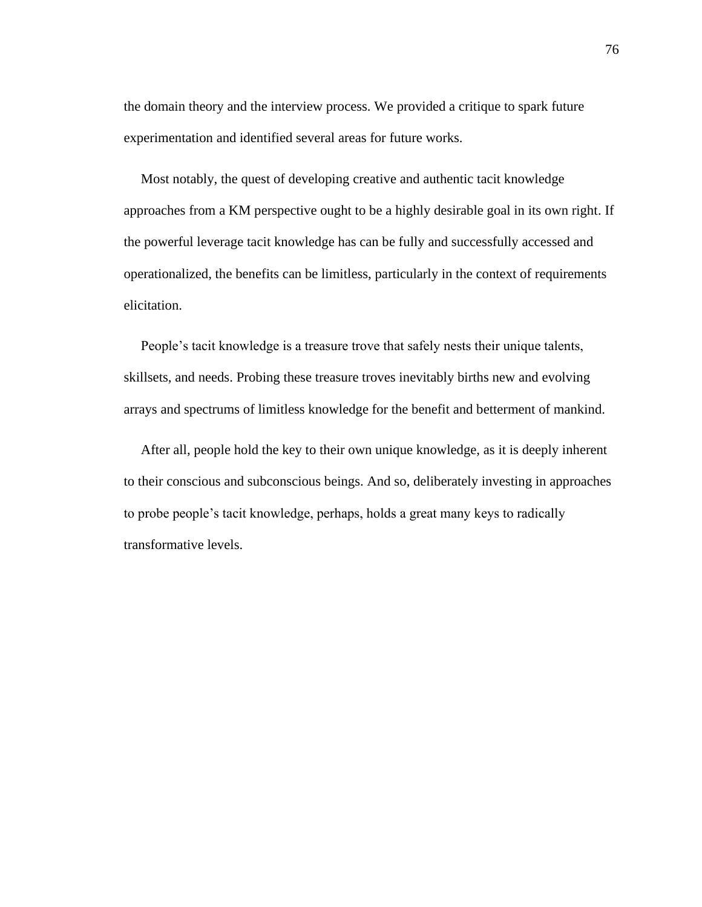the domain theory and the interview process. We provided a critique to spark future experimentation and identified several areas for future works.

 Most notably, the quest of developing creative and authentic tacit knowledge approaches from a KM perspective ought to be a highly desirable goal in its own right. If the powerful leverage tacit knowledge has can be fully and successfully accessed and operationalized, the benefits can be limitless, particularly in the context of requirements elicitation.

 People's tacit knowledge is a treasure trove that safely nests their unique talents, skillsets, and needs. Probing these treasure troves inevitably births new and evolving arrays and spectrums of limitless knowledge for the benefit and betterment of mankind.

 After all, people hold the key to their own unique knowledge, as it is deeply inherent to their conscious and subconscious beings. And so, deliberately investing in approaches to probe people's tacit knowledge, perhaps, holds a great many keys to radically transformative levels.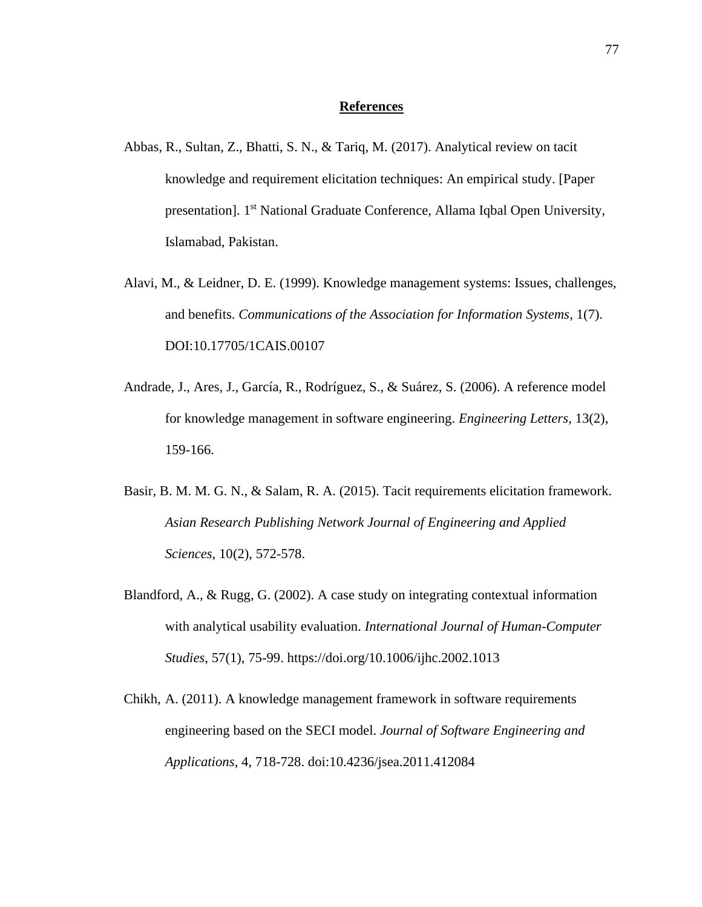### **References**

- Abbas, R., Sultan, Z., Bhatti, S. N., & Tariq, M. (2017). Analytical review on tacit knowledge and requirement elicitation techniques: An empirical study. [Paper presentation]. 1st National Graduate Conference, Allama Iqbal Open University, Islamabad, Pakistan.
- Alavi, M., & Leidner, D. E. (1999). Knowledge management systems: Issues, challenges, and benefits. *Communications of the Association for Information Systems*, 1(7). DOI:10.17705/1CAIS.00107
- Andrade, J., Ares, J., García, R., Rodríguez, S., & Suárez, S. (2006). A reference model for knowledge management in software engineering. *Engineering Letters*, 13(2), 159-166.
- Basir, B. M. M. G. N., & Salam, R. A. (2015). Tacit requirements elicitation framework. *Asian Research Publishing Network Journal of Engineering and Applied Sciences*, 10(2), 572-578.
- Blandford, A., & Rugg, G. (2002). A case study on integrating contextual information with analytical usability evaluation. *International Journal of Human-Computer Studies*, 57(1), 75-99. https://doi.org/10.1006/ijhc.2002.1013
- Chikh, A. (2011). A knowledge management framework in software requirements engineering based on the SECI model. *Journal of Software Engineering and Applications*, 4, 718-728. doi:10.4236/jsea.2011.412084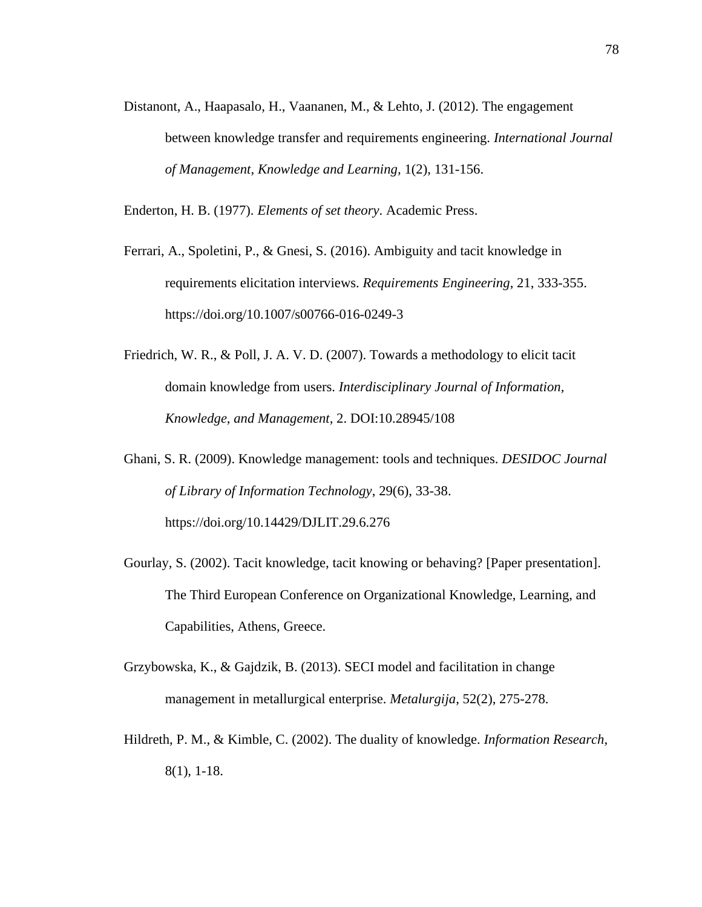Distanont, A., Haapasalo, H., Vaananen, M., & Lehto, J. (2012). The engagement between knowledge transfer and requirements engineering. *International Journal of Management, Knowledge and Learning,* 1(2), 131-156.

Enderton, H. B. (1977). *Elements of set theory*. Academic Press.

- Ferrari, A., Spoletini, P., & Gnesi, S. (2016). Ambiguity and tacit knowledge in requirements elicitation interviews. *Requirements Engineering*, 21, 333-355. https://doi.org/10.1007/s00766-016-0249-3
- Friedrich, W. R., & Poll, J. A. V. D. (2007). Towards a methodology to elicit tacit domain knowledge from users. *Interdisciplinary Journal of Information, Knowledge, and Management,* 2. DOI:10.28945/108
- Ghani, S. R. (2009). Knowledge management: tools and techniques. *DESIDOC Journal of Library of Information Technology*, 29(6), 33-38. https://doi.org/10.14429/DJLIT.29.6.276
- Gourlay, S. (2002). Tacit knowledge, tacit knowing or behaving? [Paper presentation]. The Third European Conference on Organizational Knowledge, Learning, and Capabilities, Athens, Greece.
- Grzybowska, K., & Gajdzik, B. (2013). SECI model and facilitation in change management in metallurgical enterprise. *Metalurgija*, 52(2), 275-278.
- Hildreth, P. M., & Kimble, C. (2002). The duality of knowledge. *Information Research*, 8(1), 1-18.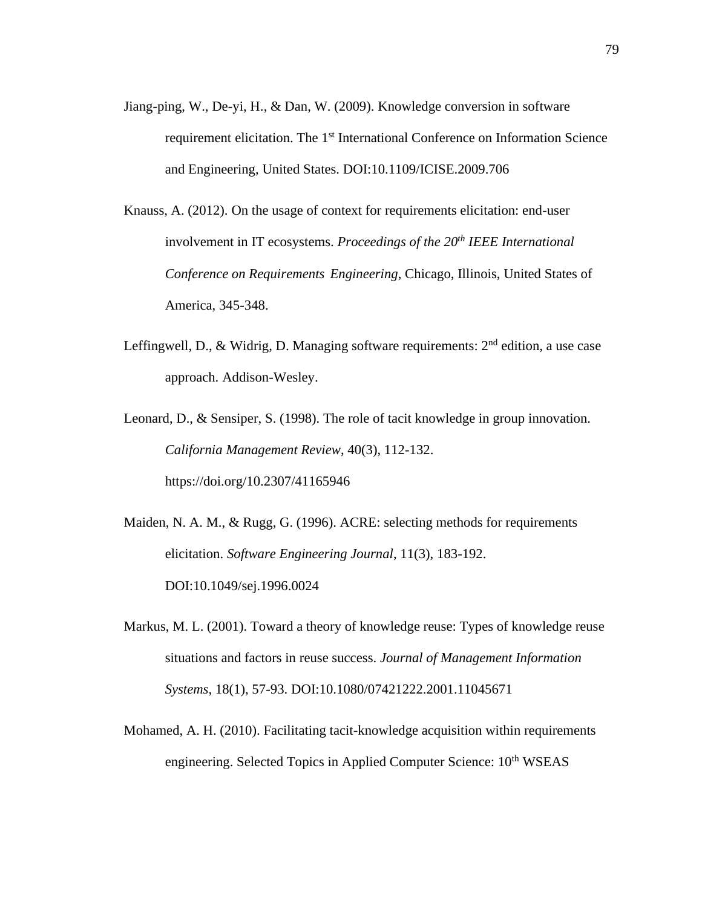- Jiang-ping, W., De-yi, H., & Dan, W. (2009). Knowledge conversion in software requirement elicitation. The 1<sup>st</sup> International Conference on Information Science and Engineering, United States. DOI:10.1109/ICISE.2009.706
- Knauss, A. (2012). On the usage of context for requirements elicitation: end-user involvement in IT ecosystems. *Proceedings of the 20th IEEE International Conference on Requirements Engineering*, Chicago, Illinois, United States of America, 345-348.
- Leffingwell, D., & Widrig, D. Managing software requirements:  $2<sup>nd</sup>$  edition, a use case approach. Addison-Wesley.
- Leonard, D., & Sensiper, S. (1998). The role of tacit knowledge in group innovation. *California Management Review*, 40(3), 112-132. https://doi.org/10.2307/41165946
- Maiden, N. A. M., & Rugg, G. (1996). ACRE: selecting methods for requirements elicitation. *Software Engineering Journal*, 11(3), 183-192. DOI:10.1049/sej.1996.0024
- Markus, M. L. (2001). Toward a theory of knowledge reuse: Types of knowledge reuse situations and factors in reuse success. *Journal of Management Information Systems*, 18(1), 57-93. DOI:10.1080/07421222.2001.11045671
- Mohamed, A. H. (2010). Facilitating tacit-knowledge acquisition within requirements engineering. Selected Topics in Applied Computer Science: 10<sup>th</sup> WSEAS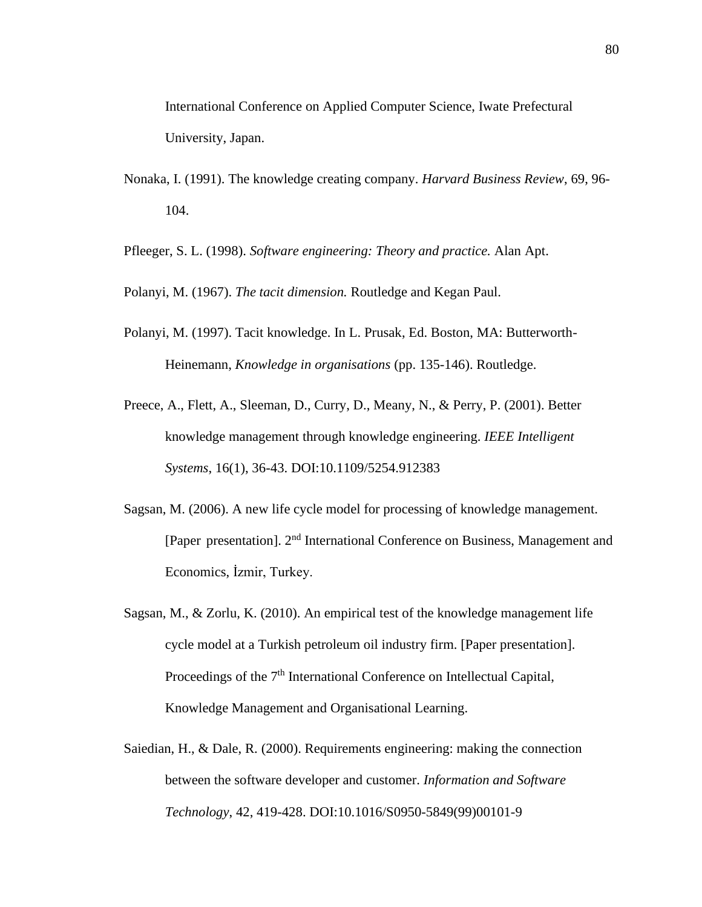- Nonaka, I. (1991). The knowledge creating company. *Harvard Business Review*, 69, 96- 104.
- Pfleeger, S. L. (1998). *Software engineering: Theory and practice.* Alan Apt.
- Polanyi, M. (1967). *The tacit dimension.* Routledge and Kegan Paul.
- Polanyi, M. (1997). Tacit knowledge. In L. Prusak, Ed. Boston, MA: Butterworth-Heinemann, *Knowledge in organisations* (pp. 135-146). Routledge.
- Preece, A., Flett, A., Sleeman, D., Curry, D., Meany, N., & Perry, P. (2001). Better knowledge management through knowledge engineering. *IEEE Intelligent Systems*, 16(1), 36-43. DOI:10.1109/5254.912383
- Sagsan, M. (2006). A new life cycle model for processing of knowledge management. [Paper presentation]. 2nd International Conference on Business, Management and Economics, İzmir, Turkey.
- Sagsan, M., & Zorlu, K. (2010). An empirical test of the knowledge management life cycle model at a Turkish petroleum oil industry firm. [Paper presentation]. Proceedings of the 7<sup>th</sup> International Conference on Intellectual Capital, Knowledge Management and Organisational Learning.
- Saiedian, H., & Dale, R. (2000). Requirements engineering: making the connection between the software developer and customer. *Information and Software Technology*, 42, 419-428. DOI:10.1016/S0950-5849(99)00101-9